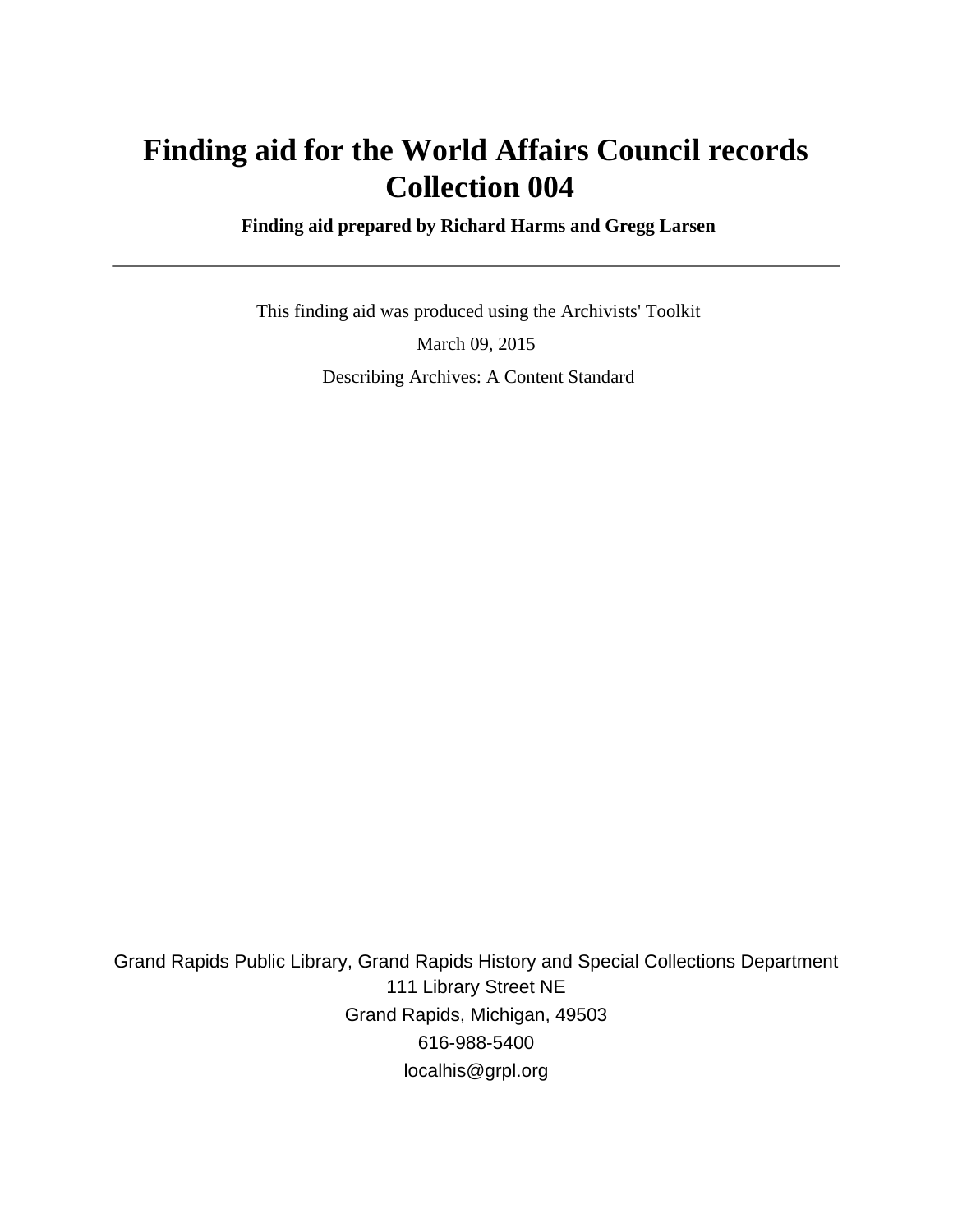# **Finding aid for the World Affairs Council records Collection 004**

 **Finding aid prepared by Richard Harms and Gregg Larsen**

 This finding aid was produced using the Archivists' Toolkit March 09, 2015 Describing Archives: A Content Standard

Grand Rapids Public Library, Grand Rapids History and Special Collections Department 111 Library Street NE Grand Rapids, Michigan, 49503 616-988-5400 localhis@grpl.org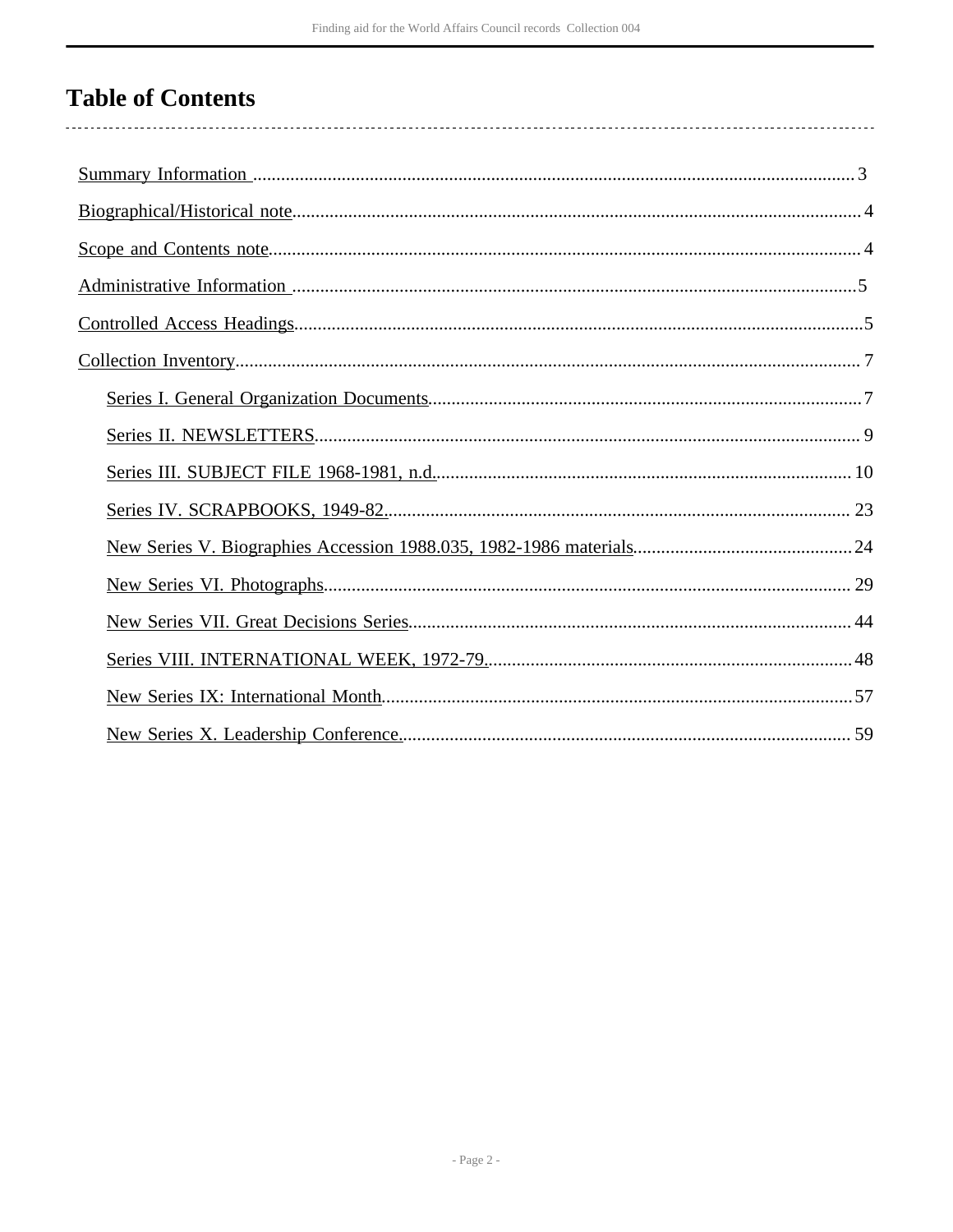# **Table of Contents**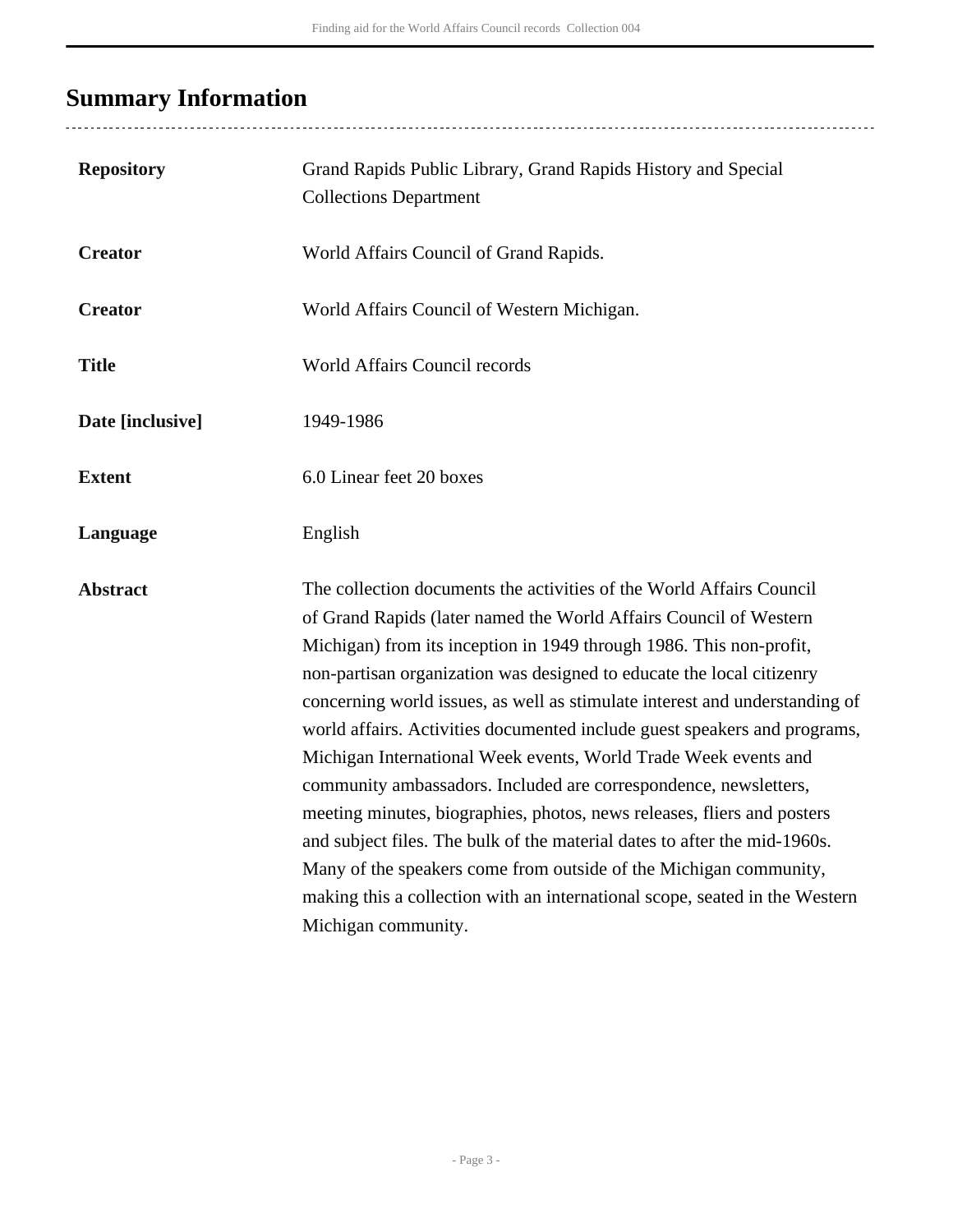# <span id="page-2-0"></span>**Summary Information**

..................................

| <b>Repository</b> | Grand Rapids Public Library, Grand Rapids History and Special<br><b>Collections Department</b>                                                                                                                                                                                                                                                                                                                                                                                                                                                                                                                                                                                                                                                                                                                                                                                                                                  |
|-------------------|---------------------------------------------------------------------------------------------------------------------------------------------------------------------------------------------------------------------------------------------------------------------------------------------------------------------------------------------------------------------------------------------------------------------------------------------------------------------------------------------------------------------------------------------------------------------------------------------------------------------------------------------------------------------------------------------------------------------------------------------------------------------------------------------------------------------------------------------------------------------------------------------------------------------------------|
| <b>Creator</b>    | World Affairs Council of Grand Rapids.                                                                                                                                                                                                                                                                                                                                                                                                                                                                                                                                                                                                                                                                                                                                                                                                                                                                                          |
| <b>Creator</b>    | World Affairs Council of Western Michigan.                                                                                                                                                                                                                                                                                                                                                                                                                                                                                                                                                                                                                                                                                                                                                                                                                                                                                      |
| <b>Title</b>      | World Affairs Council records                                                                                                                                                                                                                                                                                                                                                                                                                                                                                                                                                                                                                                                                                                                                                                                                                                                                                                   |
| Date [inclusive]  | 1949-1986                                                                                                                                                                                                                                                                                                                                                                                                                                                                                                                                                                                                                                                                                                                                                                                                                                                                                                                       |
| <b>Extent</b>     | 6.0 Linear feet 20 boxes                                                                                                                                                                                                                                                                                                                                                                                                                                                                                                                                                                                                                                                                                                                                                                                                                                                                                                        |
| Language          | English                                                                                                                                                                                                                                                                                                                                                                                                                                                                                                                                                                                                                                                                                                                                                                                                                                                                                                                         |
| <b>Abstract</b>   | The collection documents the activities of the World Affairs Council<br>of Grand Rapids (later named the World Affairs Council of Western<br>Michigan) from its inception in 1949 through 1986. This non-profit,<br>non-partisan organization was designed to educate the local citizenry<br>concerning world issues, as well as stimulate interest and understanding of<br>world affairs. Activities documented include guest speakers and programs,<br>Michigan International Week events, World Trade Week events and<br>community ambassadors. Included are correspondence, newsletters,<br>meeting minutes, biographies, photos, news releases, fliers and posters<br>and subject files. The bulk of the material dates to after the mid-1960s.<br>Many of the speakers come from outside of the Michigan community,<br>making this a collection with an international scope, seated in the Western<br>Michigan community. |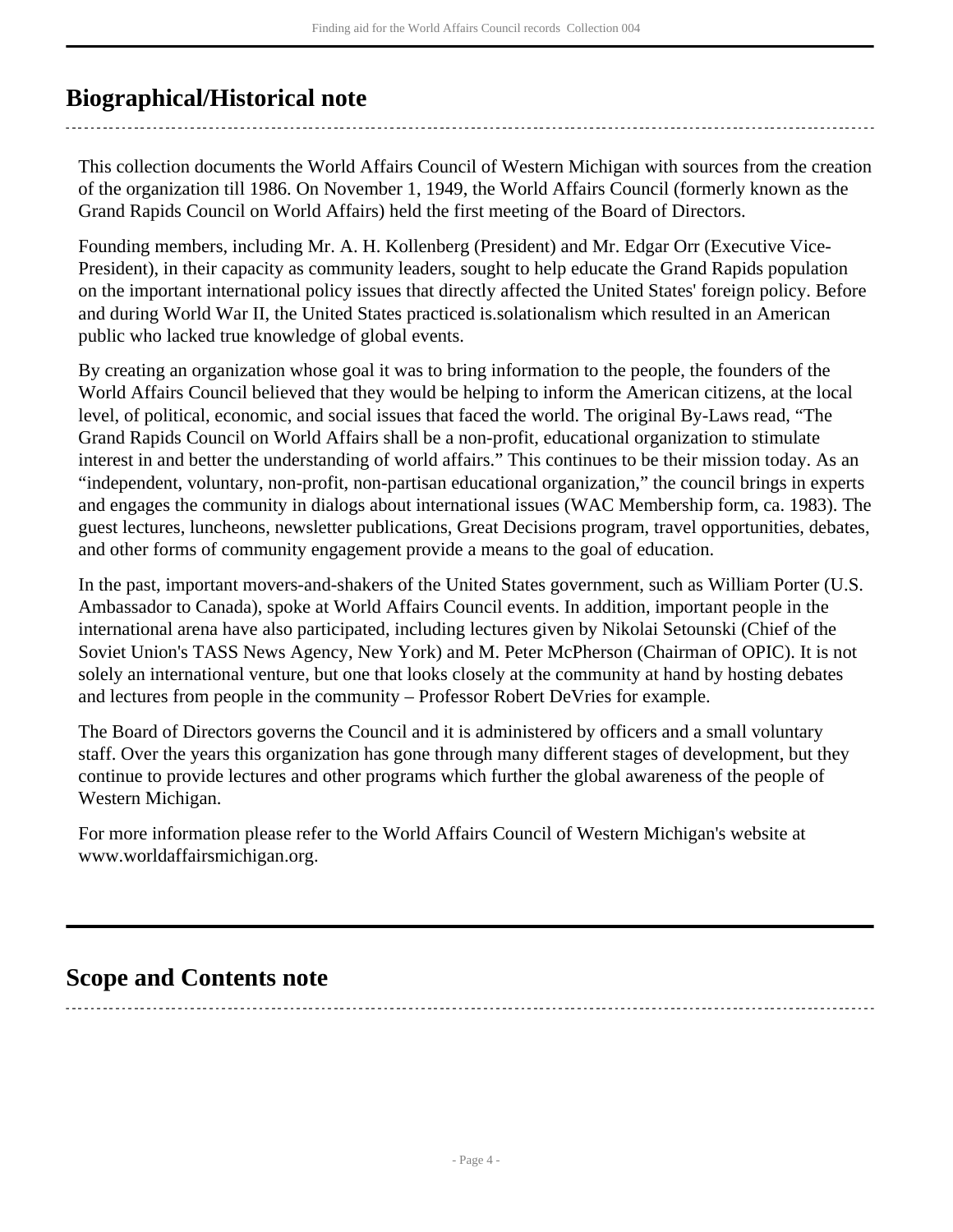## <span id="page-3-0"></span>**Biographical/Historical note**

This collection documents the World Affairs Council of Western Michigan with sources from the creation of the organization till 1986. On November 1, 1949, the World Affairs Council (formerly known as the Grand Rapids Council on World Affairs) held the first meeting of the Board of Directors.

Founding members, including Mr. A. H. Kollenberg (President) and Mr. Edgar Orr (Executive Vice-President), in their capacity as community leaders, sought to help educate the Grand Rapids population on the important international policy issues that directly affected the United States' foreign policy. Before and during World War II, the United States practiced is.solationalism which resulted in an American public who lacked true knowledge of global events.

By creating an organization whose goal it was to bring information to the people, the founders of the World Affairs Council believed that they would be helping to inform the American citizens, at the local level, of political, economic, and social issues that faced the world. The original By-Laws read, "The Grand Rapids Council on World Affairs shall be a non-profit, educational organization to stimulate interest in and better the understanding of world affairs." This continues to be their mission today. As an "independent, voluntary, non-profit, non-partisan educational organization," the council brings in experts and engages the community in dialogs about international issues (WAC Membership form, ca. 1983). The guest lectures, luncheons, newsletter publications, Great Decisions program, travel opportunities, debates, and other forms of community engagement provide a means to the goal of education.

In the past, important movers-and-shakers of the United States government, such as William Porter (U.S. Ambassador to Canada), spoke at World Affairs Council events. In addition, important people in the international arena have also participated, including lectures given by Nikolai Setounski (Chief of the Soviet Union's TASS News Agency, New York) and M. Peter McPherson (Chairman of OPIC). It is not solely an international venture, but one that looks closely at the community at hand by hosting debates and lectures from people in the community – Professor Robert DeVries for example.

The Board of Directors governs the Council and it is administered by officers and a small voluntary staff. Over the years this organization has gone through many different stages of development, but they continue to provide lectures and other programs which further the global awareness of the people of Western Michigan.

For more information please refer to the World Affairs Council of Western Michigan's website at www.worldaffairsmichigan.org.

## <span id="page-3-1"></span>**Scope and Contents note**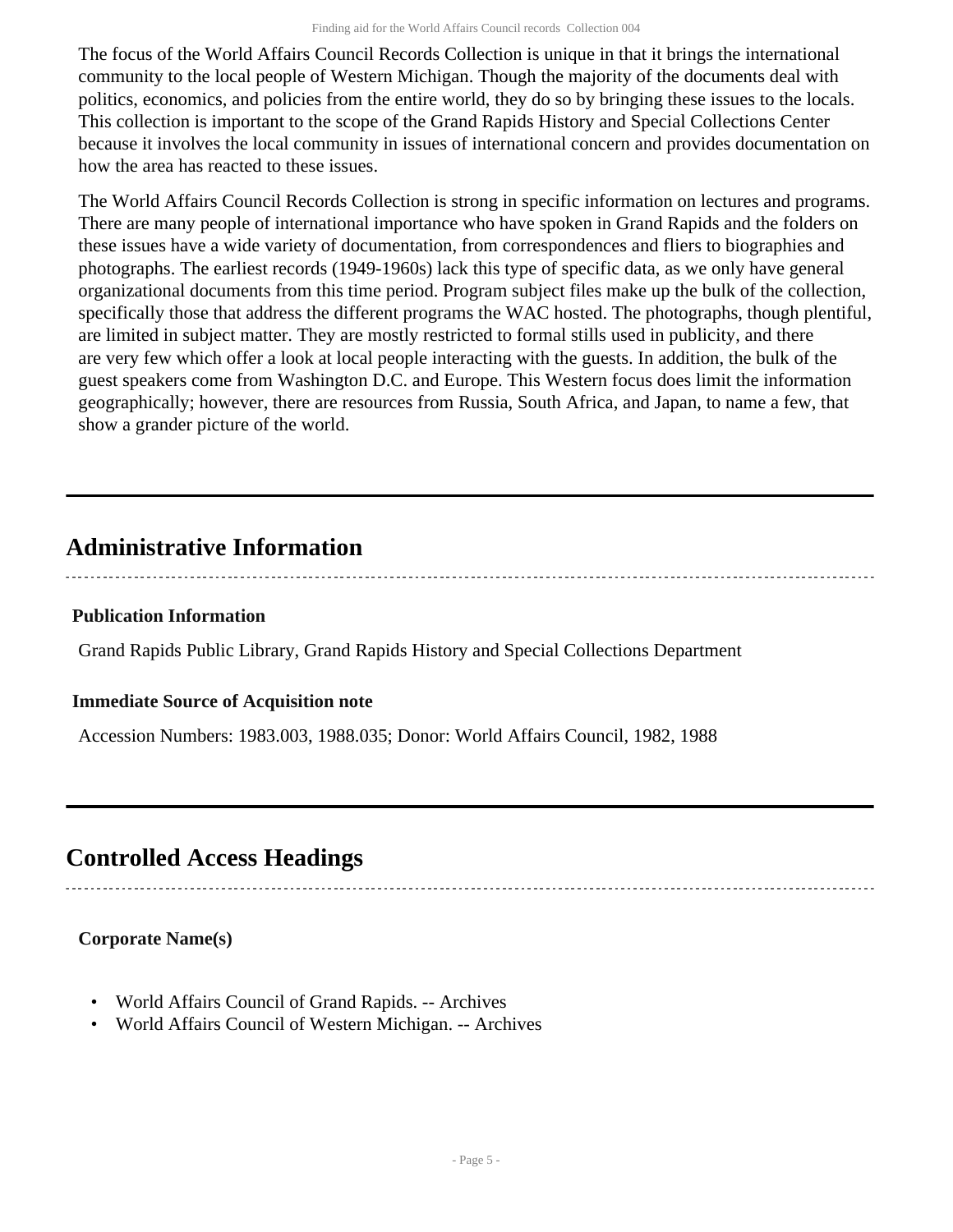The focus of the World Affairs Council Records Collection is unique in that it brings the international community to the local people of Western Michigan. Though the majority of the documents deal with politics, economics, and policies from the entire world, they do so by bringing these issues to the locals. This collection is important to the scope of the Grand Rapids History and Special Collections Center because it involves the local community in issues of international concern and provides documentation on how the area has reacted to these issues.

The World Affairs Council Records Collection is strong in specific information on lectures and programs. There are many people of international importance who have spoken in Grand Rapids and the folders on these issues have a wide variety of documentation, from correspondences and fliers to biographies and photographs. The earliest records (1949-1960s) lack this type of specific data, as we only have general organizational documents from this time period. Program subject files make up the bulk of the collection, specifically those that address the different programs the WAC hosted. The photographs, though plentiful, are limited in subject matter. They are mostly restricted to formal stills used in publicity, and there are very few which offer a look at local people interacting with the guests. In addition, the bulk of the guest speakers come from Washington D.C. and Europe. This Western focus does limit the information geographically; however, there are resources from Russia, South Africa, and Japan, to name a few, that show a grander picture of the world.

## <span id="page-4-0"></span>**Administrative Information**

## **Publication Information**

Grand Rapids Public Library, Grand Rapids History and Special Collections Department

## **Immediate Source of Acquisition note**

Accession Numbers: 1983.003, 1988.035; Donor: World Affairs Council, 1982, 1988

## <span id="page-4-1"></span>**Controlled Access Headings**

## **Corporate Name(s)**

- World Affairs Council of Grand Rapids. -- Archives
- World Affairs Council of Western Michigan. -- Archives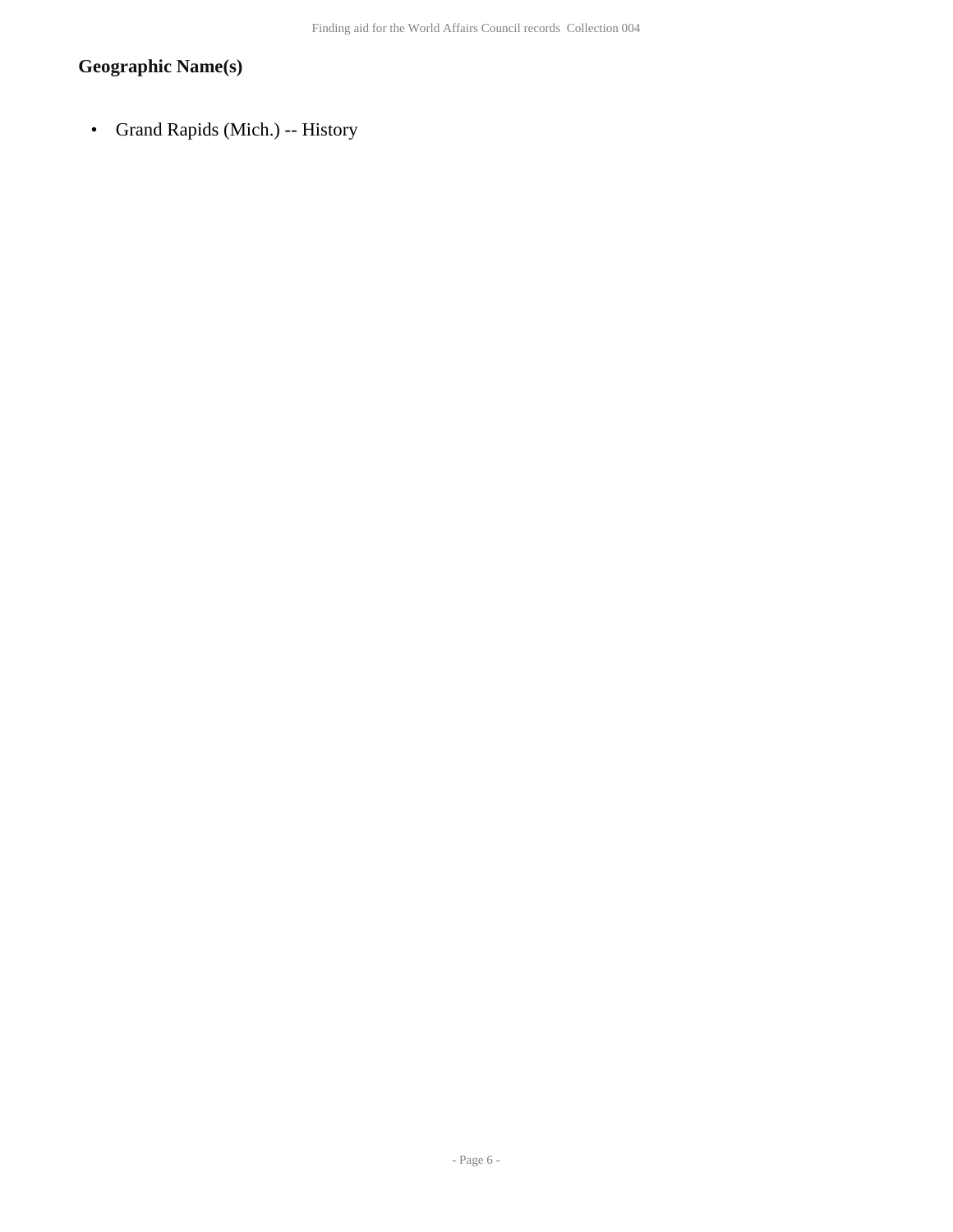## **Geographic Name(s)**

• Grand Rapids (Mich.) -- History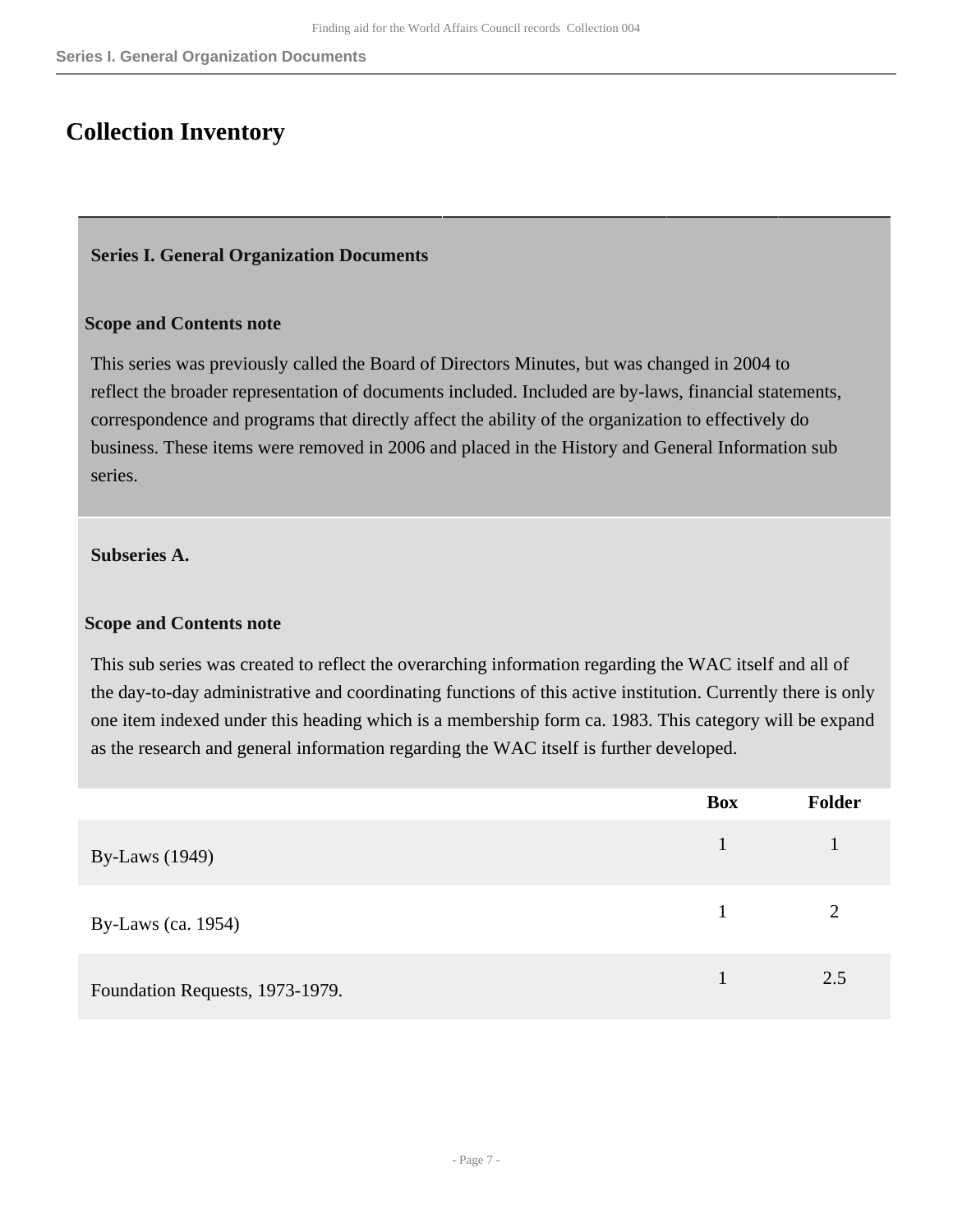## <span id="page-6-0"></span>**Collection Inventory**

## <span id="page-6-1"></span>**Series I. General Organization Documents**

## **Scope and Contents note**

This series was previously called the Board of Directors Minutes, but was changed in 2004 to reflect the broader representation of documents included. Included are by-laws, financial statements, correspondence and programs that directly affect the ability of the organization to effectively do business. These items were removed in 2006 and placed in the History and General Information sub series.

## **Subseries A.**

#### **Scope and Contents note**

This sub series was created to reflect the overarching information regarding the WAC itself and all of the day-to-day administrative and coordinating functions of this active institution. Currently there is only one item indexed under this heading which is a membership form ca. 1983. This category will be expand as the research and general information regarding the WAC itself is further developed.

|                                 | <b>Box</b> | <b>Folder</b> |
|---------------------------------|------------|---------------|
| <b>By-Laws</b> (1949)           | 1          |               |
| By-Laws (ca. 1954)              |            | 2             |
| Foundation Requests, 1973-1979. |            | 2.5           |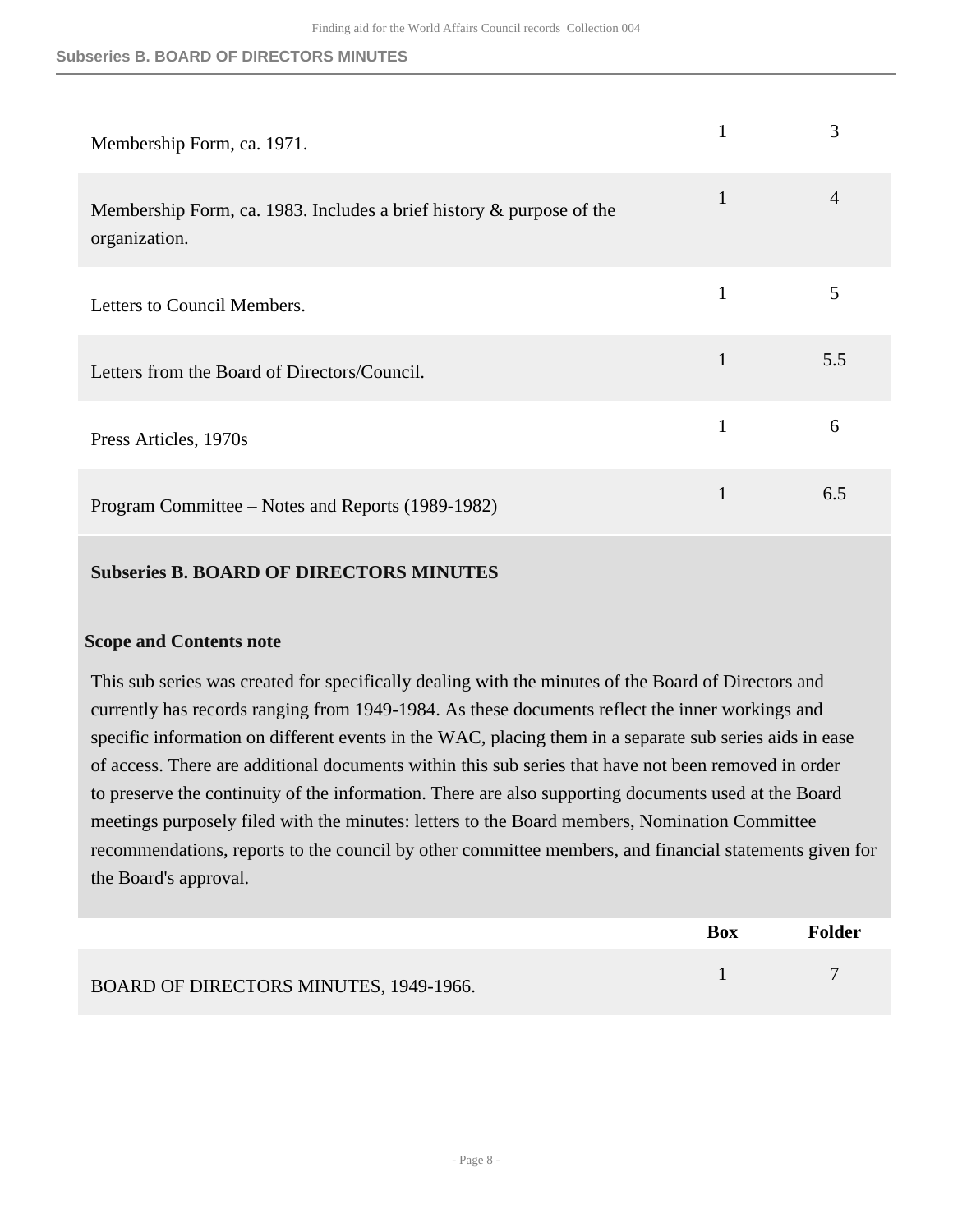#### **Subseries B. BOARD OF DIRECTORS MINUTES**

| Membership Form, ca. 1971.                                                               |              | 3              |
|------------------------------------------------------------------------------------------|--------------|----------------|
| Membership Form, ca. 1983. Includes a brief history $\&$ purpose of the<br>organization. | $\mathbf{1}$ | $\overline{4}$ |
| Letters to Council Members.                                                              | 1            | 5              |
| Letters from the Board of Directors/Council.                                             | $\mathbf{1}$ | 5.5            |
| Press Articles, 1970s                                                                    | $\mathbf{1}$ | 6              |
| Program Committee – Notes and Reports (1989-1982)                                        | $\mathbf{1}$ | 6.5            |

## **Subseries B. BOARD OF DIRECTORS MINUTES**

## **Scope and Contents note**

This sub series was created for specifically dealing with the minutes of the Board of Directors and currently has records ranging from 1949-1984. As these documents reflect the inner workings and specific information on different events in the WAC, placing them in a separate sub series aids in ease of access. There are additional documents within this sub series that have not been removed in order to preserve the continuity of the information. There are also supporting documents used at the Board meetings purposely filed with the minutes: letters to the Board members, Nomination Committee recommendations, reports to the council by other committee members, and financial statements given for the Board's approval.

|                                        | <b>Box</b> | Folder |
|----------------------------------------|------------|--------|
| BOARD OF DIRECTORS MINUTES, 1949-1966. |            |        |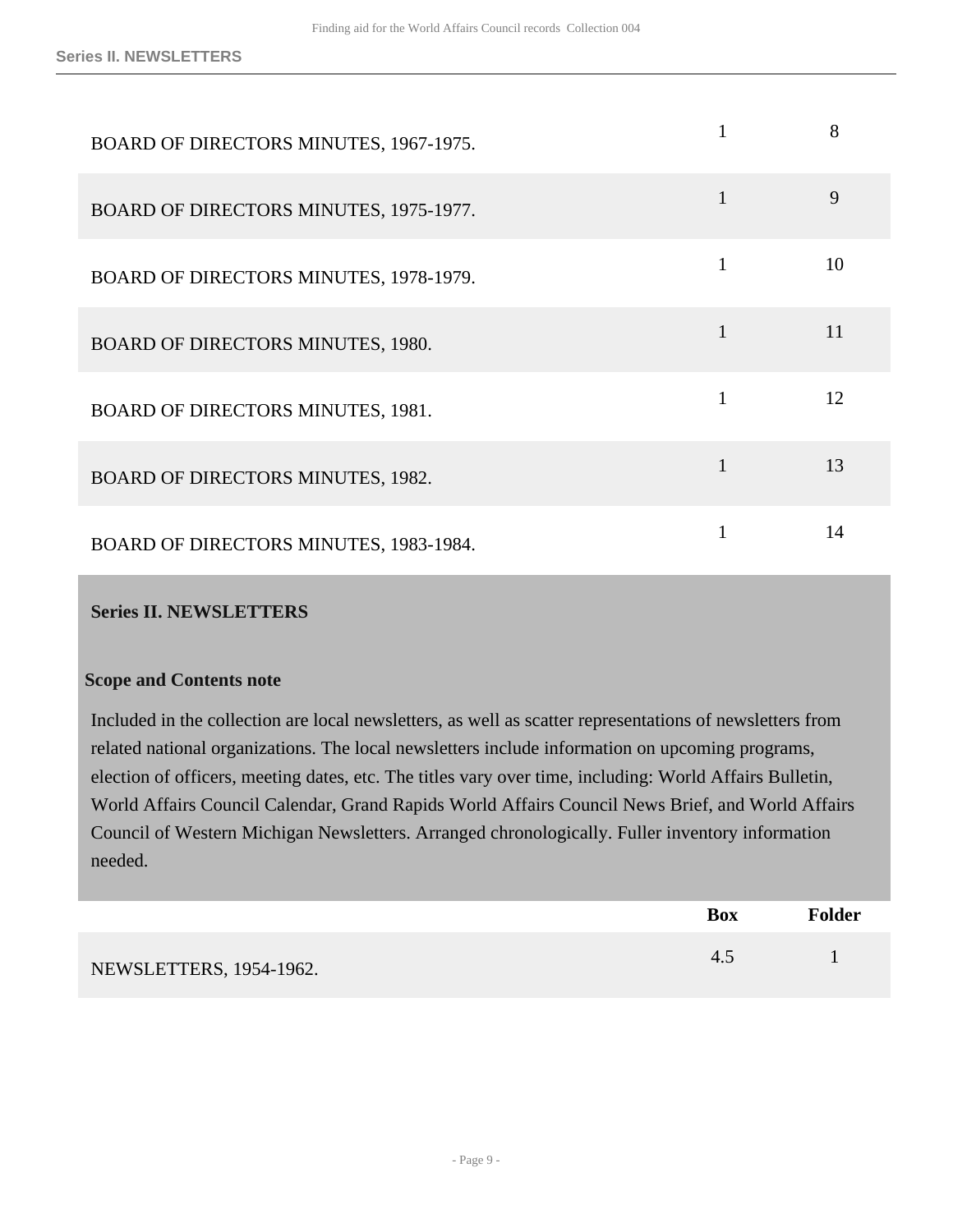| BOARD OF DIRECTORS MINUTES, 1967-1975.   |   | 8  |
|------------------------------------------|---|----|
| BOARD OF DIRECTORS MINUTES, 1975-1977.   | 1 | 9  |
| BOARD OF DIRECTORS MINUTES, 1978-1979.   |   | 10 |
| <b>BOARD OF DIRECTORS MINUTES, 1980.</b> |   | 11 |
| <b>BOARD OF DIRECTORS MINUTES, 1981.</b> | 1 | 12 |
| <b>BOARD OF DIRECTORS MINUTES, 1982.</b> | 1 | 13 |
| BOARD OF DIRECTORS MINUTES, 1983-1984.   |   | 14 |

## <span id="page-8-0"></span>**Series II. NEWSLETTERS**

#### **Scope and Contents note**

Included in the collection are local newsletters, as well as scatter representations of newsletters from related national organizations. The local newsletters include information on upcoming programs, election of officers, meeting dates, etc. The titles vary over time, including: World Affairs Bulletin, World Affairs Council Calendar, Grand Rapids World Affairs Council News Brief, and World Affairs Council of Western Michigan Newsletters. Arranged chronologically. Fuller inventory information needed.

|                         | <b>Box</b> | <b>Folder</b> |
|-------------------------|------------|---------------|
| NEWSLETTERS, 1954-1962. | 4.5        |               |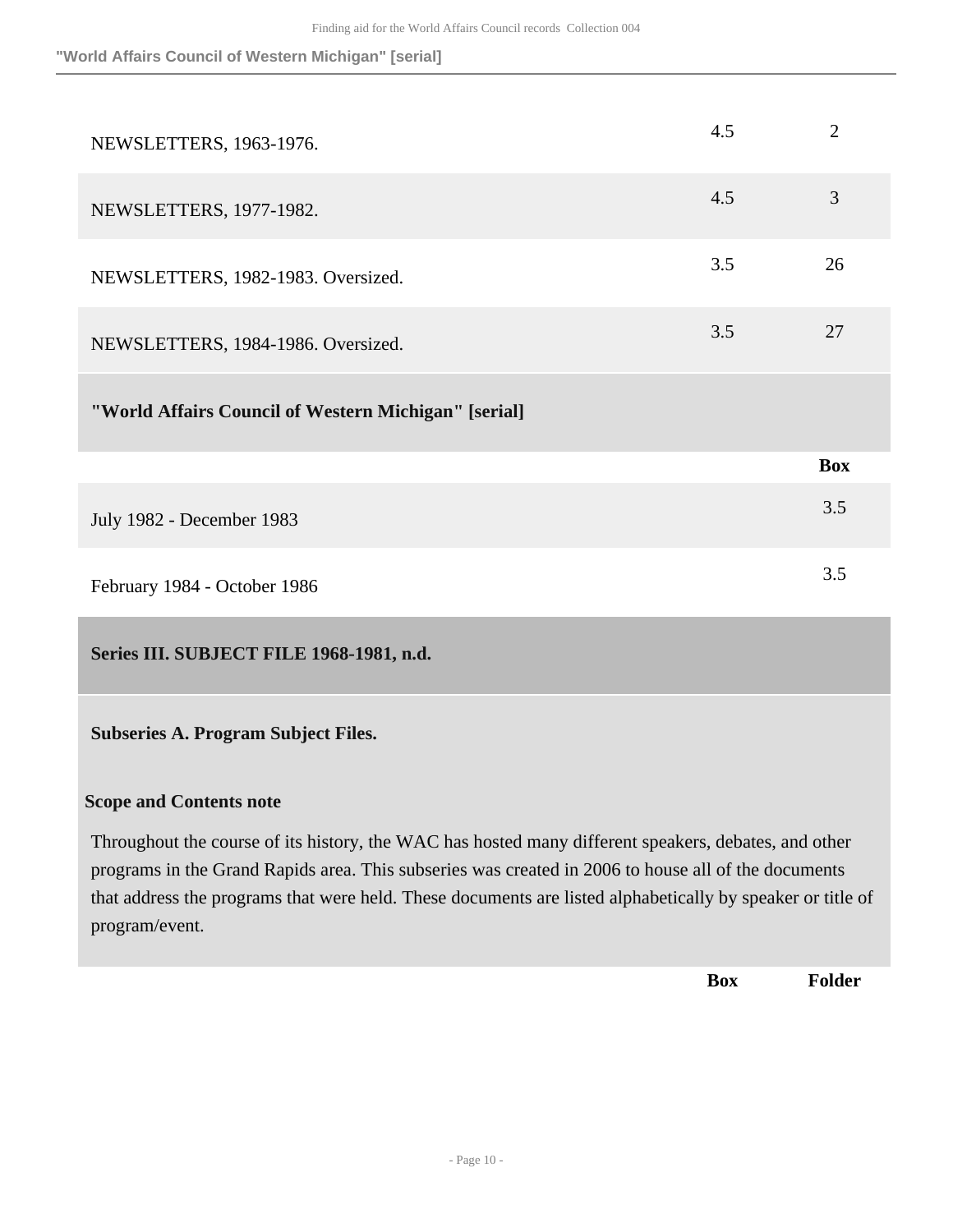**"World Affairs Council of Western Michigan" [serial]**

| NEWSLETTERS, 1963-1976.                              | 4.5 | 2          |
|------------------------------------------------------|-----|------------|
| NEWSLETTERS, 1977-1982.                              | 4.5 | 3          |
| NEWSLETTERS, 1982-1983. Oversized.                   | 3.5 | 26         |
| NEWSLETTERS, 1984-1986. Oversized.                   | 3.5 | 27         |
| "World Affairs Council of Western Michigan" [serial] |     |            |
|                                                      |     | <b>Box</b> |
| July 1982 - December 1983                            |     | 3.5        |
| February 1984 - October 1986                         |     | 3.5        |

<span id="page-9-0"></span>**Series III. SUBJECT FILE 1968-1981, n.d.** 

**Subseries A. Program Subject Files.** 

## **Scope and Contents note**

Throughout the course of its history, the WAC has hosted many different speakers, debates, and other programs in the Grand Rapids area. This subseries was created in 2006 to house all of the documents that address the programs that were held. These documents are listed alphabetically by speaker or title of program/event.

**Box Folder**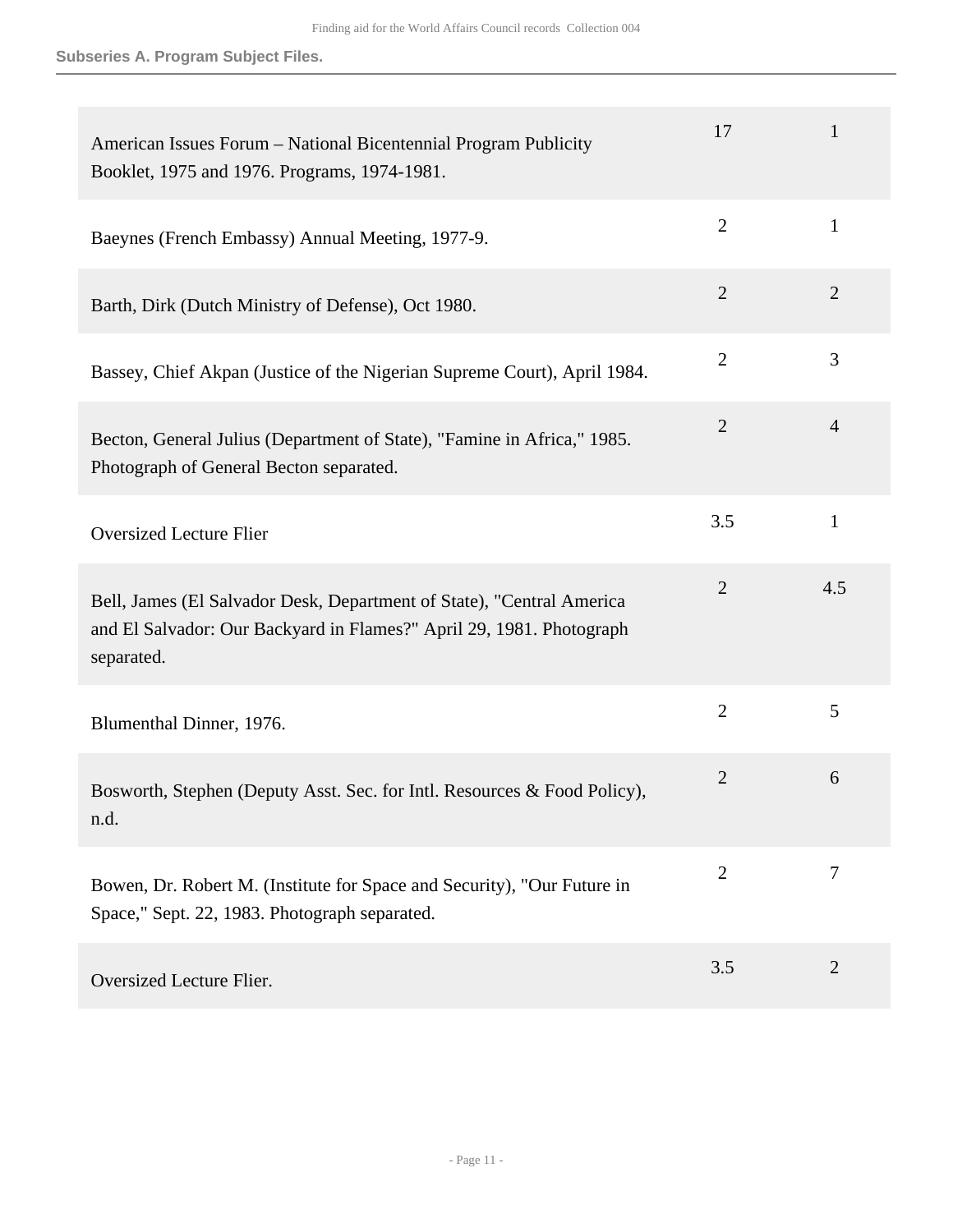| American Issues Forum - National Bicentennial Program Publicity<br>Booklet, 1975 and 1976. Programs, 1974-1981.                                             | 17             | 1              |
|-------------------------------------------------------------------------------------------------------------------------------------------------------------|----------------|----------------|
| Baeynes (French Embassy) Annual Meeting, 1977-9.                                                                                                            | $\overline{2}$ | $\mathbf{1}$   |
| Barth, Dirk (Dutch Ministry of Defense), Oct 1980.                                                                                                          | $\overline{2}$ | 2              |
| Bassey, Chief Akpan (Justice of the Nigerian Supreme Court), April 1984.                                                                                    | $\overline{2}$ | 3              |
| Becton, General Julius (Department of State), "Famine in Africa," 1985.<br>Photograph of General Becton separated.                                          | $\overline{2}$ | $\overline{4}$ |
| <b>Oversized Lecture Flier</b>                                                                                                                              | 3.5            | $\mathbf{1}$   |
| Bell, James (El Salvador Desk, Department of State), "Central America<br>and El Salvador: Our Backyard in Flames?" April 29, 1981. Photograph<br>separated. | $\overline{2}$ | 4.5            |
| Blumenthal Dinner, 1976.                                                                                                                                    | $\overline{2}$ | 5              |
| Bosworth, Stephen (Deputy Asst. Sec. for Intl. Resources & Food Policy),<br>n.d.                                                                            | $\overline{2}$ | 6              |
| Bowen, Dr. Robert M. (Institute for Space and Security), "Our Future in<br>Space," Sept. 22, 1983. Photograph separated.                                    | $\overline{2}$ | $\overline{7}$ |
| Oversized Lecture Flier.                                                                                                                                    | 3.5            | $\overline{2}$ |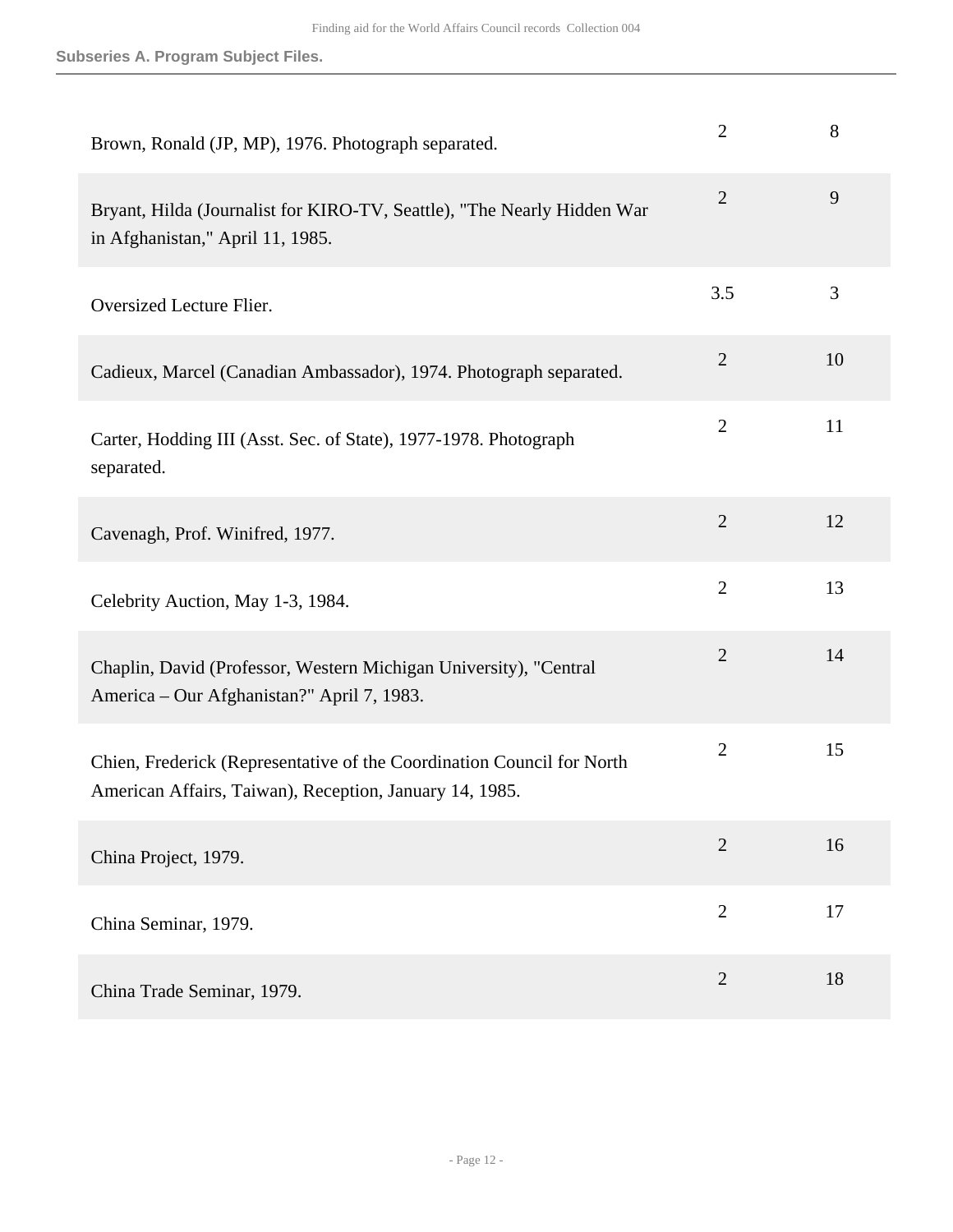| Brown, Ronald (JP, MP), 1976. Photograph separated.                                                                               | $\overline{2}$ | 8  |
|-----------------------------------------------------------------------------------------------------------------------------------|----------------|----|
| Bryant, Hilda (Journalist for KIRO-TV, Seattle), "The Nearly Hidden War<br>in Afghanistan," April 11, 1985.                       | $\overline{2}$ | 9  |
| Oversized Lecture Flier.                                                                                                          | 3.5            | 3  |
| Cadieux, Marcel (Canadian Ambassador), 1974. Photograph separated.                                                                | $\overline{2}$ | 10 |
| Carter, Hodding III (Asst. Sec. of State), 1977-1978. Photograph<br>separated.                                                    | $\overline{2}$ | 11 |
| Cavenagh, Prof. Winifred, 1977.                                                                                                   | $\mathbf{2}$   | 12 |
| Celebrity Auction, May 1-3, 1984.                                                                                                 | $\overline{2}$ | 13 |
| Chaplin, David (Professor, Western Michigan University), "Central<br>America – Our Afghanistan?" April 7, 1983.                   | $\overline{2}$ | 14 |
| Chien, Frederick (Representative of the Coordination Council for North<br>American Affairs, Taiwan), Reception, January 14, 1985. | $\overline{2}$ | 15 |
| China Project, 1979.                                                                                                              | $\overline{2}$ | 16 |
| China Seminar, 1979.                                                                                                              | $\overline{2}$ | 17 |
| China Trade Seminar, 1979.                                                                                                        | $\overline{2}$ | 18 |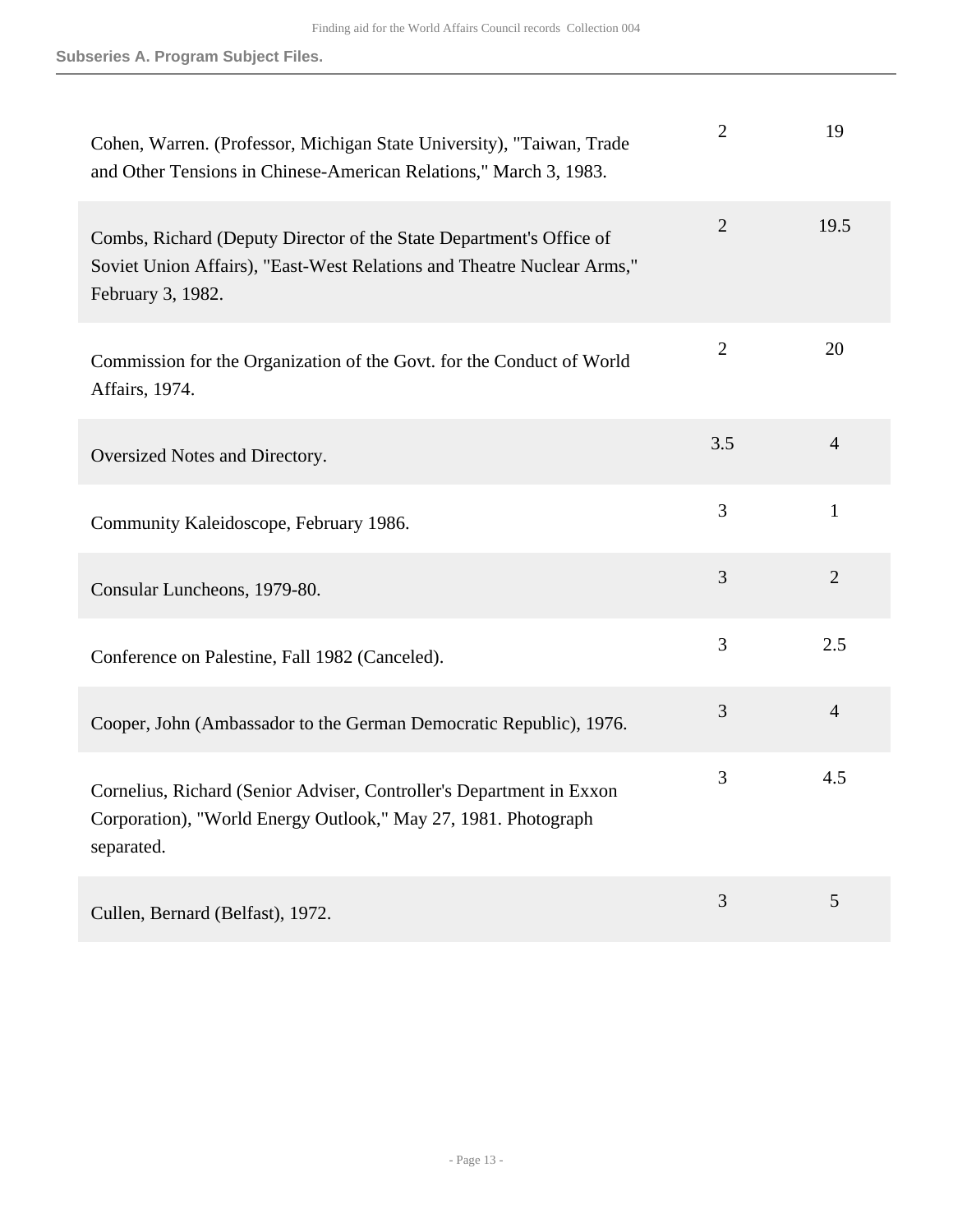| Cohen, Warren. (Professor, Michigan State University), "Taiwan, Trade<br>and Other Tensions in Chinese-American Relations," March 3, 1983.                         | 2              | 19             |
|--------------------------------------------------------------------------------------------------------------------------------------------------------------------|----------------|----------------|
| Combs, Richard (Deputy Director of the State Department's Office of<br>Soviet Union Affairs), "East-West Relations and Theatre Nuclear Arms,"<br>February 3, 1982. | $\overline{2}$ | 19.5           |
| Commission for the Organization of the Govt. for the Conduct of World<br>Affairs, 1974.                                                                            | $\overline{2}$ | 20             |
| Oversized Notes and Directory.                                                                                                                                     | 3.5            | $\overline{4}$ |
| Community Kaleidoscope, February 1986.                                                                                                                             | 3              | 1              |
| Consular Luncheons, 1979-80.                                                                                                                                       | 3              | $\overline{2}$ |
| Conference on Palestine, Fall 1982 (Canceled).                                                                                                                     | 3              | 2.5            |
| Cooper, John (Ambassador to the German Democratic Republic), 1976.                                                                                                 | 3              | $\overline{4}$ |
| Cornelius, Richard (Senior Adviser, Controller's Department in Exxon<br>Corporation), "World Energy Outlook," May 27, 1981. Photograph<br>separated.               | 3              | 4.5            |
| Cullen, Bernard (Belfast), 1972.                                                                                                                                   | 3              | 5              |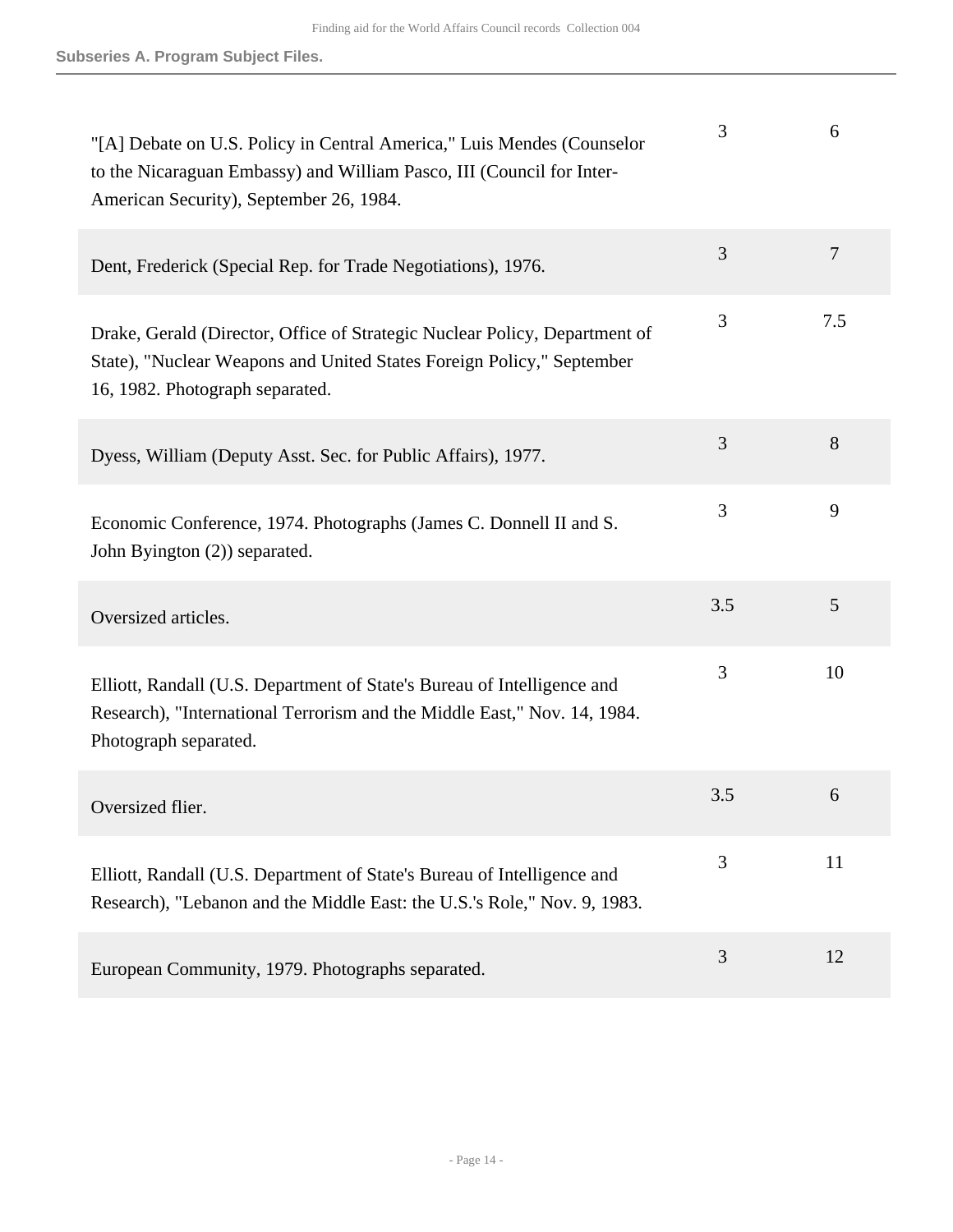| "[A] Debate on U.S. Policy in Central America," Luis Mendes (Counselor<br>to the Nicaraguan Embassy) and William Pasco, III (Council for Inter-<br>American Security), September 26, 1984. | 3   | 6              |
|--------------------------------------------------------------------------------------------------------------------------------------------------------------------------------------------|-----|----------------|
| Dent, Frederick (Special Rep. for Trade Negotiations), 1976.                                                                                                                               | 3   | $\overline{7}$ |
| Drake, Gerald (Director, Office of Strategic Nuclear Policy, Department of<br>State), "Nuclear Weapons and United States Foreign Policy," September<br>16, 1982. Photograph separated.     | 3   | 7.5            |
| Dyess, William (Deputy Asst. Sec. for Public Affairs), 1977.                                                                                                                               | 3   | 8              |
| Economic Conference, 1974. Photographs (James C. Donnell II and S.<br>John Byington (2)) separated.                                                                                        | 3   | 9              |
| Oversized articles.                                                                                                                                                                        | 3.5 | 5              |
| Elliott, Randall (U.S. Department of State's Bureau of Intelligence and<br>Research), "International Terrorism and the Middle East," Nov. 14, 1984.<br>Photograph separated.               | 3   | 10             |
| Oversized flier.                                                                                                                                                                           | 3.5 | 6              |
| Elliott, Randall (U.S. Department of State's Bureau of Intelligence and<br>Research), "Lebanon and the Middle East: the U.S.'s Role," Nov. 9, 1983.                                        | 3   | 11             |
| European Community, 1979. Photographs separated.                                                                                                                                           | 3   | 12             |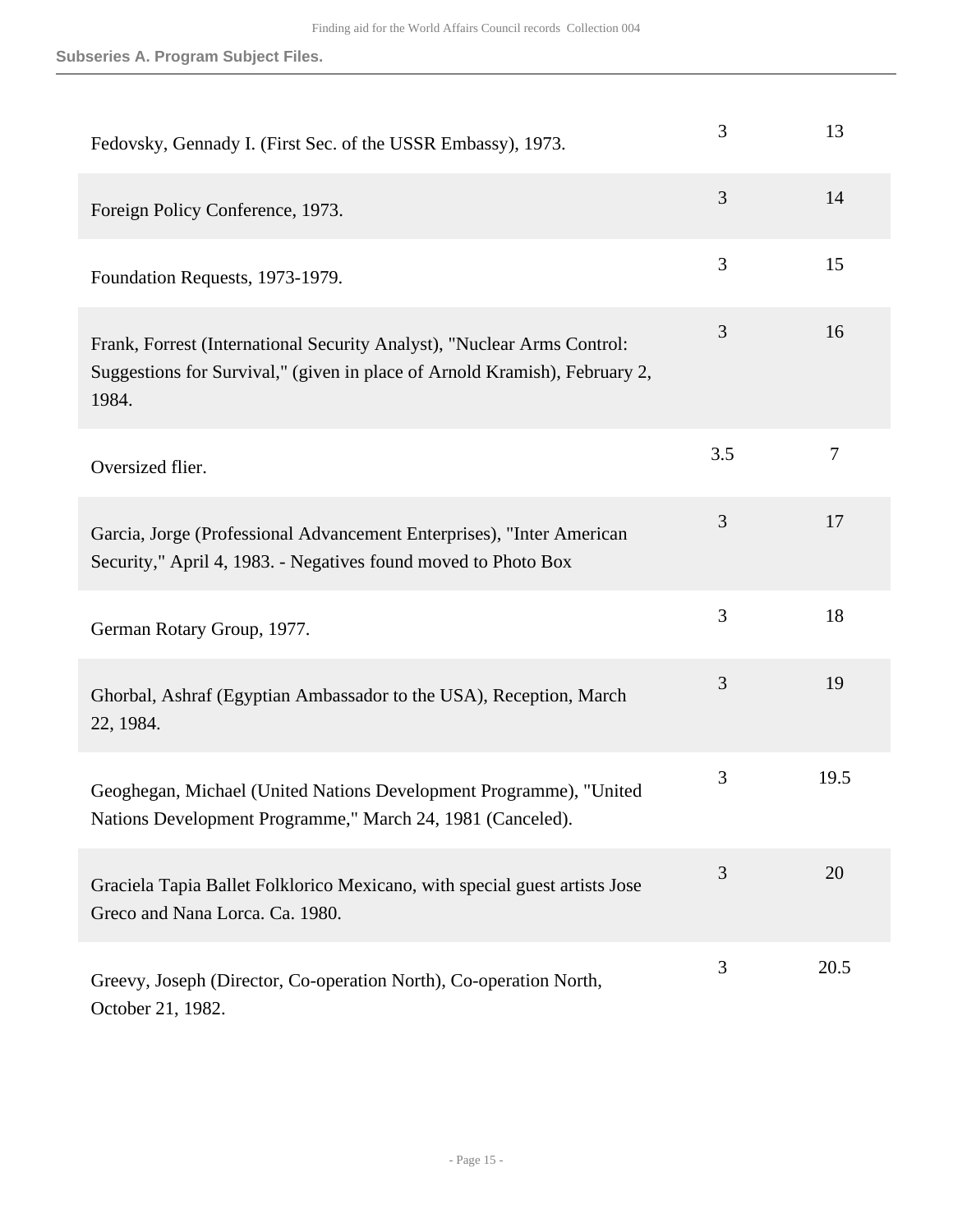| Fedovsky, Gennady I. (First Sec. of the USSR Embassy), 1973.                                                                                                   | 3   | 13     |
|----------------------------------------------------------------------------------------------------------------------------------------------------------------|-----|--------|
| Foreign Policy Conference, 1973.                                                                                                                               | 3   | 14     |
| Foundation Requests, 1973-1979.                                                                                                                                | 3   | 15     |
| Frank, Forrest (International Security Analyst), "Nuclear Arms Control:<br>Suggestions for Survival," (given in place of Arnold Kramish), February 2,<br>1984. | 3   | 16     |
| Oversized flier.                                                                                                                                               | 3.5 | $\tau$ |
| Garcia, Jorge (Professional Advancement Enterprises), "Inter American<br>Security," April 4, 1983. - Negatives found moved to Photo Box                        | 3   | 17     |
| German Rotary Group, 1977.                                                                                                                                     | 3   | 18     |
| Ghorbal, Ashraf (Egyptian Ambassador to the USA), Reception, March<br>22, 1984.                                                                                | 3   | 19     |
| Geoghegan, Michael (United Nations Development Programme), "United<br>Nations Development Programme," March 24, 1981 (Canceled).                               | 3   | 19.5   |
| Graciela Tapia Ballet Folklorico Mexicano, with special guest artists Jose<br>Greco and Nana Lorca. Ca. 1980.                                                  | 3   | 20     |
| Greevy, Joseph (Director, Co-operation North), Co-operation North,<br>October 21, 1982.                                                                        | 3   | 20.5   |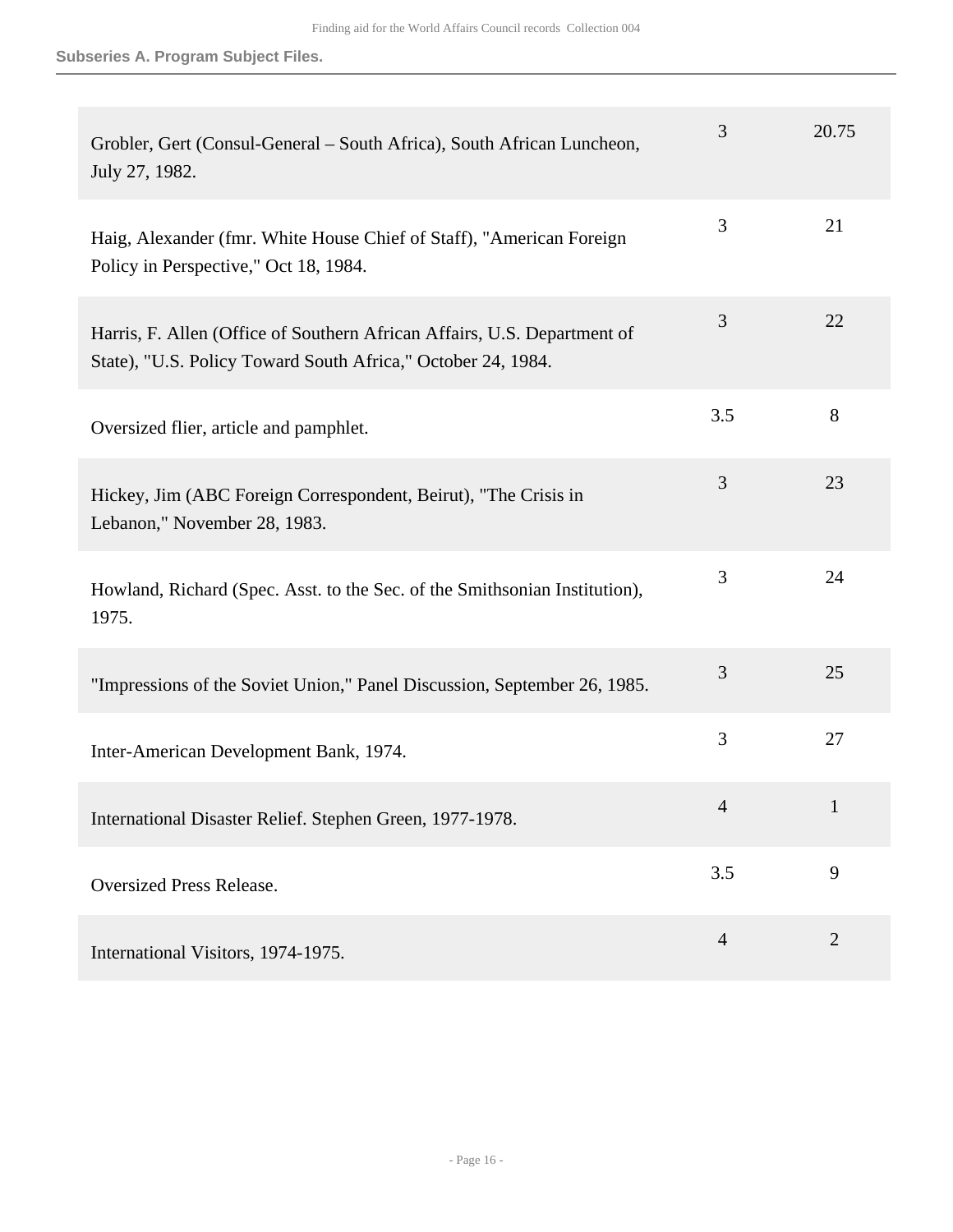| Grobler, Gert (Consul-General – South Africa), South African Luncheon,<br>July 27, 1982.                                                 | 3              | 20.75          |
|------------------------------------------------------------------------------------------------------------------------------------------|----------------|----------------|
| Haig, Alexander (fmr. White House Chief of Staff), "American Foreign<br>Policy in Perspective," Oct 18, 1984.                            | 3              | 21             |
| Harris, F. Allen (Office of Southern African Affairs, U.S. Department of<br>State), "U.S. Policy Toward South Africa," October 24, 1984. | 3              | 22             |
| Oversized flier, article and pamphlet.                                                                                                   | 3.5            | 8              |
| Hickey, Jim (ABC Foreign Correspondent, Beirut), "The Crisis in<br>Lebanon," November 28, 1983.                                          | 3              | 23             |
| Howland, Richard (Spec. Asst. to the Sec. of the Smithsonian Institution),<br>1975.                                                      | 3              | 24             |
| "Impressions of the Soviet Union," Panel Discussion, September 26, 1985.                                                                 | 3              | 25             |
| Inter-American Development Bank, 1974.                                                                                                   | 3              | 27             |
| International Disaster Relief. Stephen Green, 1977-1978.                                                                                 | $\mathcal{L}$  | $\mathbf{1}$   |
| <b>Oversized Press Release.</b>                                                                                                          | 3.5            | 9              |
| International Visitors, 1974-1975.                                                                                                       | $\overline{4}$ | $\overline{2}$ |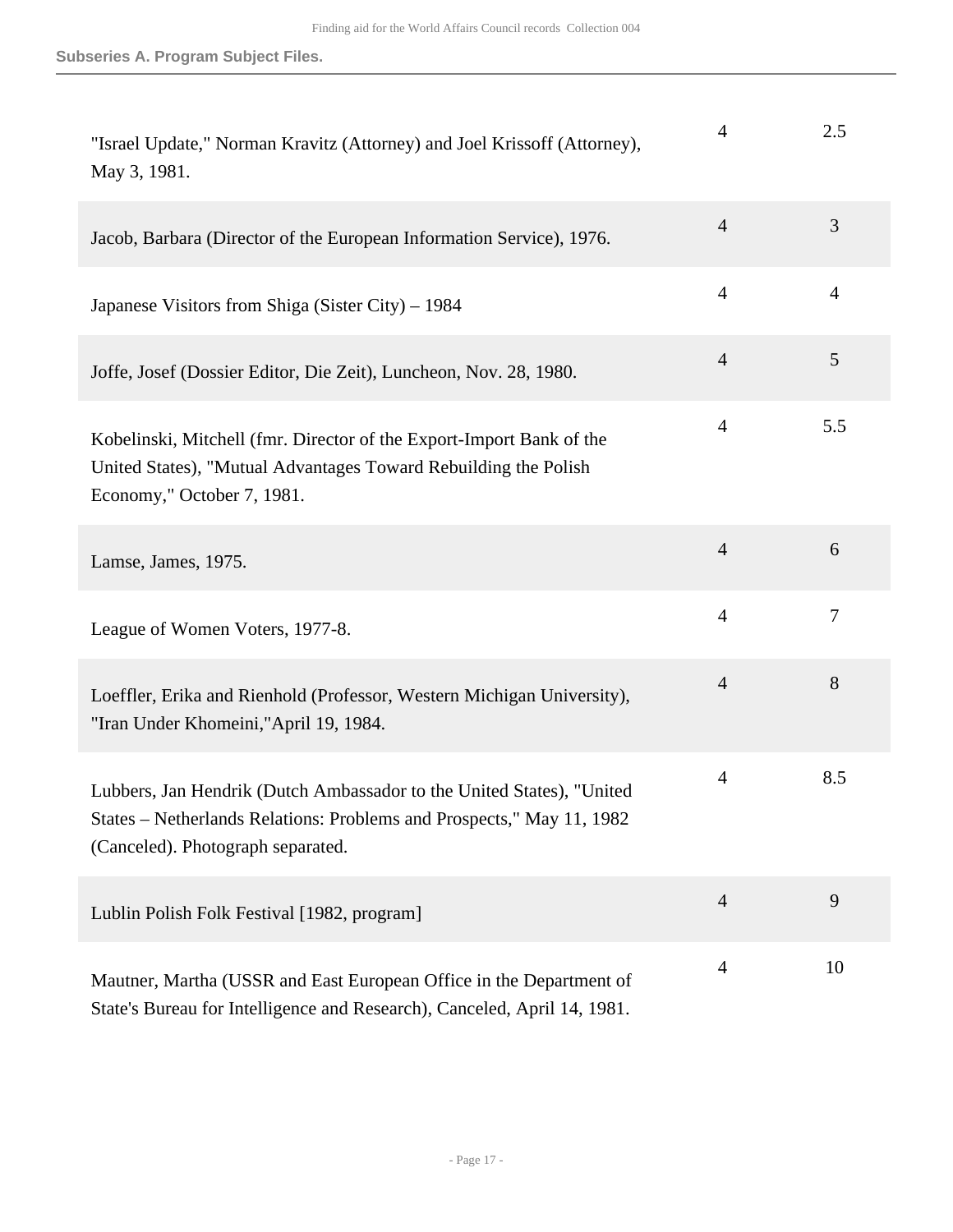| "Israel Update," Norman Kravitz (Attorney) and Joel Krissoff (Attorney),<br>May 3, 1981.                                                                                            | 4              | 2.5            |
|-------------------------------------------------------------------------------------------------------------------------------------------------------------------------------------|----------------|----------------|
| Jacob, Barbara (Director of the European Information Service), 1976.                                                                                                                | $\overline{4}$ | 3              |
| Japanese Visitors from Shiga (Sister City) – 1984                                                                                                                                   | $\overline{4}$ | $\overline{4}$ |
| Joffe, Josef (Dossier Editor, Die Zeit), Luncheon, Nov. 28, 1980.                                                                                                                   | $\overline{4}$ | 5              |
| Kobelinski, Mitchell (fmr. Director of the Export-Import Bank of the<br>United States), "Mutual Advantages Toward Rebuilding the Polish<br>Economy," October 7, 1981.               | $\overline{4}$ | 5.5            |
| Lamse, James, 1975.                                                                                                                                                                 | $\overline{4}$ | 6              |
| League of Women Voters, 1977-8.                                                                                                                                                     | $\overline{4}$ | 7              |
| Loeffler, Erika and Rienhold (Professor, Western Michigan University),<br>"Iran Under Khomeini,"April 19, 1984.                                                                     | $\overline{4}$ | 8              |
| Lubbers, Jan Hendrik (Dutch Ambassador to the United States), "United<br>States – Netherlands Relations: Problems and Prospects," May 11, 1982<br>(Canceled). Photograph separated. | $\overline{4}$ | 8.5            |
| Lublin Polish Folk Festival [1982, program]                                                                                                                                         | $\overline{4}$ | 9              |
| Mautner, Martha (USSR and East European Office in the Department of<br>State's Bureau for Intelligence and Research), Canceled, April 14, 1981.                                     | $\overline{4}$ | 10             |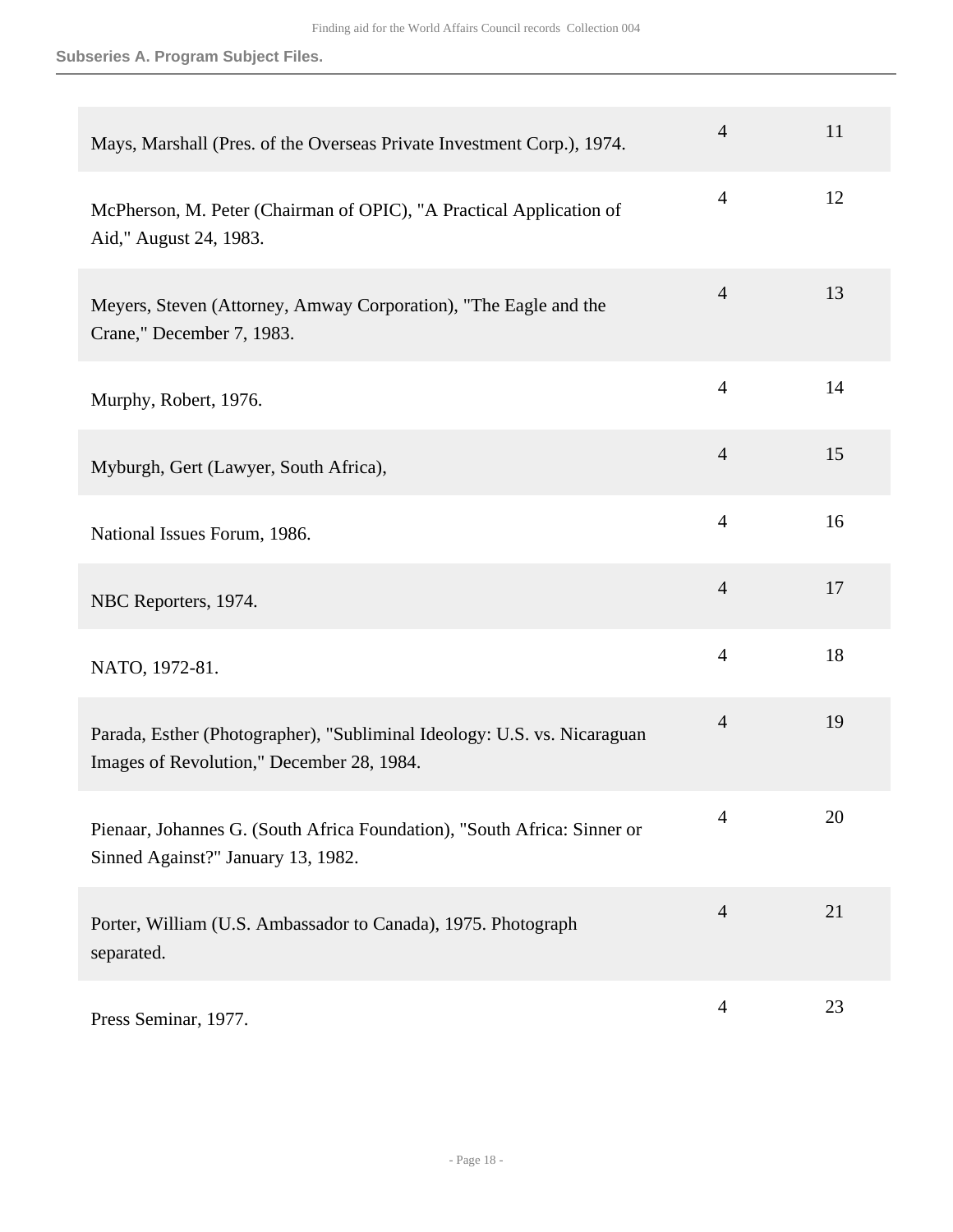## **Subseries A. Program Subject Files.**

| Mays, Marshall (Pres. of the Overseas Private Investment Corp.), 1974.                                                | $\overline{4}$ | 11 |
|-----------------------------------------------------------------------------------------------------------------------|----------------|----|
| McPherson, M. Peter (Chairman of OPIC), "A Practical Application of<br>Aid," August 24, 1983.                         | $\overline{4}$ | 12 |
| Meyers, Steven (Attorney, Amway Corporation), "The Eagle and the<br>Crane," December 7, 1983.                         | $\overline{4}$ | 13 |
| Murphy, Robert, 1976.                                                                                                 | $\overline{4}$ | 14 |
| Myburgh, Gert (Lawyer, South Africa),                                                                                 | $\overline{4}$ | 15 |
| National Issues Forum, 1986.                                                                                          | $\overline{4}$ | 16 |
| NBC Reporters, 1974.                                                                                                  | $\overline{4}$ | 17 |
| NATO, 1972-81.                                                                                                        | $\overline{4}$ | 18 |
| Parada, Esther (Photographer), "Subliminal Ideology: U.S. vs. Nicaraguan<br>Images of Revolution," December 28, 1984. | $\overline{4}$ | 19 |
| Pienaar, Johannes G. (South Africa Foundation), "South Africa: Sinner or<br>Sinned Against?" January 13, 1982.        | $\overline{4}$ | 20 |
| Porter, William (U.S. Ambassador to Canada), 1975. Photograph<br>separated.                                           | $\overline{4}$ | 21 |
| Press Seminar, 1977.                                                                                                  | $\overline{4}$ | 23 |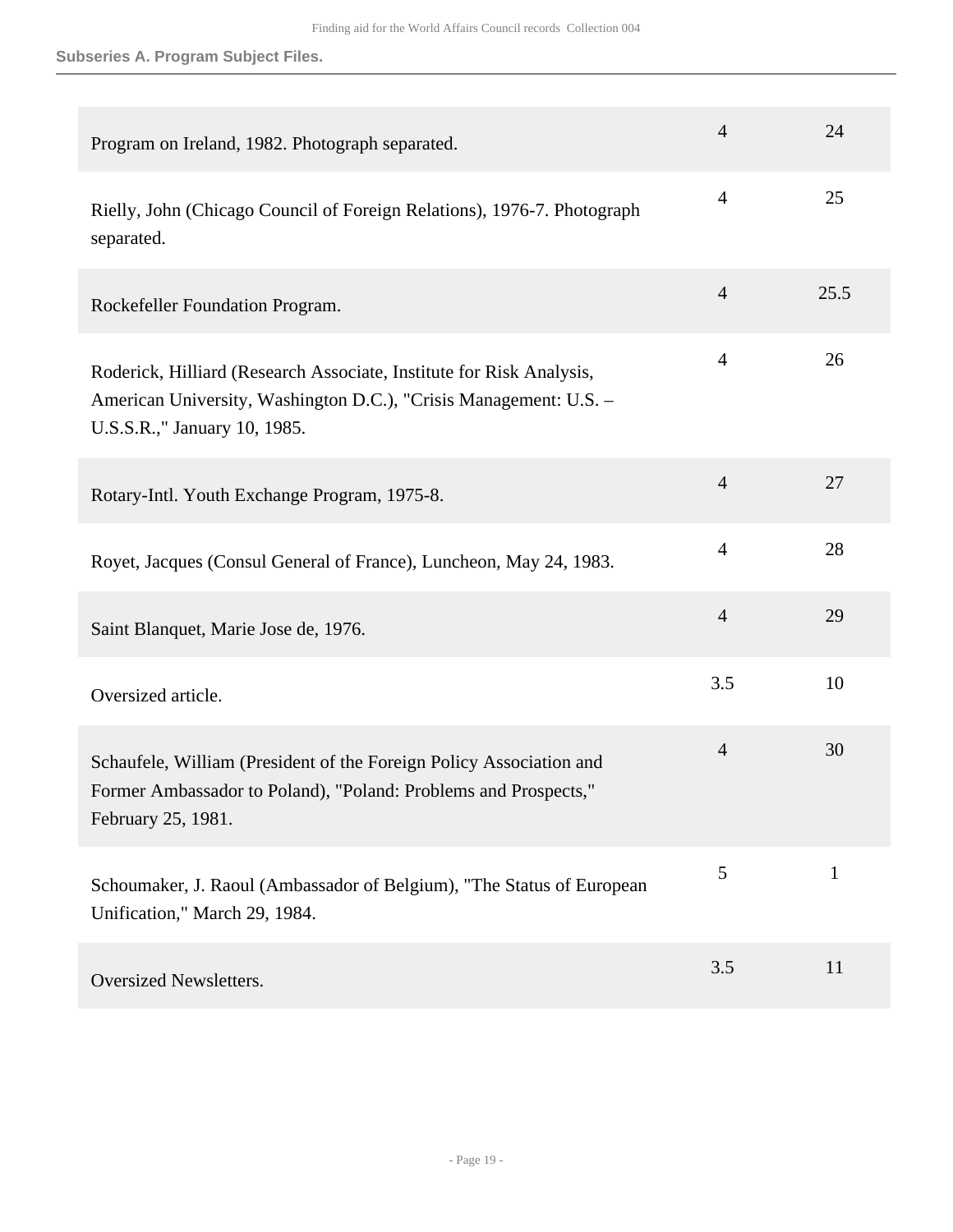## **Subseries A. Program Subject Files.**

| Program on Ireland, 1982. Photograph separated.                                                                                                                           | $\overline{4}$ | 24           |
|---------------------------------------------------------------------------------------------------------------------------------------------------------------------------|----------------|--------------|
| Rielly, John (Chicago Council of Foreign Relations), 1976-7. Photograph<br>separated.                                                                                     | $\overline{4}$ | 25           |
| Rockefeller Foundation Program.                                                                                                                                           | $\overline{4}$ | 25.5         |
| Roderick, Hilliard (Research Associate, Institute for Risk Analysis,<br>American University, Washington D.C.), "Crisis Management: U.S. -<br>U.S.S.R.," January 10, 1985. | $\overline{4}$ | 26           |
| Rotary-Intl. Youth Exchange Program, 1975-8.                                                                                                                              | $\overline{4}$ | 27           |
| Royet, Jacques (Consul General of France), Luncheon, May 24, 1983.                                                                                                        | $\overline{4}$ | 28           |
| Saint Blanquet, Marie Jose de, 1976.                                                                                                                                      | $\overline{4}$ | 29           |
| Oversized article.                                                                                                                                                        | 3.5            | 10           |
| Schaufele, William (President of the Foreign Policy Association and<br>Former Ambassador to Poland), "Poland: Problems and Prospects,"<br>February 25, 1981.              | $\overline{4}$ | 30           |
| Schoumaker, J. Raoul (Ambassador of Belgium), "The Status of European<br>Unification," March 29, 1984.                                                                    | 5              | $\mathbf{1}$ |
| <b>Oversized Newsletters.</b>                                                                                                                                             | 3.5            | 11           |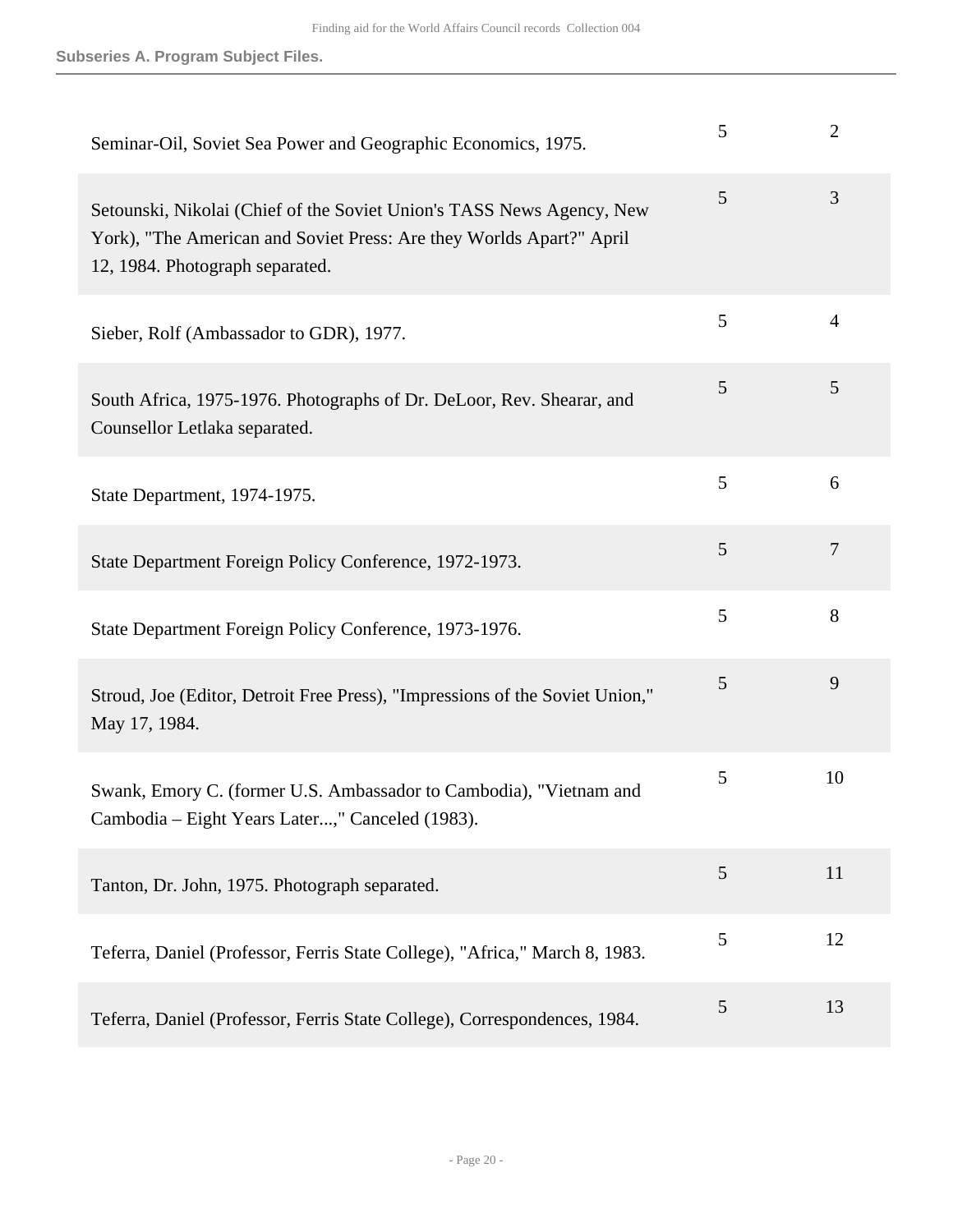| Seminar-Oil, Soviet Sea Power and Geographic Economics, 1975.                                                                                                                    | 5 | $\overline{2}$ |
|----------------------------------------------------------------------------------------------------------------------------------------------------------------------------------|---|----------------|
| Setounski, Nikolai (Chief of the Soviet Union's TASS News Agency, New<br>York), "The American and Soviet Press: Are they Worlds Apart?" April<br>12, 1984. Photograph separated. | 5 | 3              |
| Sieber, Rolf (Ambassador to GDR), 1977.                                                                                                                                          | 5 | $\overline{4}$ |
| South Africa, 1975-1976. Photographs of Dr. DeLoor, Rev. Shearar, and<br>Counsellor Letlaka separated.                                                                           | 5 | 5              |
| State Department, 1974-1975.                                                                                                                                                     | 5 | 6              |
| State Department Foreign Policy Conference, 1972-1973.                                                                                                                           | 5 | $\overline{7}$ |
| State Department Foreign Policy Conference, 1973-1976.                                                                                                                           | 5 | 8              |
| Stroud, Joe (Editor, Detroit Free Press), "Impressions of the Soviet Union,"<br>May 17, 1984.                                                                                    | 5 | 9              |
| Swank, Emory C. (former U.S. Ambassador to Cambodia), "Vietnam and<br>Cambodia - Eight Years Later," Canceled (1983).                                                            | 5 | 10             |
| Tanton, Dr. John, 1975. Photograph separated.                                                                                                                                    | 5 | 11             |
| Teferra, Daniel (Professor, Ferris State College), "Africa," March 8, 1983.                                                                                                      | 5 | 12             |
| Teferra, Daniel (Professor, Ferris State College), Correspondences, 1984.                                                                                                        | 5 | 13             |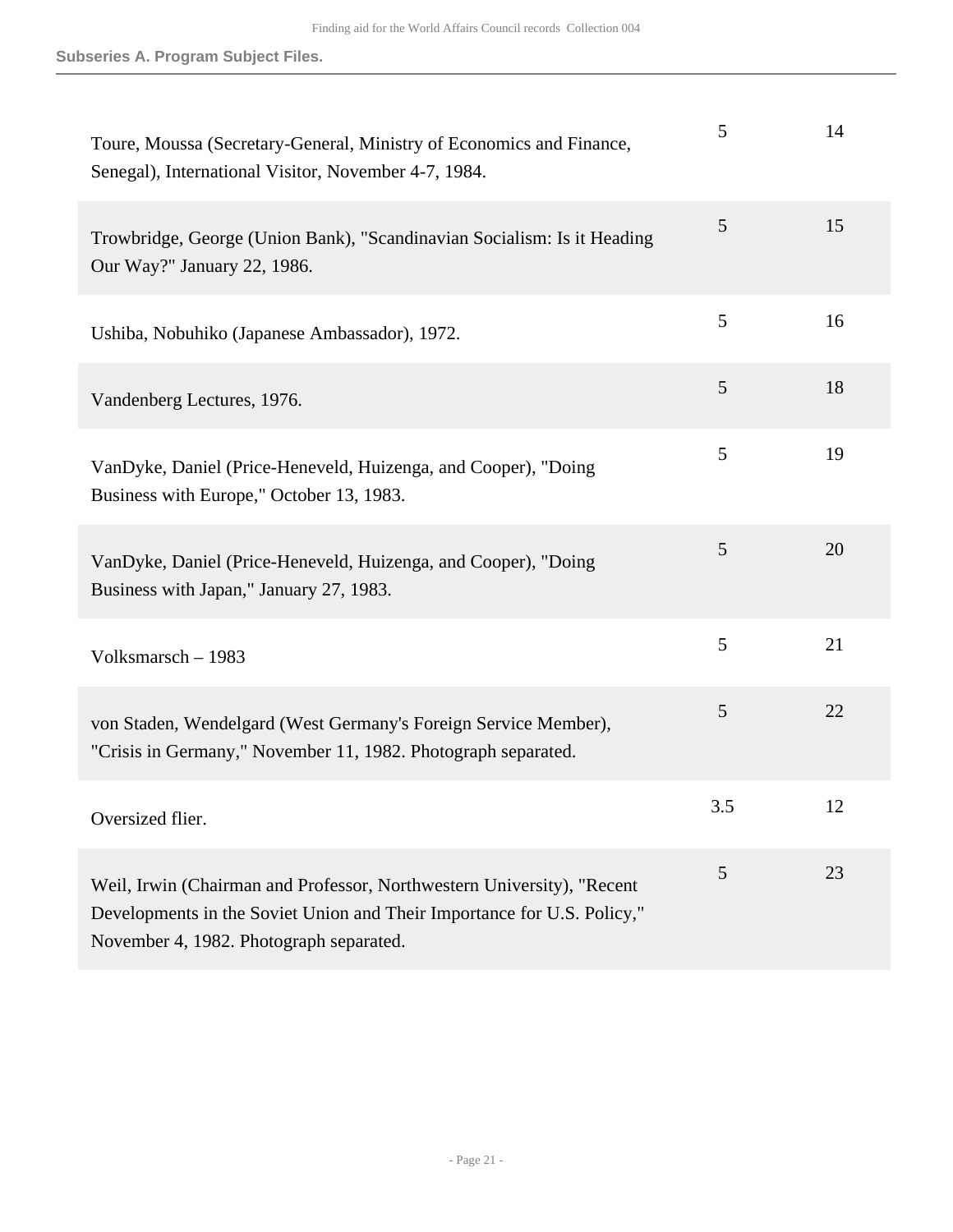| Toure, Moussa (Secretary-General, Ministry of Economics and Finance,<br>Senegal), International Visitor, November 4-7, 1984.                                                                 | 5   | 14 |
|----------------------------------------------------------------------------------------------------------------------------------------------------------------------------------------------|-----|----|
| Trowbridge, George (Union Bank), "Scandinavian Socialism: Is it Heading<br>Our Way?" January 22, 1986.                                                                                       | 5   | 15 |
| Ushiba, Nobuhiko (Japanese Ambassador), 1972.                                                                                                                                                | 5   | 16 |
| Vandenberg Lectures, 1976.                                                                                                                                                                   | 5   | 18 |
| VanDyke, Daniel (Price-Heneveld, Huizenga, and Cooper), "Doing<br>Business with Europe," October 13, 1983.                                                                                   | 5   | 19 |
| VanDyke, Daniel (Price-Heneveld, Huizenga, and Cooper), "Doing<br>Business with Japan," January 27, 1983.                                                                                    | 5   | 20 |
| Volksmarsch - 1983                                                                                                                                                                           | 5   | 21 |
| von Staden, Wendelgard (West Germany's Foreign Service Member),<br>"Crisis in Germany," November 11, 1982. Photograph separated.                                                             | 5   | 22 |
| Oversized flier.                                                                                                                                                                             | 3.5 | 12 |
| Weil, Irwin (Chairman and Professor, Northwestern University), "Recent<br>Developments in the Soviet Union and Their Importance for U.S. Policy,"<br>November 4, 1982. Photograph separated. | 5   | 23 |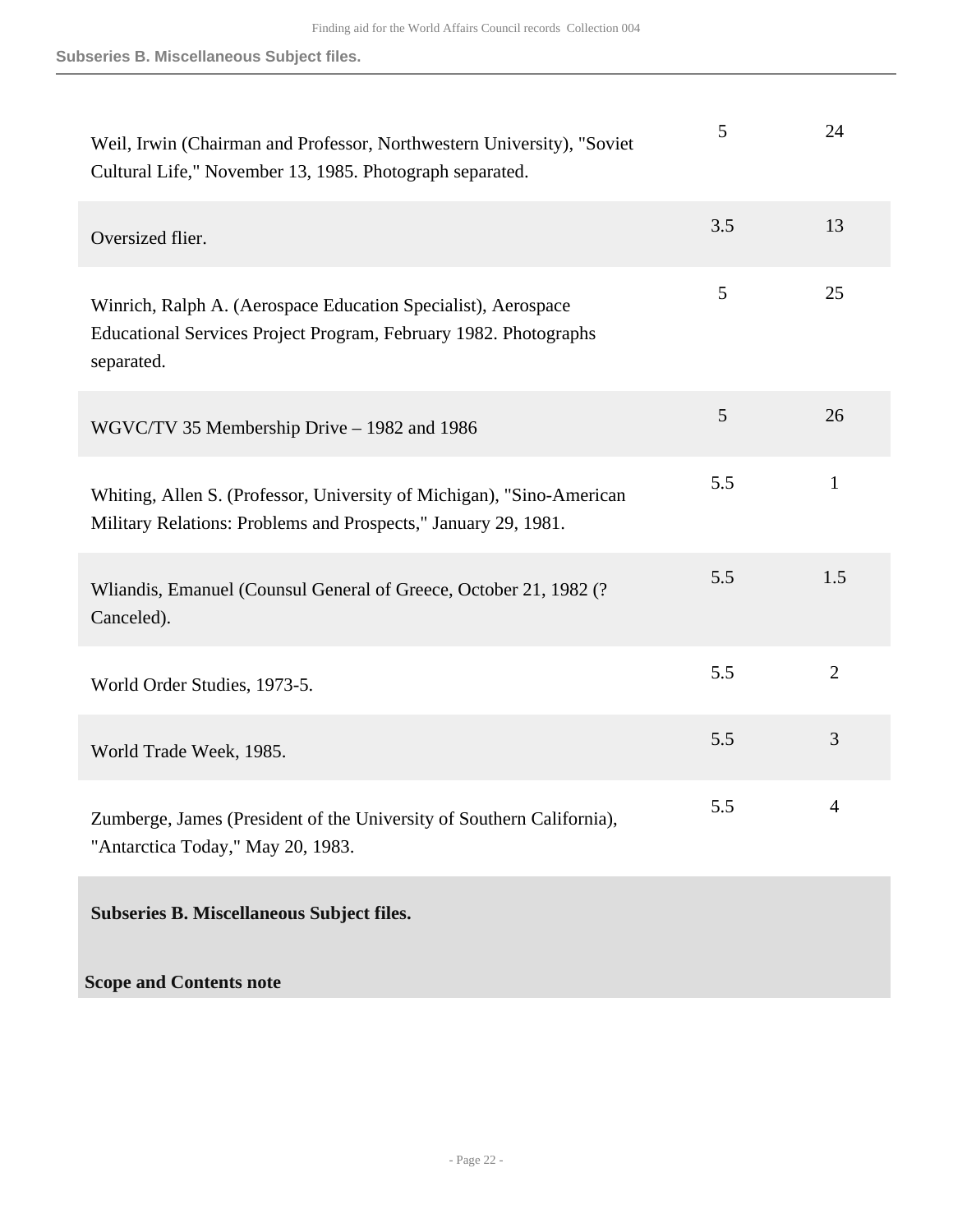**Subseries B. Miscellaneous Subject files.**

| Weil, Irwin (Chairman and Professor, Northwestern University), "Soviet<br>Cultural Life," November 13, 1985. Photograph separated.              | 5   | 24             |
|-------------------------------------------------------------------------------------------------------------------------------------------------|-----|----------------|
| Oversized flier.                                                                                                                                | 3.5 | 13             |
| Winrich, Ralph A. (Aerospace Education Specialist), Aerospace<br>Educational Services Project Program, February 1982. Photographs<br>separated. | 5   | 25             |
| WGVC/TV 35 Membership Drive - 1982 and 1986                                                                                                     | 5   | 26             |
| Whiting, Allen S. (Professor, University of Michigan), "Sino-American<br>Military Relations: Problems and Prospects," January 29, 1981.         | 5.5 | $\mathbf{1}$   |
| Wliandis, Emanuel (Counsul General of Greece, October 21, 1982 (?<br>Canceled).                                                                 | 5.5 | 1.5            |
| World Order Studies, 1973-5.                                                                                                                    | 5.5 | $\overline{2}$ |
| World Trade Week, 1985.                                                                                                                         | 5.5 | 3              |
| Zumberge, James (President of the University of Southern California),<br>"Antarctica Today," May 20, 1983.                                      | 5.5 | 4              |
| <b>Subseries B. Miscellaneous Subject files.</b>                                                                                                |     |                |
| <b>Scope and Contents note</b>                                                                                                                  |     |                |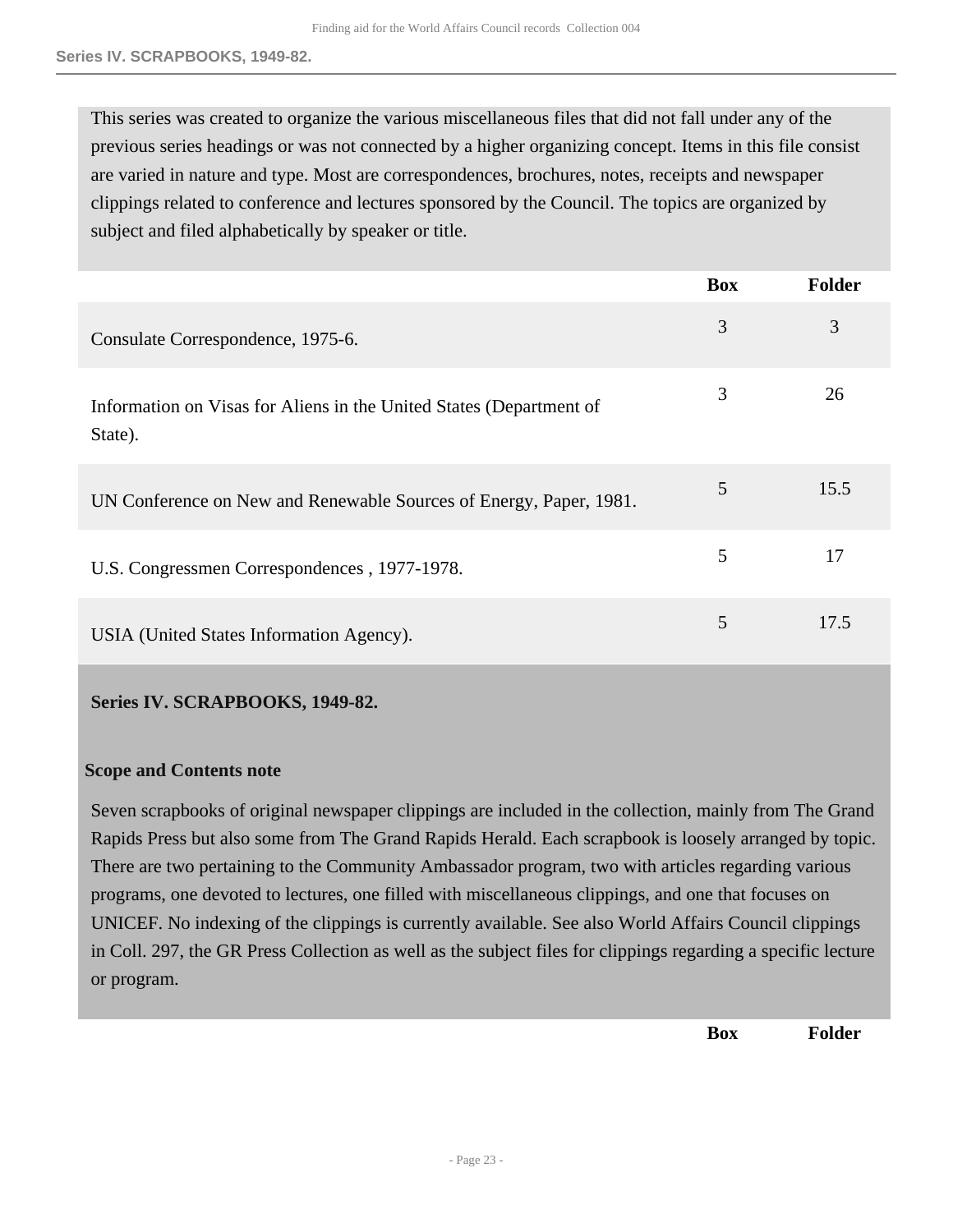This series was created to organize the various miscellaneous files that did not fall under any of the previous series headings or was not connected by a higher organizing concept. Items in this file consist are varied in nature and type. Most are correspondences, brochures, notes, receipts and newspaper clippings related to conference and lectures sponsored by the Council. The topics are organized by subject and filed alphabetically by speaker or title.

|                                                                                | <b>Box</b> | Folder |
|--------------------------------------------------------------------------------|------------|--------|
| Consulate Correspondence, 1975-6.                                              | 3          | 3      |
| Information on Visas for Aliens in the United States (Department of<br>State). | 3          | 26     |
| UN Conference on New and Renewable Sources of Energy, Paper, 1981.             | 5          | 15.5   |
| U.S. Congressmen Correspondences, 1977-1978.                                   | 5          | 17     |
| USIA (United States Information Agency).                                       | 5          | 17.5   |

## <span id="page-22-0"></span>**Series IV. SCRAPBOOKS, 1949-82.**

#### **Scope and Contents note**

Seven scrapbooks of original newspaper clippings are included in the collection, mainly from The Grand Rapids Press but also some from The Grand Rapids Herald. Each scrapbook is loosely arranged by topic. There are two pertaining to the Community Ambassador program, two with articles regarding various programs, one devoted to lectures, one filled with miscellaneous clippings, and one that focuses on UNICEF. No indexing of the clippings is currently available. See also World Affairs Council clippings in Coll. 297, the GR Press Collection as well as the subject files for clippings regarding a specific lecture or program.

**Box Folder**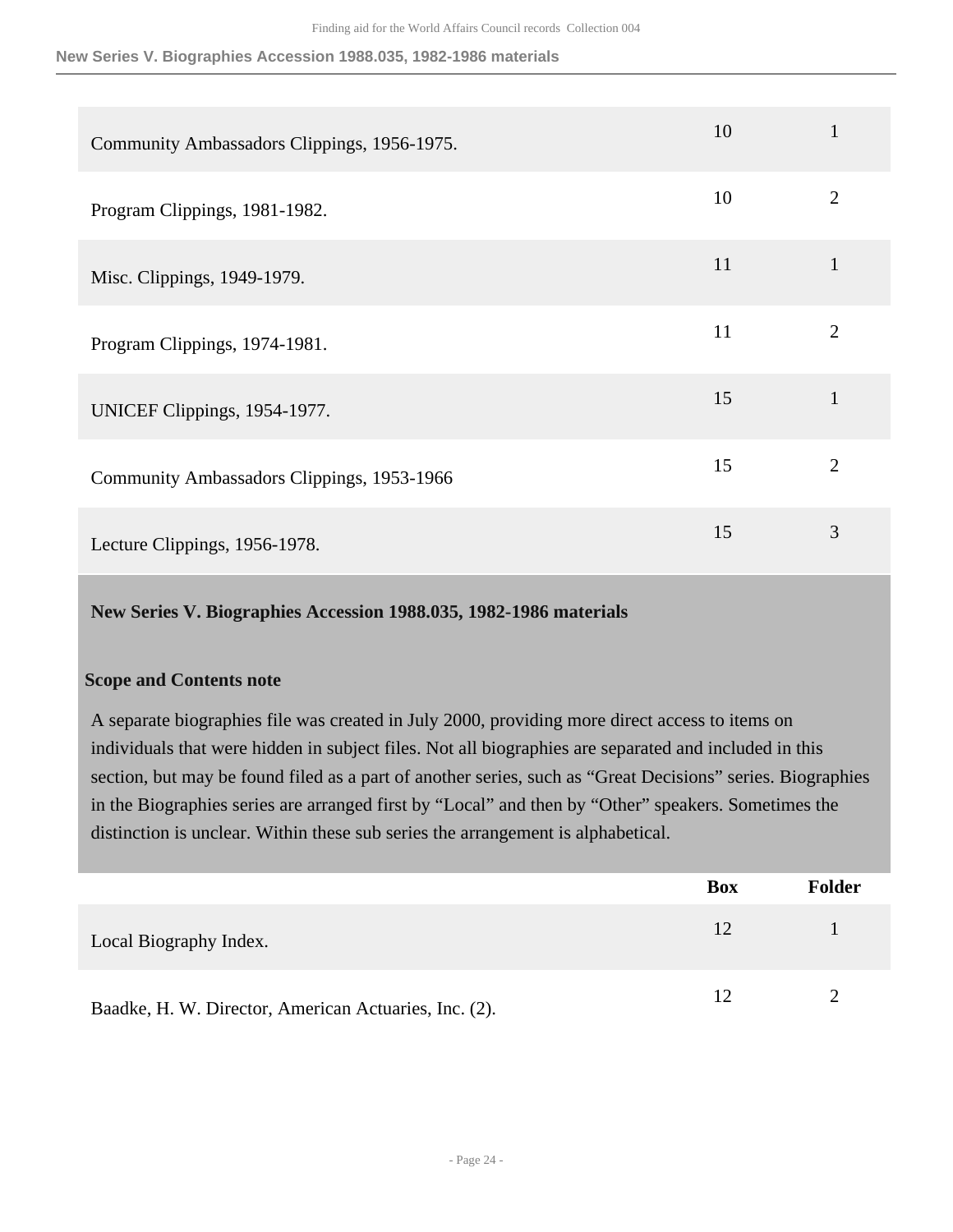| Community Ambassadors Clippings, 1956-1975. | 10 |                |
|---------------------------------------------|----|----------------|
| Program Clippings, 1981-1982.               | 10 | 2              |
| Misc. Clippings, 1949-1979.                 | 11 | 1              |
| Program Clippings, 1974-1981.               | 11 | $\overline{2}$ |
| UNICEF Clippings, 1954-1977.                | 15 | 1              |
| Community Ambassadors Clippings, 1953-1966  | 15 | $\overline{2}$ |
| Lecture Clippings, 1956-1978.               | 15 | 3              |

<span id="page-23-0"></span>**New Series V. Biographies Accession 1988.035, 1982-1986 materials** 

## **Scope and Contents note**

A separate biographies file was created in July 2000, providing more direct access to items on individuals that were hidden in subject files. Not all biographies are separated and included in this section, but may be found filed as a part of another series, such as "Great Decisions" series. Biographies in the Biographies series are arranged first by "Local" and then by "Other" speakers. Sometimes the distinction is unclear. Within these sub series the arrangement is alphabetical.

|                                                       | <b>Box</b>      | <b>Folder</b> |
|-------------------------------------------------------|-----------------|---------------|
| Local Biography Index.                                | 12 <sub>1</sub> |               |
| Baadke, H. W. Director, American Actuaries, Inc. (2). | 12 <sup>°</sup> |               |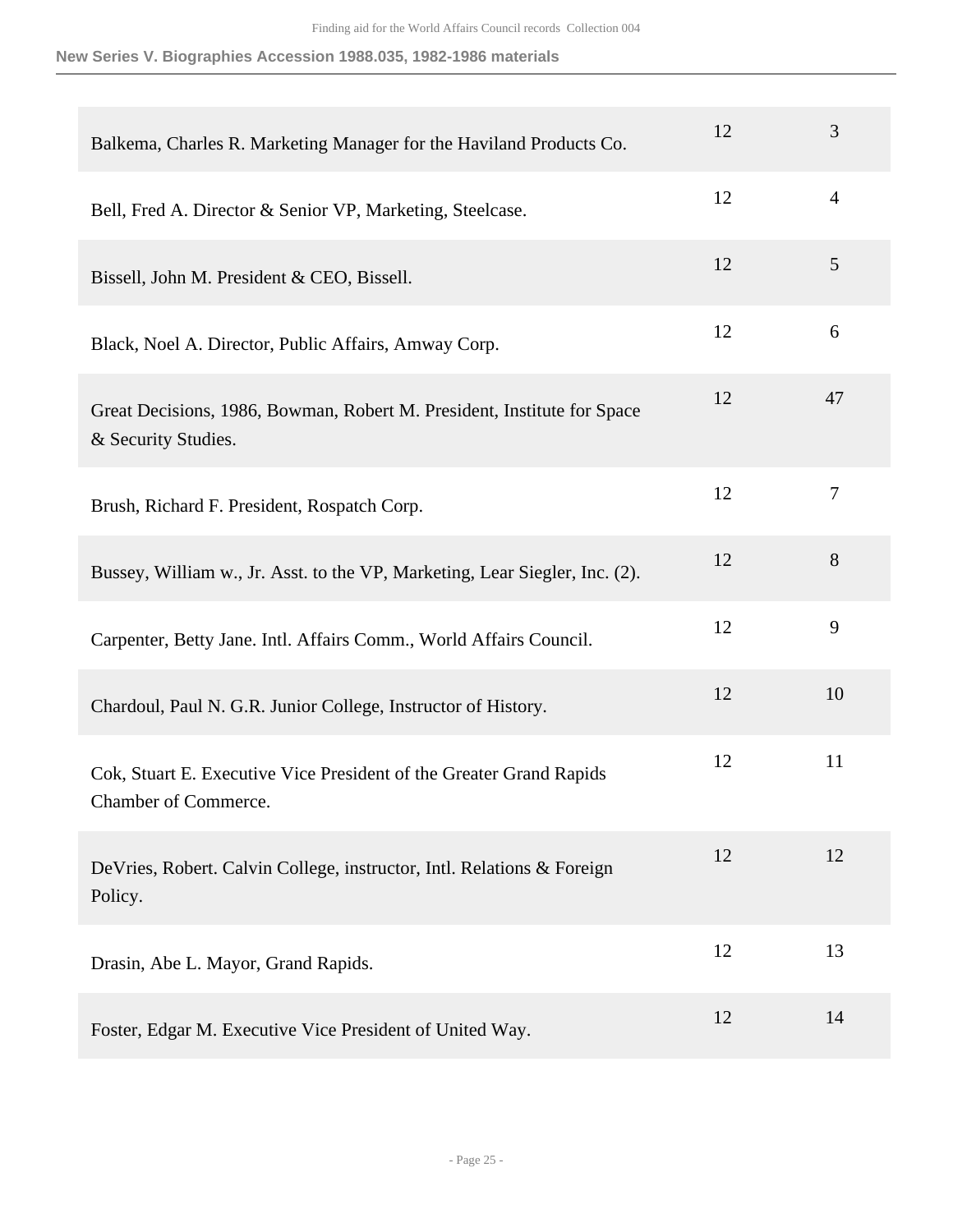| Balkema, Charles R. Marketing Manager for the Haviland Products Co.                            | 12 | 3              |
|------------------------------------------------------------------------------------------------|----|----------------|
| Bell, Fred A. Director & Senior VP, Marketing, Steelcase.                                      | 12 | $\overline{4}$ |
| Bissell, John M. President & CEO, Bissell.                                                     | 12 | 5              |
| Black, Noel A. Director, Public Affairs, Amway Corp.                                           | 12 | 6              |
| Great Decisions, 1986, Bowman, Robert M. President, Institute for Space<br>& Security Studies. | 12 | 47             |
| Brush, Richard F. President, Rospatch Corp.                                                    | 12 | $\tau$         |
| Bussey, William w., Jr. Asst. to the VP, Marketing, Lear Siegler, Inc. (2).                    | 12 | 8              |
| Carpenter, Betty Jane. Intl. Affairs Comm., World Affairs Council.                             | 12 | 9              |
| Chardoul, Paul N. G.R. Junior College, Instructor of History.                                  | 12 | 10             |
| Cok, Stuart E. Executive Vice President of the Greater Grand Rapids<br>Chamber of Commerce.    | 12 | 11             |
| DeVries, Robert. Calvin College, instructor, Intl. Relations & Foreign<br>Policy.              | 12 | 12             |
| Drasin, Abe L. Mayor, Grand Rapids.                                                            | 12 | 13             |
| Foster, Edgar M. Executive Vice President of United Way.                                       | 12 | 14             |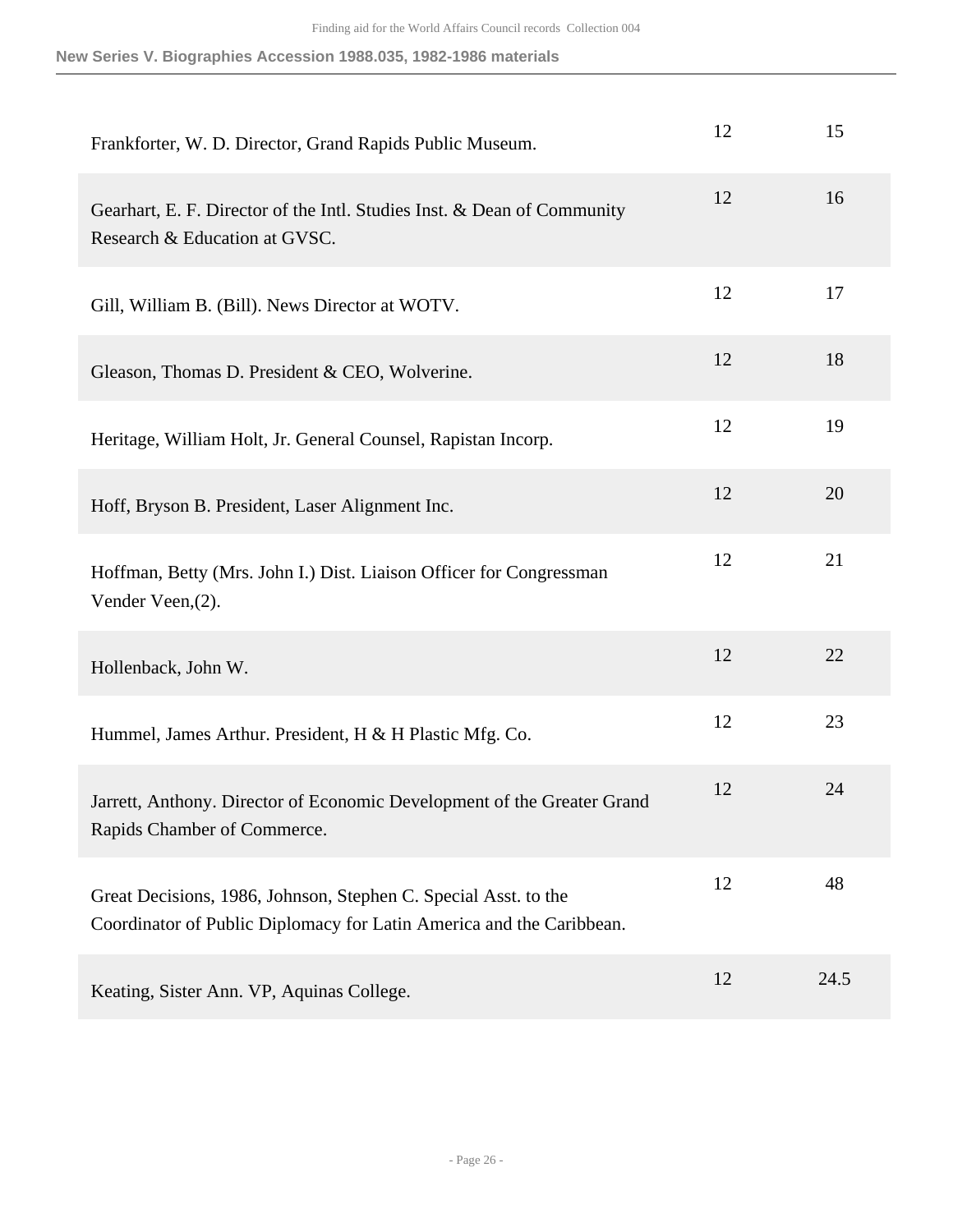| Frankforter, W. D. Director, Grand Rapids Public Museum.                                                                                | 12 | 15   |
|-----------------------------------------------------------------------------------------------------------------------------------------|----|------|
| Gearhart, E. F. Director of the Intl. Studies Inst. & Dean of Community<br>Research & Education at GVSC.                                | 12 | 16   |
| Gill, William B. (Bill). News Director at WOTV.                                                                                         | 12 | 17   |
| Gleason, Thomas D. President & CEO, Wolverine.                                                                                          | 12 | 18   |
| Heritage, William Holt, Jr. General Counsel, Rapistan Incorp.                                                                           | 12 | 19   |
| Hoff, Bryson B. President, Laser Alignment Inc.                                                                                         | 12 | 20   |
| Hoffman, Betty (Mrs. John I.) Dist. Liaison Officer for Congressman<br>Vender Veen, (2).                                                | 12 | 21   |
| Hollenback, John W.                                                                                                                     | 12 | 22   |
| Hummel, James Arthur. President, H & H Plastic Mfg. Co.                                                                                 | 12 | 23   |
| Jarrett, Anthony. Director of Economic Development of the Greater Grand<br>Rapids Chamber of Commerce.                                  | 12 | 24   |
| Great Decisions, 1986, Johnson, Stephen C. Special Asst. to the<br>Coordinator of Public Diplomacy for Latin America and the Caribbean. | 12 | 48   |
| Keating, Sister Ann. VP, Aquinas College.                                                                                               | 12 | 24.5 |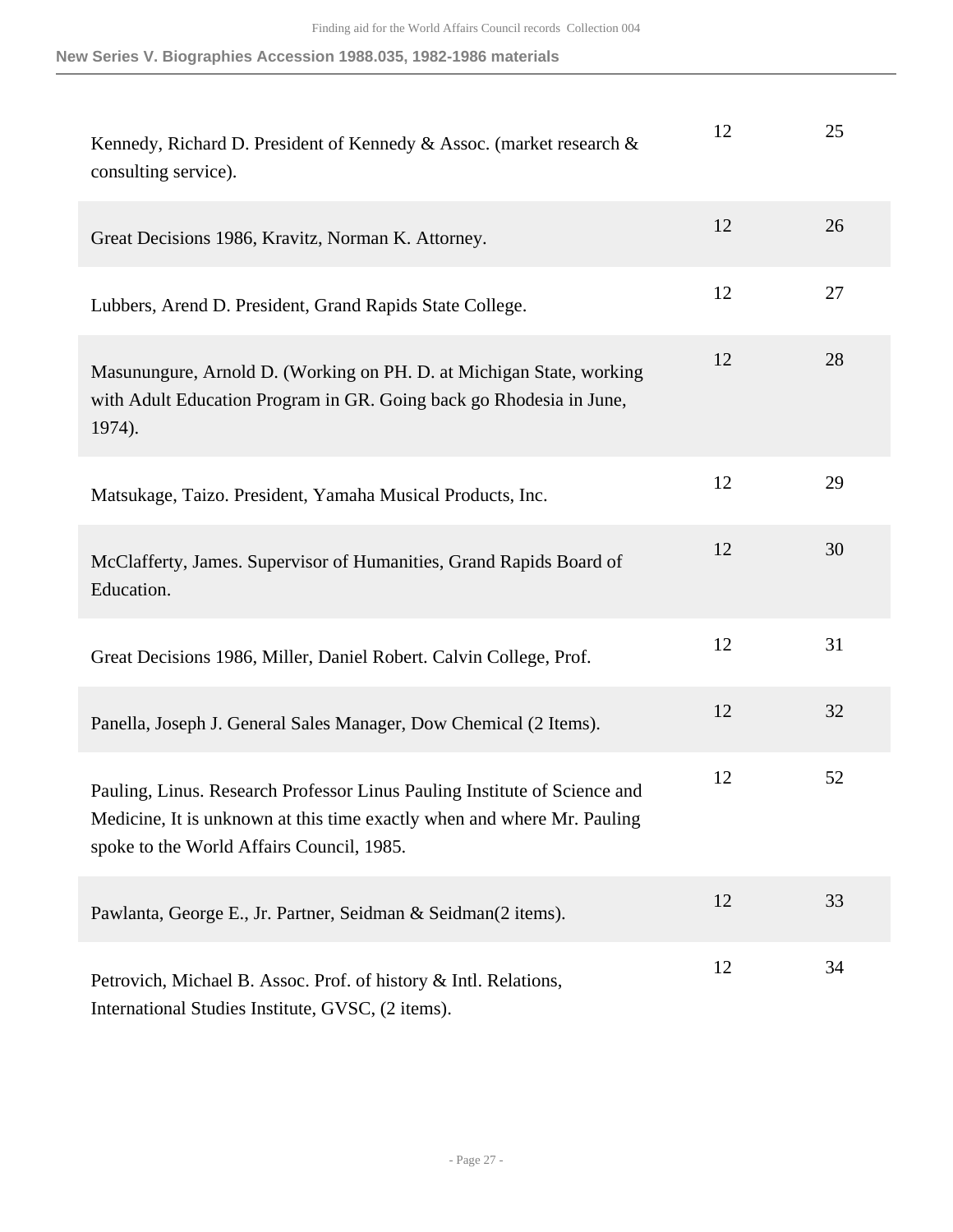| Kennedy, Richard D. President of Kennedy & Assoc. (market research &<br>consulting service).                                                                                                      | 12 | 25 |
|---------------------------------------------------------------------------------------------------------------------------------------------------------------------------------------------------|----|----|
| Great Decisions 1986, Kravitz, Norman K. Attorney.                                                                                                                                                | 12 | 26 |
| Lubbers, Arend D. President, Grand Rapids State College.                                                                                                                                          | 12 | 27 |
| Masunungure, Arnold D. (Working on PH. D. at Michigan State, working<br>with Adult Education Program in GR. Going back go Rhodesia in June,<br>1974).                                             | 12 | 28 |
| Matsukage, Taizo. President, Yamaha Musical Products, Inc.                                                                                                                                        | 12 | 29 |
| McClafferty, James. Supervisor of Humanities, Grand Rapids Board of<br>Education.                                                                                                                 | 12 | 30 |
| Great Decisions 1986, Miller, Daniel Robert. Calvin College, Prof.                                                                                                                                | 12 | 31 |
| Panella, Joseph J. General Sales Manager, Dow Chemical (2 Items).                                                                                                                                 | 12 | 32 |
| Pauling, Linus. Research Professor Linus Pauling Institute of Science and<br>Medicine, It is unknown at this time exactly when and where Mr. Pauling<br>spoke to the World Affairs Council, 1985. | 12 | 52 |
| Pawlanta, George E., Jr. Partner, Seidman & Seidman(2 items).                                                                                                                                     | 12 | 33 |
| Petrovich, Michael B. Assoc. Prof. of history & Intl. Relations,<br>International Studies Institute, GVSC, (2 items).                                                                             | 12 | 34 |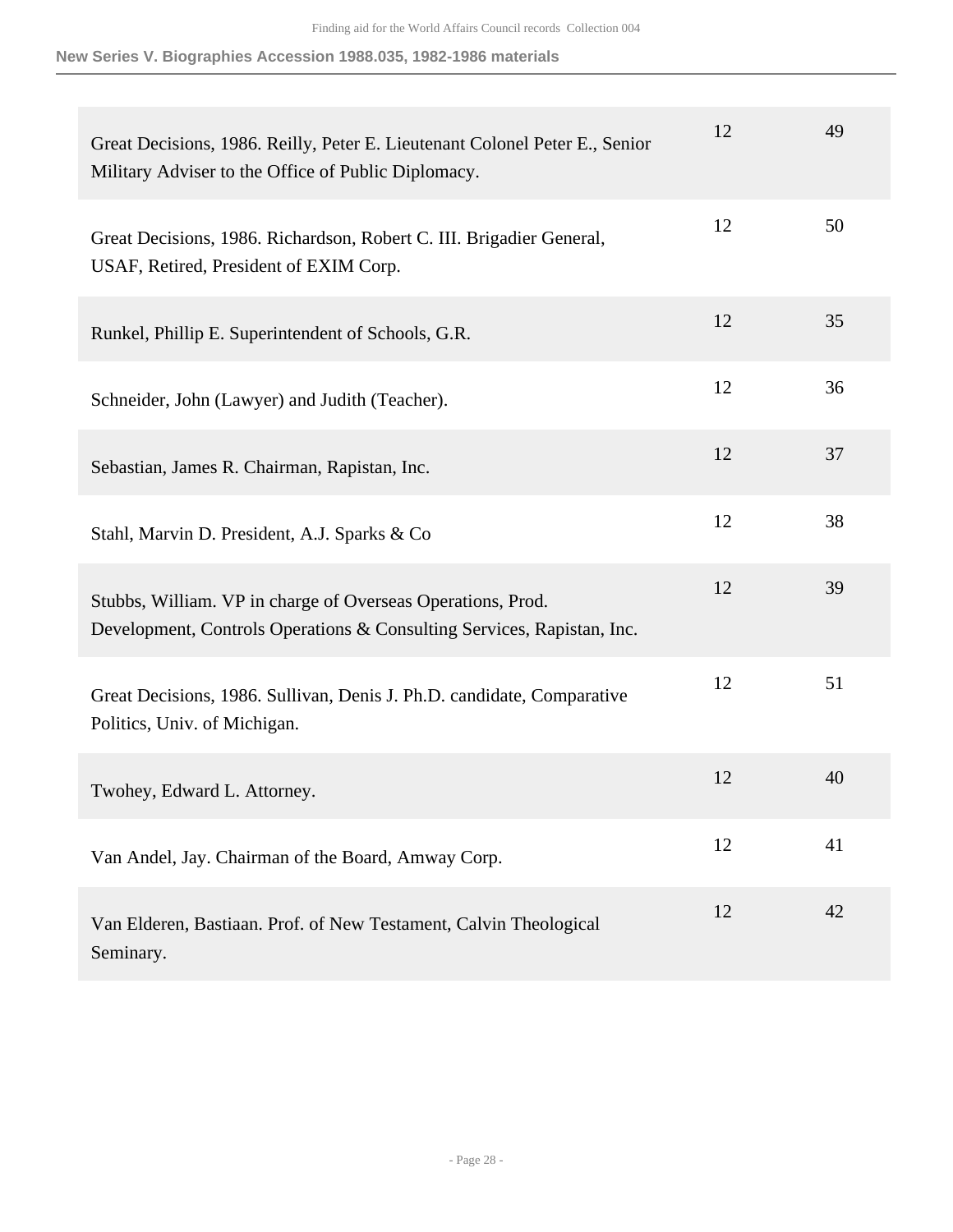| Great Decisions, 1986. Reilly, Peter E. Lieutenant Colonel Peter E., Senior<br>Military Adviser to the Office of Public Diplomacy.    | 12 | 49 |
|---------------------------------------------------------------------------------------------------------------------------------------|----|----|
| Great Decisions, 1986. Richardson, Robert C. III. Brigadier General,<br>USAF, Retired, President of EXIM Corp.                        | 12 | 50 |
| Runkel, Phillip E. Superintendent of Schools, G.R.                                                                                    | 12 | 35 |
| Schneider, John (Lawyer) and Judith (Teacher).                                                                                        | 12 | 36 |
| Sebastian, James R. Chairman, Rapistan, Inc.                                                                                          | 12 | 37 |
| Stahl, Marvin D. President, A.J. Sparks & Co                                                                                          | 12 | 38 |
| Stubbs, William. VP in charge of Overseas Operations, Prod.<br>Development, Controls Operations & Consulting Services, Rapistan, Inc. | 12 | 39 |
| Great Decisions, 1986. Sullivan, Denis J. Ph.D. candidate, Comparative<br>Politics, Univ. of Michigan.                                | 12 | 51 |
| Twohey, Edward L. Attorney.                                                                                                           | 12 | 40 |
| Van Andel, Jay. Chairman of the Board, Amway Corp.                                                                                    | 12 | 41 |
| Van Elderen, Bastiaan. Prof. of New Testament, Calvin Theological<br>Seminary.                                                        | 12 | 42 |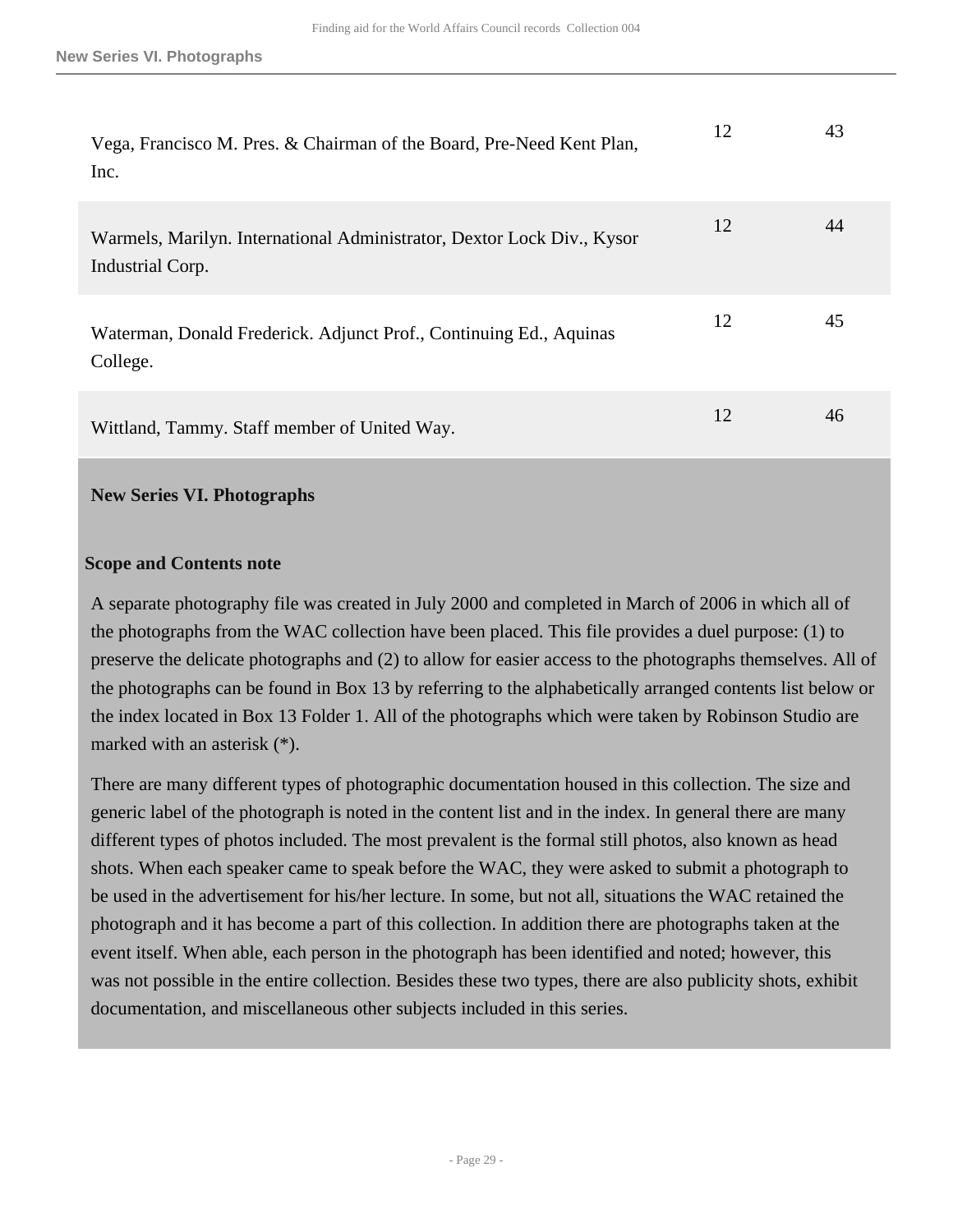| Vega, Francisco M. Pres. & Chairman of the Board, Pre-Need Kent Plan,<br>Inc.              | 12 | 43 |
|--------------------------------------------------------------------------------------------|----|----|
| Warmels, Marilyn. International Administrator, Dextor Lock Div., Kysor<br>Industrial Corp. | 12 | 44 |
| Waterman, Donald Frederick. Adjunct Prof., Continuing Ed., Aquinas<br>College.             | 12 | 45 |
| Wittland, Tammy. Staff member of United Way.                                               | 12 | 46 |

#### <span id="page-28-0"></span>**New Series VI. Photographs**

#### **Scope and Contents note**

A separate photography file was created in July 2000 and completed in March of 2006 in which all of the photographs from the WAC collection have been placed. This file provides a duel purpose: (1) to preserve the delicate photographs and (2) to allow for easier access to the photographs themselves. All of the photographs can be found in Box 13 by referring to the alphabetically arranged contents list below or the index located in Box 13 Folder 1. All of the photographs which were taken by Robinson Studio are marked with an asterisk (\*).

There are many different types of photographic documentation housed in this collection. The size and generic label of the photograph is noted in the content list and in the index. In general there are many different types of photos included. The most prevalent is the formal still photos, also known as head shots. When each speaker came to speak before the WAC, they were asked to submit a photograph to be used in the advertisement for his/her lecture. In some, but not all, situations the WAC retained the photograph and it has become a part of this collection. In addition there are photographs taken at the event itself. When able, each person in the photograph has been identified and noted; however, this was not possible in the entire collection. Besides these two types, there are also publicity shots, exhibit documentation, and miscellaneous other subjects included in this series.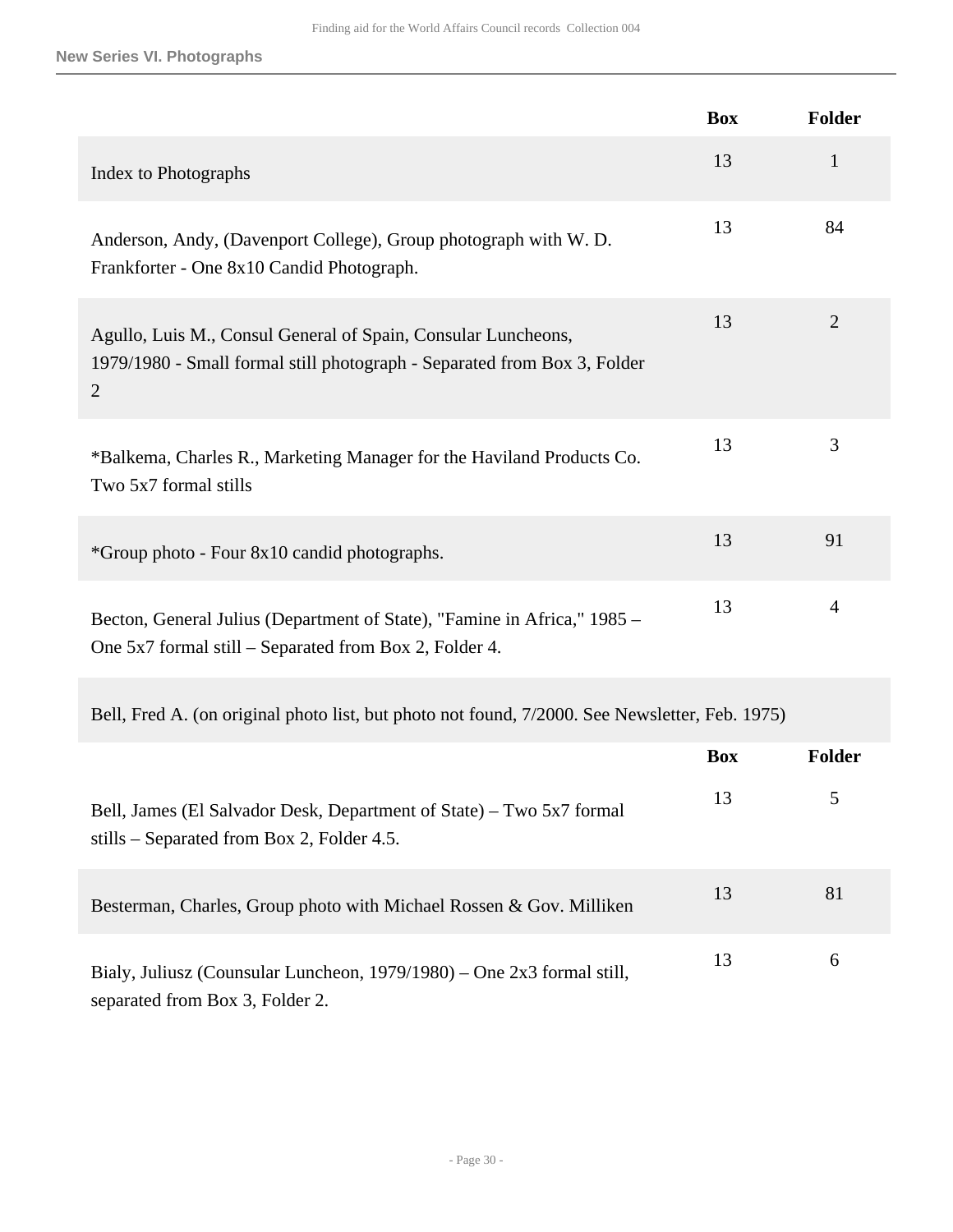## **New Series VI. Photographs**

|                                                                                                                                                             | <b>Box</b> | <b>Folder</b>  |
|-------------------------------------------------------------------------------------------------------------------------------------------------------------|------------|----------------|
| Index to Photographs                                                                                                                                        | 13         | $\mathbf{1}$   |
| Anderson, Andy, (Davenport College), Group photograph with W. D.<br>Frankforter - One 8x10 Candid Photograph.                                               | 13         | 84             |
| Agullo, Luis M., Consul General of Spain, Consular Luncheons,<br>1979/1980 - Small formal still photograph - Separated from Box 3, Folder<br>$\overline{2}$ | 13         | $\overline{2}$ |
| *Balkema, Charles R., Marketing Manager for the Haviland Products Co.<br>Two 5x7 formal stills                                                              | 13         | 3              |
| *Group photo - Four 8x10 candid photographs.                                                                                                                | 13         | 91             |
| Becton, General Julius (Department of State), "Famine in Africa," 1985 -<br>One 5x7 formal still – Separated from Box 2, Folder 4.                          | 13         | 4              |
| Bell, Fred A. (on original photo list, but photo not found, 7/2000. See Newsletter, Feb. 1975)                                                              |            |                |
|                                                                                                                                                             | <b>Box</b> | <b>Folder</b>  |
| Bell, James (El Salvador Desk, Department of State) - Two 5x7 formal<br>stills – Separated from Box 2, Folder 4.5.                                          | 13         | 5              |
| Besterman, Charles, Group photo with Michael Rossen & Gov. Milliken                                                                                         | 13         | 81             |
| Bialy, Juliusz (Counsular Luncheon, 1979/1980) – One 2x3 formal still,<br>separated from Box 3, Folder 2.                                                   | 13         | 6              |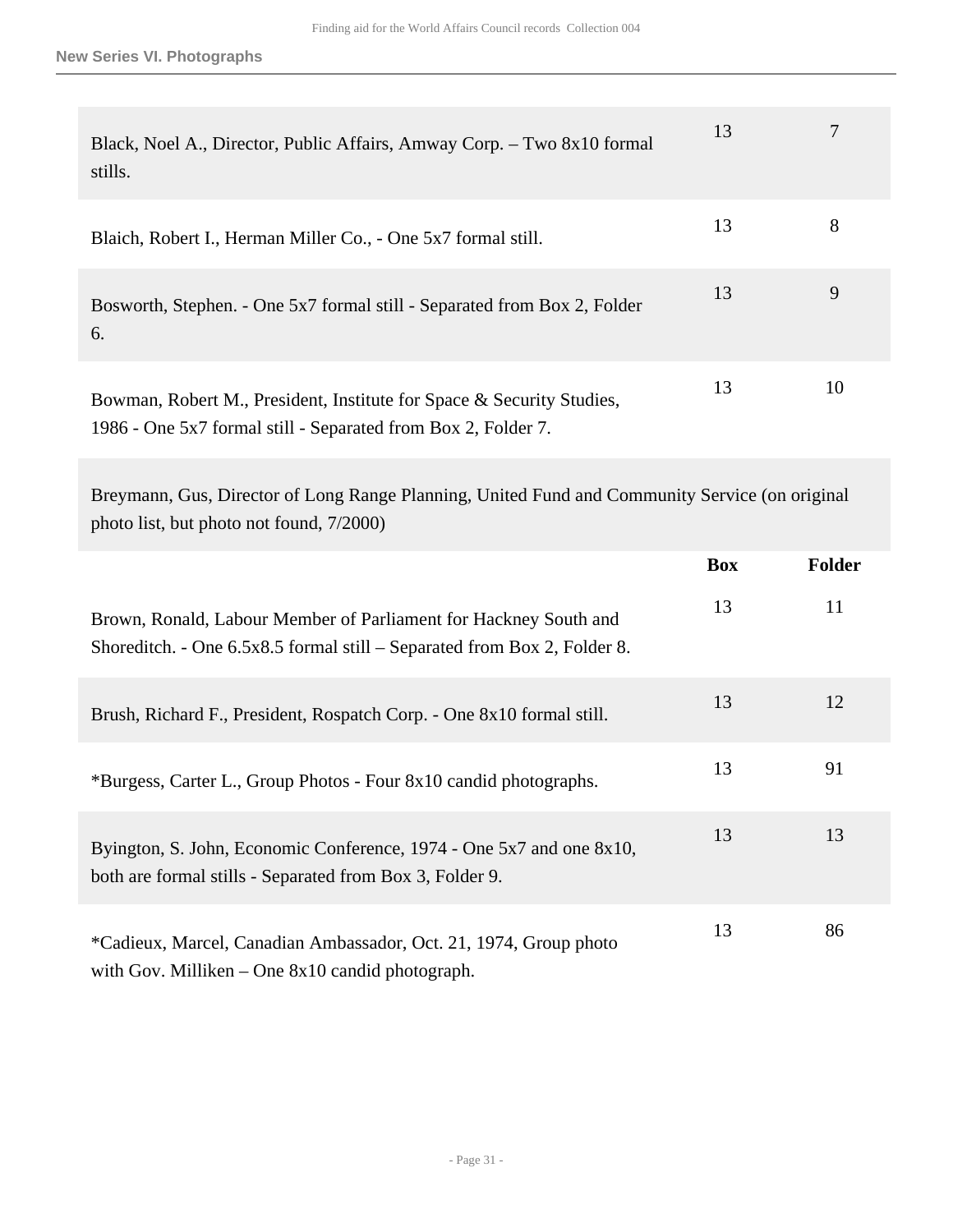| Black, Noel A., Director, Public Affairs, Amway Corp. - Two 8x10 formal<br>stills.                                                     | 13 |    |
|----------------------------------------------------------------------------------------------------------------------------------------|----|----|
| Blaich, Robert I., Herman Miller Co., - One 5x7 formal still.                                                                          | 13 | 8  |
| Bosworth, Stephen. - One 5x7 formal still - Separated from Box 2, Folder<br>6.                                                         | 13 | 9  |
| Bowman, Robert M., President, Institute for Space & Security Studies,<br>1986 - One 5x7 formal still - Separated from Box 2, Folder 7. | 13 | 10 |

Breymann, Gus, Director of Long Range Planning, United Fund and Community Service (on original photo list, but photo not found, 7/2000)

|                                                                                                                                              | <b>Box</b> | <b>Folder</b> |
|----------------------------------------------------------------------------------------------------------------------------------------------|------------|---------------|
| Brown, Ronald, Labour Member of Parliament for Hackney South and<br>Shoreditch. - One 6.5x8.5 formal still – Separated from Box 2, Folder 8. | 13         | 11            |
| Brush, Richard F., President, Rospatch Corp. - One 8x10 formal still.                                                                        | 13         | 12            |
| *Burgess, Carter L., Group Photos - Four 8x10 candid photographs.                                                                            | 13         | 91            |
| Byington, S. John, Economic Conference, 1974 - One 5x7 and one 8x10,<br>both are formal stills - Separated from Box 3, Folder 9.             | 13         | 13            |
| *Cadieux, Marcel, Canadian Ambassador, Oct. 21, 1974, Group photo<br>with Gov. Milliken $-$ One 8x10 candid photograph.                      | 13         | 86            |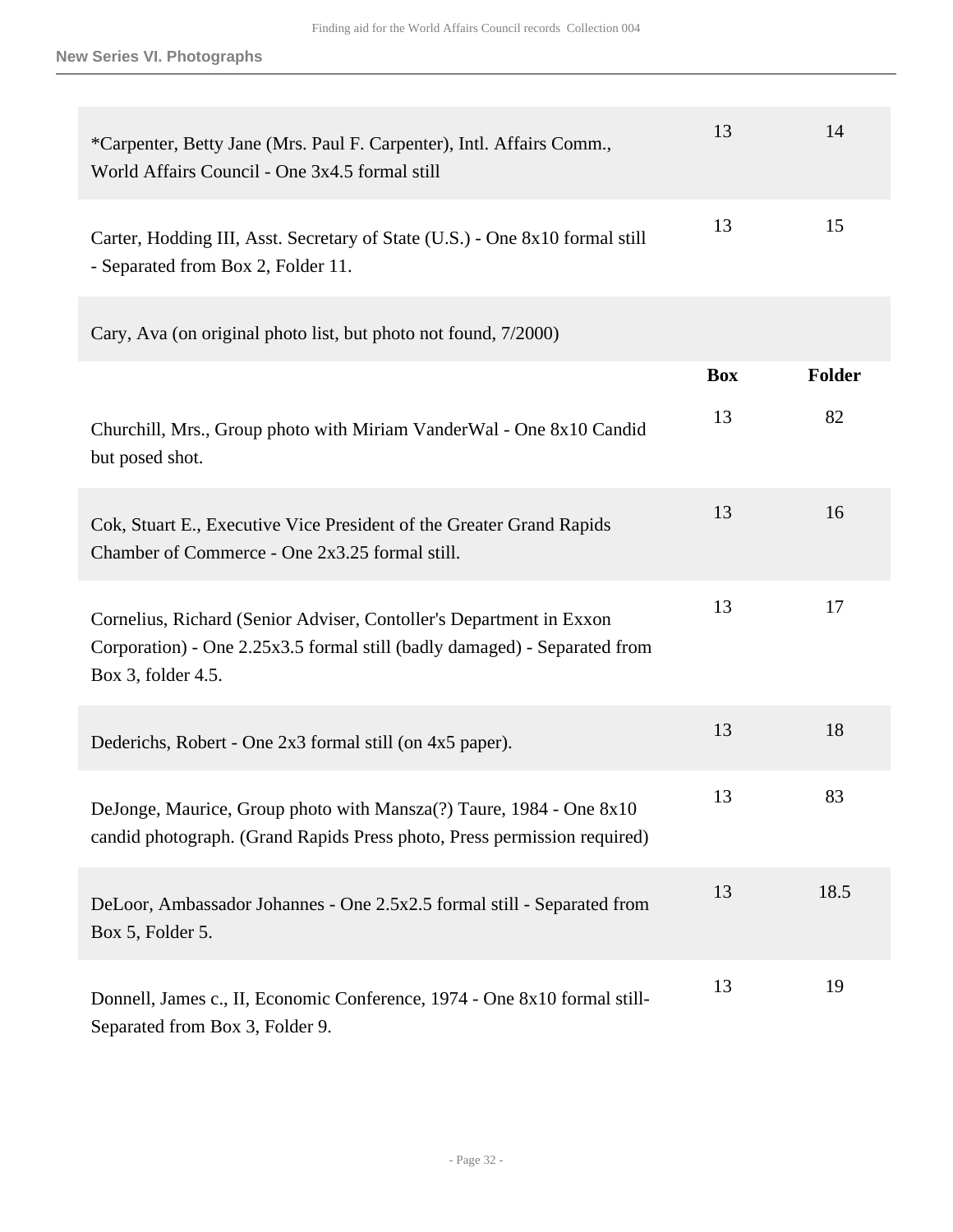| *Carpenter, Betty Jane (Mrs. Paul F. Carpenter), Intl. Affairs Comm.,<br>World Affairs Council - One 3x4.5 formal still                                                | 13         | 14            |
|------------------------------------------------------------------------------------------------------------------------------------------------------------------------|------------|---------------|
| Carter, Hodding III, Asst. Secretary of State (U.S.) - One 8x10 formal still<br>- Separated from Box 2, Folder 11.                                                     | 13         | 15            |
| Cary, Ava (on original photo list, but photo not found, 7/2000)                                                                                                        |            |               |
|                                                                                                                                                                        | <b>Box</b> | <b>Folder</b> |
| Churchill, Mrs., Group photo with Miriam VanderWal - One 8x10 Candid<br>but posed shot.                                                                                | 13         | 82            |
| Cok, Stuart E., Executive Vice President of the Greater Grand Rapids<br>Chamber of Commerce - One 2x3.25 formal still.                                                 | 13         | 16            |
| Cornelius, Richard (Senior Adviser, Contoller's Department in Exxon<br>Corporation) - One 2.25x3.5 formal still (badly damaged) - Separated from<br>Box 3, folder 4.5. | 13         | 17            |
| Dederichs, Robert - One 2x3 formal still (on 4x5 paper).                                                                                                               | 13         | 18            |
| DeJonge, Maurice, Group photo with Mansza(?) Taure, 1984 - One 8x10<br>candid photograph. (Grand Rapids Press photo, Press permission required)                        | 13         | 83            |
| DeLoor, Ambassador Johannes - One 2.5x2.5 formal still - Separated from<br>Box 5, Folder 5.                                                                            | 13         | 18.5          |
| Donnell, James c., II, Economic Conference, 1974 - One 8x10 formal still-<br>Separated from Box 3, Folder 9.                                                           | 13         | 19            |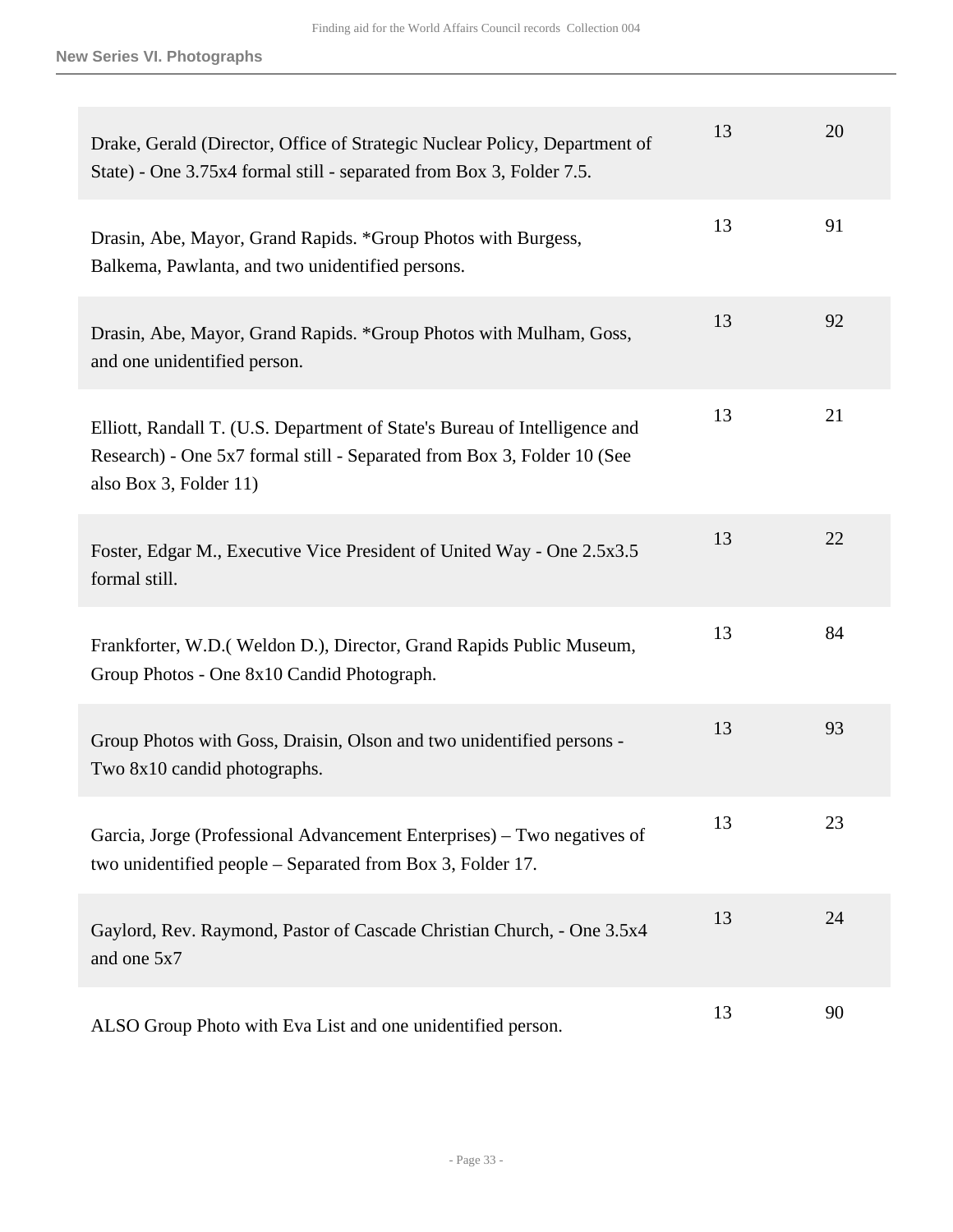| Drake, Gerald (Director, Office of Strategic Nuclear Policy, Department of<br>State) - One 3.75x4 formal still - separated from Box 3, Folder 7.5.                              | 13 | 20 |
|---------------------------------------------------------------------------------------------------------------------------------------------------------------------------------|----|----|
| Drasin, Abe, Mayor, Grand Rapids. *Group Photos with Burgess,<br>Balkema, Pawlanta, and two unidentified persons.                                                               | 13 | 91 |
| Drasin, Abe, Mayor, Grand Rapids. *Group Photos with Mulham, Goss,<br>and one unidentified person.                                                                              | 13 | 92 |
| Elliott, Randall T. (U.S. Department of State's Bureau of Intelligence and<br>Research) - One 5x7 formal still - Separated from Box 3, Folder 10 (See<br>also Box 3, Folder 11) | 13 | 21 |
| Foster, Edgar M., Executive Vice President of United Way - One 2.5x3.5<br>formal still.                                                                                         | 13 | 22 |
| Frankforter, W.D. (Weldon D.), Director, Grand Rapids Public Museum,<br>Group Photos - One 8x10 Candid Photograph.                                                              | 13 | 84 |
| Group Photos with Goss, Draisin, Olson and two unidentified persons -<br>Two 8x10 candid photographs.                                                                           | 13 | 93 |
| Garcia, Jorge (Professional Advancement Enterprises) – Two negatives of<br>two unidentified people – Separated from Box 3, Folder 17.                                           | 13 | 23 |
| Gaylord, Rev. Raymond, Pastor of Cascade Christian Church, - One 3.5x4<br>and one 5x7                                                                                           | 13 | 24 |
| ALSO Group Photo with Eva List and one unidentified person.                                                                                                                     | 13 | 90 |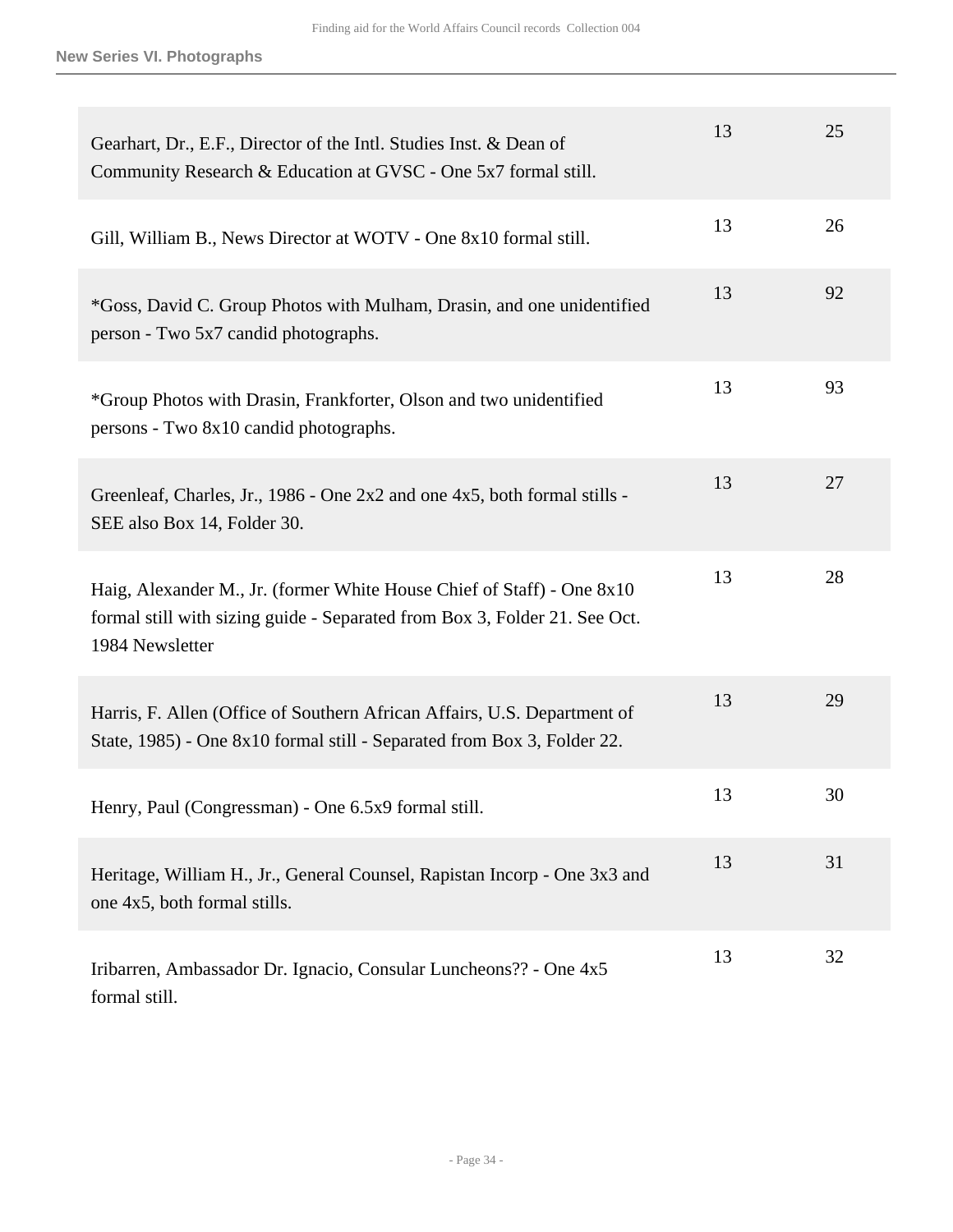| Gearhart, Dr., E.F., Director of the Intl. Studies Inst. & Dean of<br>Community Research & Education at GVSC - One 5x7 formal still.                                    | 13 | 25 |
|-------------------------------------------------------------------------------------------------------------------------------------------------------------------------|----|----|
| Gill, William B., News Director at WOTV - One 8x10 formal still.                                                                                                        | 13 | 26 |
| *Goss, David C. Group Photos with Mulham, Drasin, and one unidentified<br>person - Two 5x7 candid photographs.                                                          | 13 | 92 |
| *Group Photos with Drasin, Frankforter, Olson and two unidentified<br>persons - Two 8x10 candid photographs.                                                            | 13 | 93 |
| Greenleaf, Charles, Jr., 1986 - One 2x2 and one 4x5, both formal stills -<br>SEE also Box 14, Folder 30.                                                                | 13 | 27 |
| Haig, Alexander M., Jr. (former White House Chief of Staff) - One 8x10<br>formal still with sizing guide - Separated from Box 3, Folder 21. See Oct.<br>1984 Newsletter | 13 | 28 |
| Harris, F. Allen (Office of Southern African Affairs, U.S. Department of<br>State, 1985) - One 8x10 formal still - Separated from Box 3, Folder 22.                     | 13 | 29 |
| Henry, Paul (Congressman) - One 6.5x9 formal still.                                                                                                                     | 13 | 30 |
| Heritage, William H., Jr., General Counsel, Rapistan Incorp - One 3x3 and<br>one 4x5, both formal stills.                                                               | 13 | 31 |
| Iribarren, Ambassador Dr. Ignacio, Consular Luncheons?? - One 4x5<br>formal still.                                                                                      | 13 | 32 |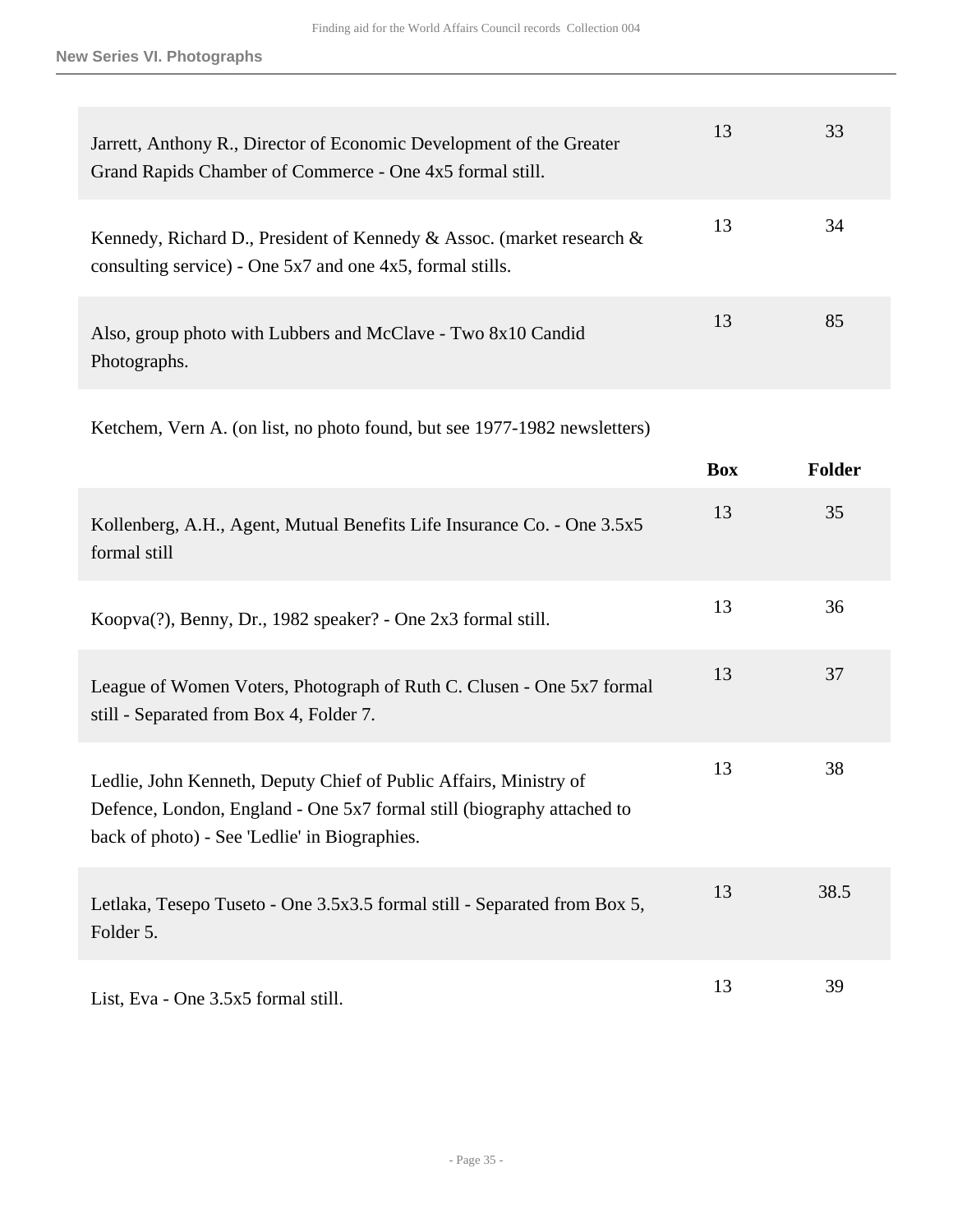| Jarrett, Anthony R., Director of Economic Development of the Greater<br>Grand Rapids Chamber of Commerce - One 4x5 formal still.        | 13 | 33 |
|-----------------------------------------------------------------------------------------------------------------------------------------|----|----|
| Kennedy, Richard D., President of Kennedy & Assoc. (market research &<br>consulting service) - One $5x7$ and one $4x5$ , formal stills. | 13 | 34 |
| Also, group photo with Lubbers and McClave - Two 8x10 Candid<br>Photographs.                                                            | 13 | 85 |

Ketchem, Vern A. (on list, no photo found, but see 1977-1982 newsletters)

|                                                                                                                                                                                              | <b>Box</b> | <b>Folder</b> |
|----------------------------------------------------------------------------------------------------------------------------------------------------------------------------------------------|------------|---------------|
| Kollenberg, A.H., Agent, Mutual Benefits Life Insurance Co. - One 3.5x5<br>formal still                                                                                                      | 13         | 35            |
| Koopva(?), Benny, Dr., 1982 speaker? - One 2x3 formal still.                                                                                                                                 | 13         | 36            |
| League of Women Voters, Photograph of Ruth C. Clusen - One 5x7 formal<br>still - Separated from Box 4, Folder 7.                                                                             | 13         | 37            |
| Ledlie, John Kenneth, Deputy Chief of Public Affairs, Ministry of<br>Defence, London, England - One 5x7 formal still (biography attached to<br>back of photo) - See 'Ledlie' in Biographies. | 13         | 38            |
| Letlaka, Tesepo Tuseto - One 3.5x3.5 formal still - Separated from Box 5,<br>Folder 5.                                                                                                       | 13         | 38.5          |
| List, Eva - One 3.5x5 formal still.                                                                                                                                                          | 13         | 39            |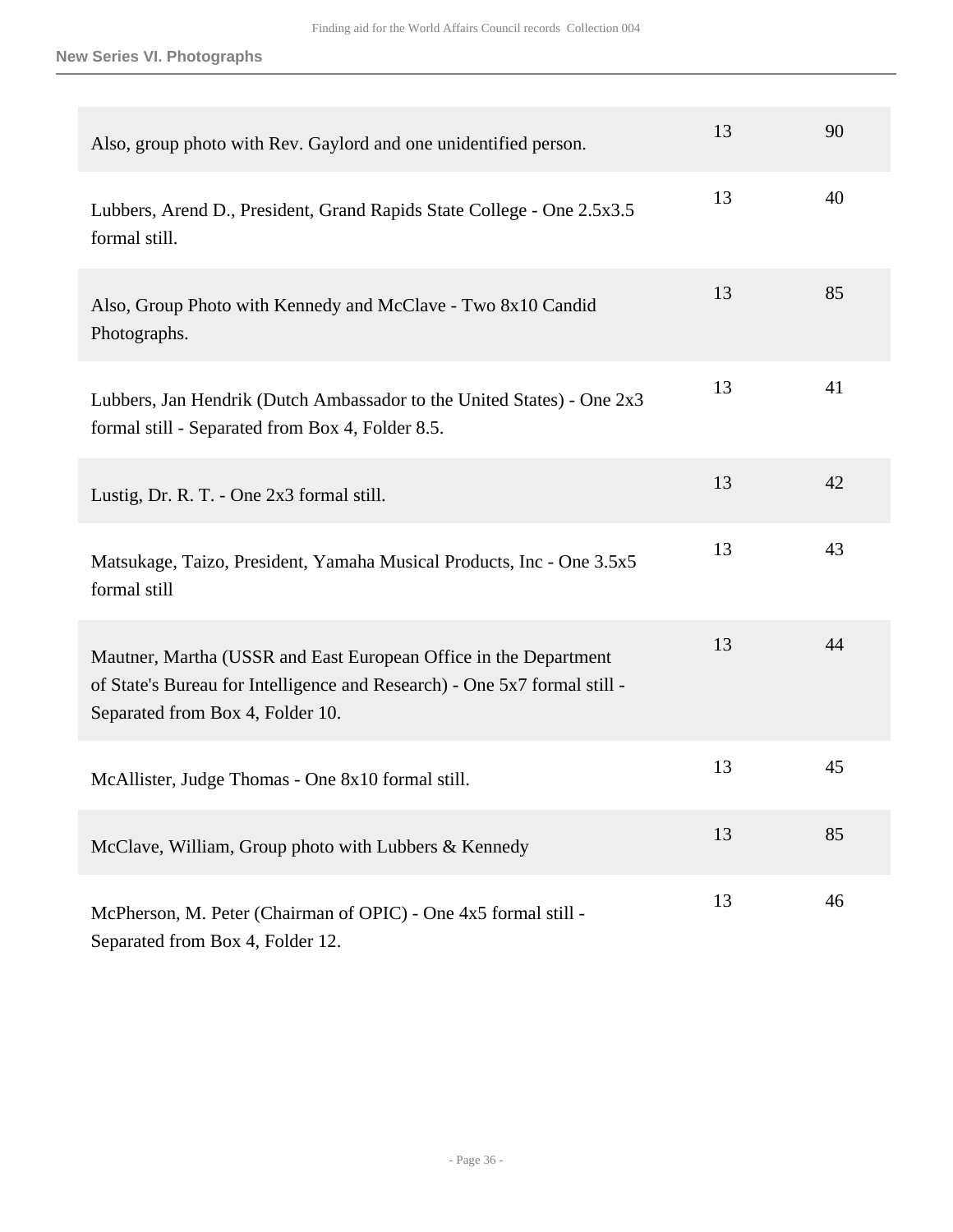**New Series VI. Photographs**

| Also, group photo with Rev. Gaylord and one unidentified person.                                                                                                                  | 13 | 90 |
|-----------------------------------------------------------------------------------------------------------------------------------------------------------------------------------|----|----|
| Lubbers, Arend D., President, Grand Rapids State College - One 2.5x3.5<br>formal still.                                                                                           | 13 | 40 |
| Also, Group Photo with Kennedy and McClave - Two 8x10 Candid<br>Photographs.                                                                                                      | 13 | 85 |
| Lubbers, Jan Hendrik (Dutch Ambassador to the United States) - One 2x3<br>formal still - Separated from Box 4, Folder 8.5.                                                        | 13 | 41 |
| Lustig, Dr. R. T. - One 2x3 formal still.                                                                                                                                         | 13 | 42 |
| Matsukage, Taizo, President, Yamaha Musical Products, Inc - One 3.5x5<br>formal still                                                                                             | 13 | 43 |
| Mautner, Martha (USSR and East European Office in the Department<br>of State's Bureau for Intelligence and Research) - One 5x7 formal still -<br>Separated from Box 4, Folder 10. | 13 | 44 |
| McAllister, Judge Thomas - One 8x10 formal still.                                                                                                                                 | 13 | 45 |
| McClave, William, Group photo with Lubbers & Kennedy                                                                                                                              | 13 | 85 |
| McPherson, M. Peter (Chairman of OPIC) - One 4x5 formal still -<br>Separated from Box 4, Folder 12.                                                                               | 13 | 46 |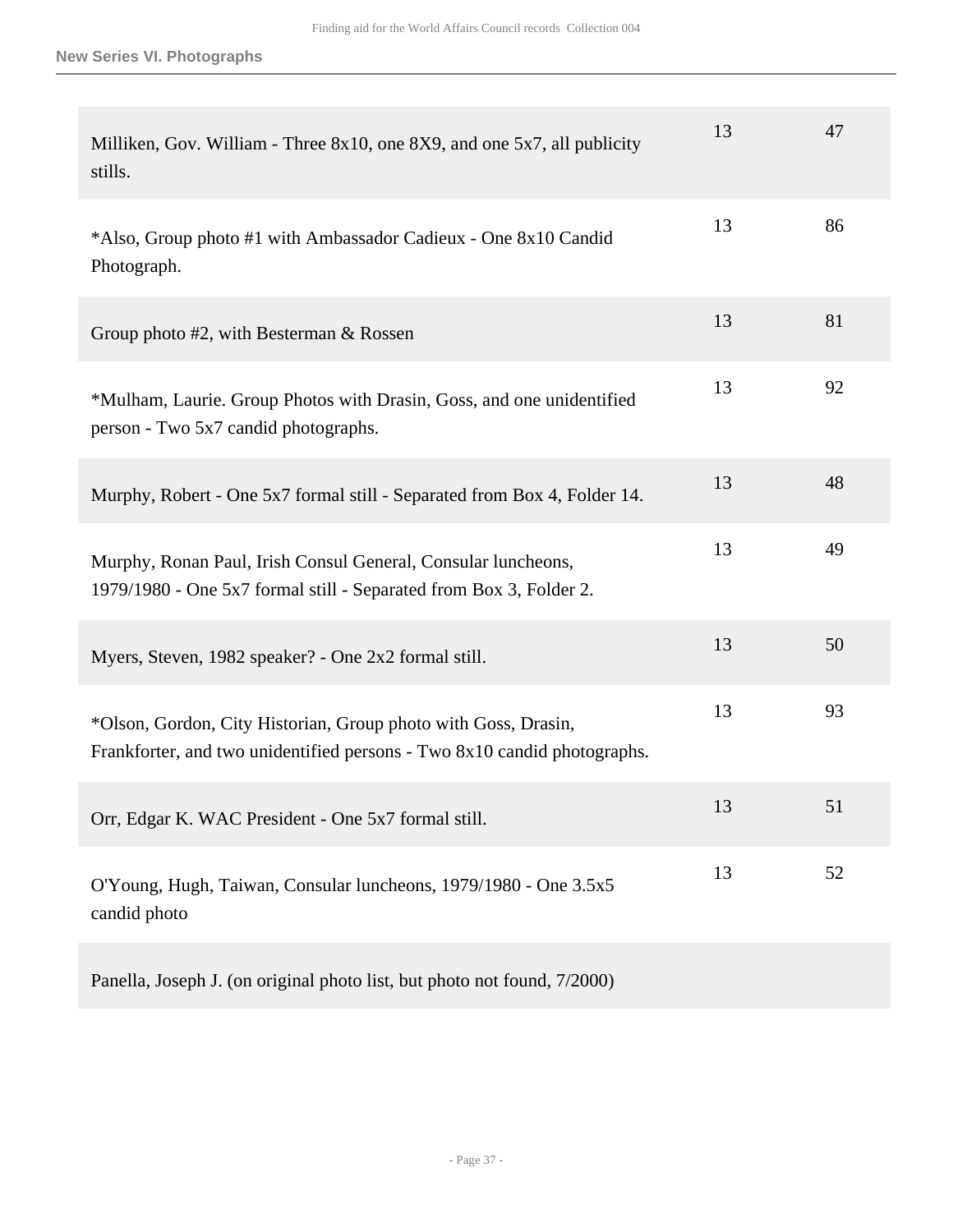| Milliken, Gov. William - Three 8x10, one 8X9, and one 5x7, all publicity<br>stills.                                                        | 13 | 47 |
|--------------------------------------------------------------------------------------------------------------------------------------------|----|----|
| *Also, Group photo #1 with Ambassador Cadieux - One 8x10 Candid<br>Photograph.                                                             | 13 | 86 |
| Group photo $#2$ , with Besterman $\&$ Rossen                                                                                              | 13 | 81 |
| *Mulham, Laurie. Group Photos with Drasin, Goss, and one unidentified<br>person - Two 5x7 candid photographs.                              | 13 | 92 |
| Murphy, Robert - One 5x7 formal still - Separated from Box 4, Folder 14.                                                                   | 13 | 48 |
| Murphy, Ronan Paul, Irish Consul General, Consular luncheons,<br>1979/1980 - One 5x7 formal still - Separated from Box 3, Folder 2.        | 13 | 49 |
| Myers, Steven, 1982 speaker? - One 2x2 formal still.                                                                                       | 13 | 50 |
| *Olson, Gordon, City Historian, Group photo with Goss, Drasin,<br>Frankforter, and two unidentified persons - Two 8x10 candid photographs. | 13 | 93 |
| Orr, Edgar K. WAC President - One 5x7 formal still.                                                                                        | 13 | 51 |
| O'Young, Hugh, Taiwan, Consular luncheons, 1979/1980 - One 3.5x5<br>candid photo                                                           | 13 | 52 |
|                                                                                                                                            |    |    |

Panella, Joseph J. (on original photo list, but photo not found, 7/2000)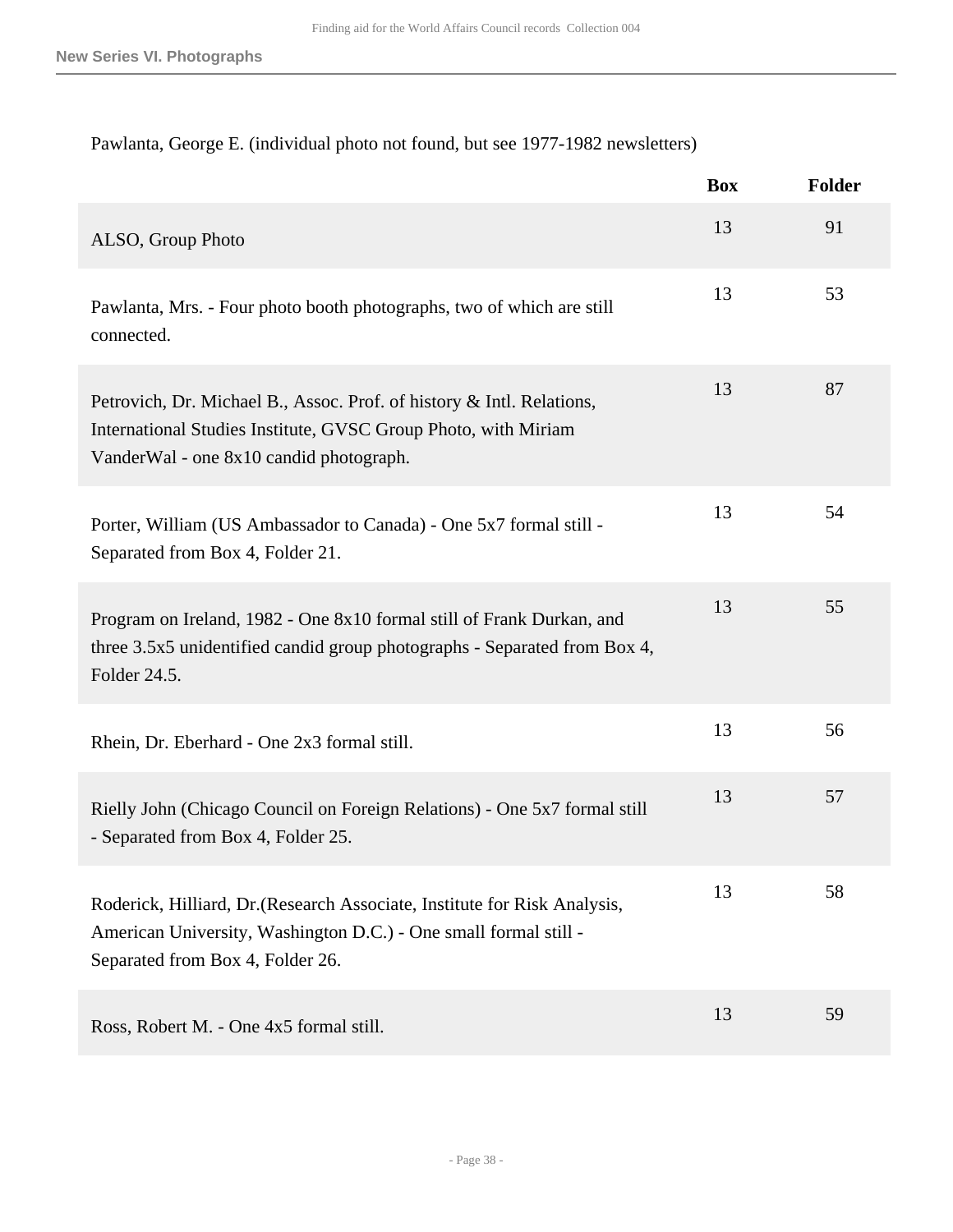## Pawlanta, George E. (individual photo not found, but see 1977-1982 newsletters)

|                                                                                                                                                                                    | <b>Box</b> | Folder |
|------------------------------------------------------------------------------------------------------------------------------------------------------------------------------------|------------|--------|
| ALSO, Group Photo                                                                                                                                                                  | 13         | 91     |
| Pawlanta, Mrs. - Four photo booth photographs, two of which are still<br>connected.                                                                                                | 13         | 53     |
| Petrovich, Dr. Michael B., Assoc. Prof. of history & Intl. Relations,<br>International Studies Institute, GVSC Group Photo, with Miriam<br>VanderWal - one 8x10 candid photograph. | 13         | 87     |
| Porter, William (US Ambassador to Canada) - One 5x7 formal still -<br>Separated from Box 4, Folder 21.                                                                             | 13         | 54     |
| Program on Ireland, 1982 - One 8x10 formal still of Frank Durkan, and<br>three 3.5x5 unidentified candid group photographs - Separated from Box 4,<br>Folder 24.5.                 | 13         | 55     |
| Rhein, Dr. Eberhard - One 2x3 formal still.                                                                                                                                        | 13         | 56     |
| Rielly John (Chicago Council on Foreign Relations) - One 5x7 formal still<br>- Separated from Box 4, Folder 25.                                                                    | 13         | 57     |
| Roderick, Hilliard, Dr. (Research Associate, Institute for Risk Analysis,<br>American University, Washington D.C.) - One small formal still -<br>Separated from Box 4, Folder 26.  | 13         | 58     |
| Ross, Robert M. - One 4x5 formal still.                                                                                                                                            | 13         | 59     |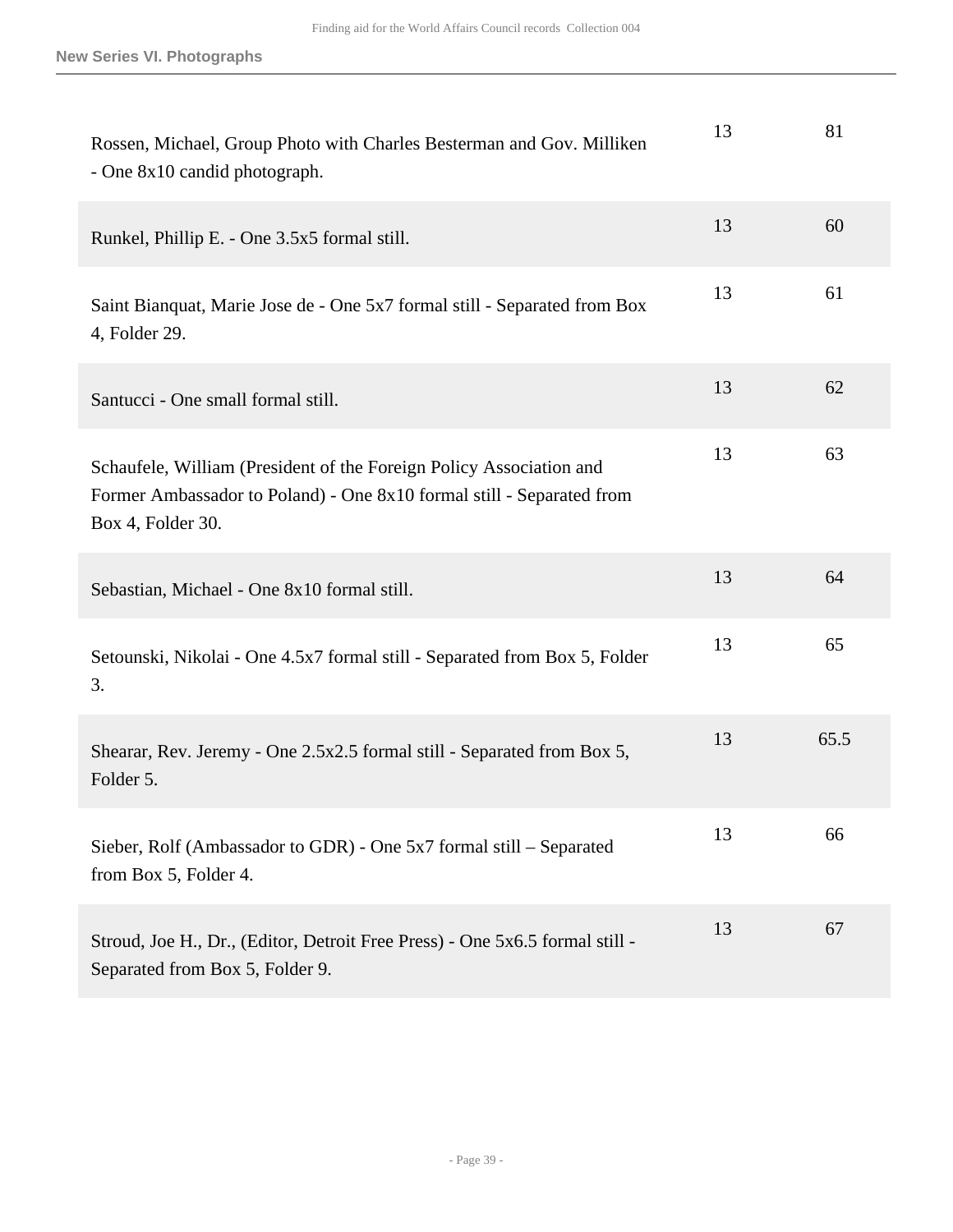| Rossen, Michael, Group Photo with Charles Besterman and Gov. Milliken<br>- One 8x10 candid photograph.                                                            | 13 | 81   |
|-------------------------------------------------------------------------------------------------------------------------------------------------------------------|----|------|
| Runkel, Phillip E. - One 3.5x5 formal still.                                                                                                                      | 13 | 60   |
| Saint Bianquat, Marie Jose de - One 5x7 formal still - Separated from Box<br>4, Folder 29.                                                                        | 13 | 61   |
| Santucci - One small formal still.                                                                                                                                | 13 | 62   |
| Schaufele, William (President of the Foreign Policy Association and<br>Former Ambassador to Poland) - One 8x10 formal still - Separated from<br>Box 4, Folder 30. | 13 | 63   |
| Sebastian, Michael - One 8x10 formal still.                                                                                                                       | 13 | 64   |
| Setounski, Nikolai - One 4.5x7 formal still - Separated from Box 5, Folder<br>3.                                                                                  | 13 | 65   |
| Shearar, Rev. Jeremy - One 2.5x2.5 formal still - Separated from Box 5,<br>Folder 5.                                                                              | 13 | 65.5 |
| Sieber, Rolf (Ambassador to GDR) - One 5x7 formal still – Separated<br>from Box 5, Folder 4.                                                                      | 13 | 66   |
| Stroud, Joe H., Dr., (Editor, Detroit Free Press) - One 5x6.5 formal still -<br>Separated from Box 5, Folder 9.                                                   | 13 | 67   |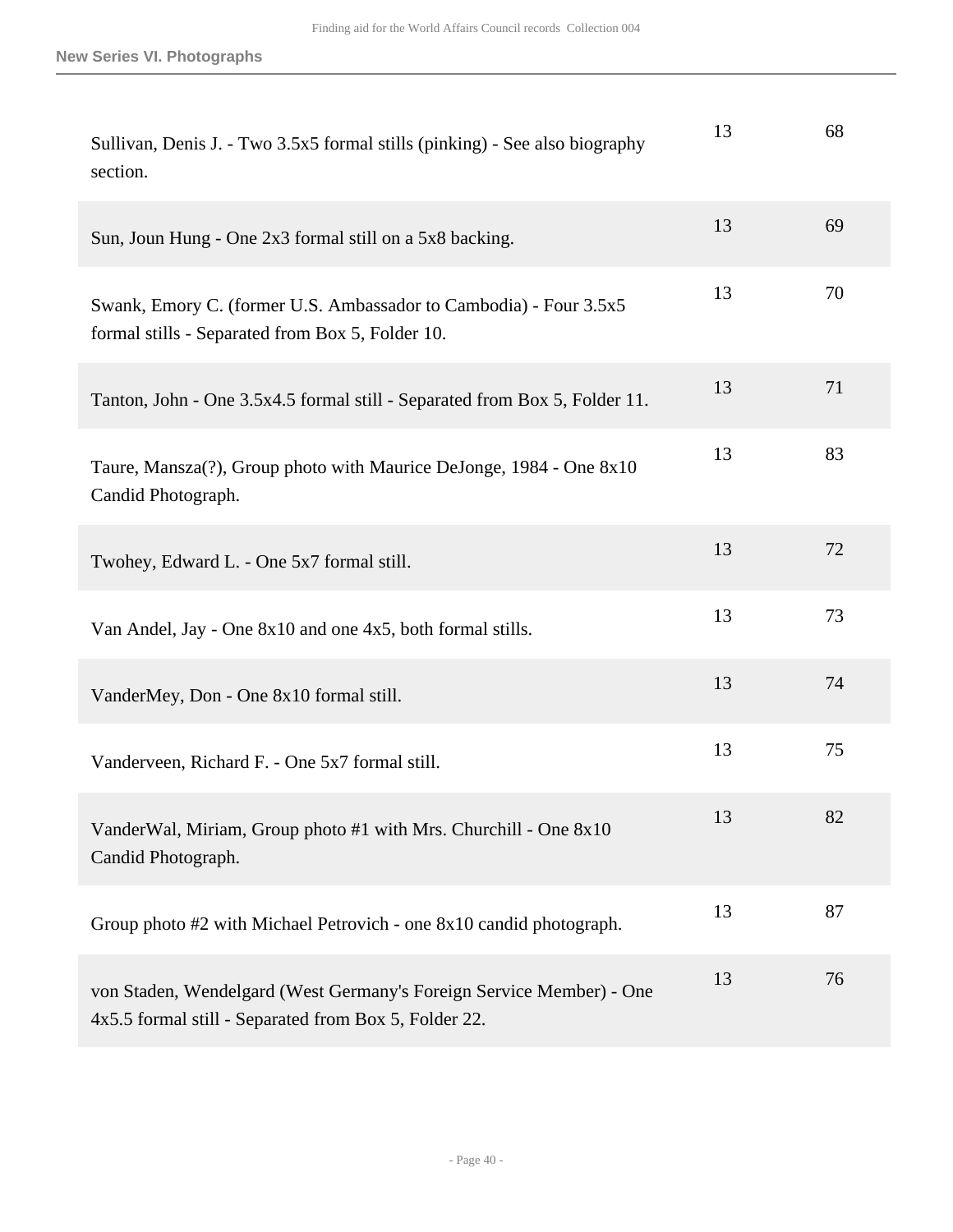| Sullivan, Denis J. - Two 3.5x5 formal stills (pinking) - See also biography<br>section.                                       | 13 | 68 |
|-------------------------------------------------------------------------------------------------------------------------------|----|----|
| Sun, Joun Hung - One 2x3 formal still on a 5x8 backing.                                                                       | 13 | 69 |
| Swank, Emory C. (former U.S. Ambassador to Cambodia) - Four 3.5x5<br>formal stills - Separated from Box 5, Folder 10.         | 13 | 70 |
| Tanton, John - One 3.5x4.5 formal still - Separated from Box 5, Folder 11.                                                    | 13 | 71 |
| Taure, Mansza(?), Group photo with Maurice DeJonge, 1984 - One 8x10<br>Candid Photograph.                                     | 13 | 83 |
| Twohey, Edward L. - One 5x7 formal still.                                                                                     | 13 | 72 |
| Van Andel, Jay - One 8x10 and one 4x5, both formal stills.                                                                    | 13 | 73 |
| VanderMey, Don - One 8x10 formal still.                                                                                       | 13 | 74 |
| Vanderveen, Richard F. - One 5x7 formal still.                                                                                | 13 | 75 |
| VanderWal, Miriam, Group photo #1 with Mrs. Churchill - One 8x10<br>Candid Photograph.                                        | 13 | 82 |
| Group photo #2 with Michael Petrovich - one 8x10 candid photograph.                                                           | 13 | 87 |
| von Staden, Wendelgard (West Germany's Foreign Service Member) - One<br>4x5.5 formal still - Separated from Box 5, Folder 22. | 13 | 76 |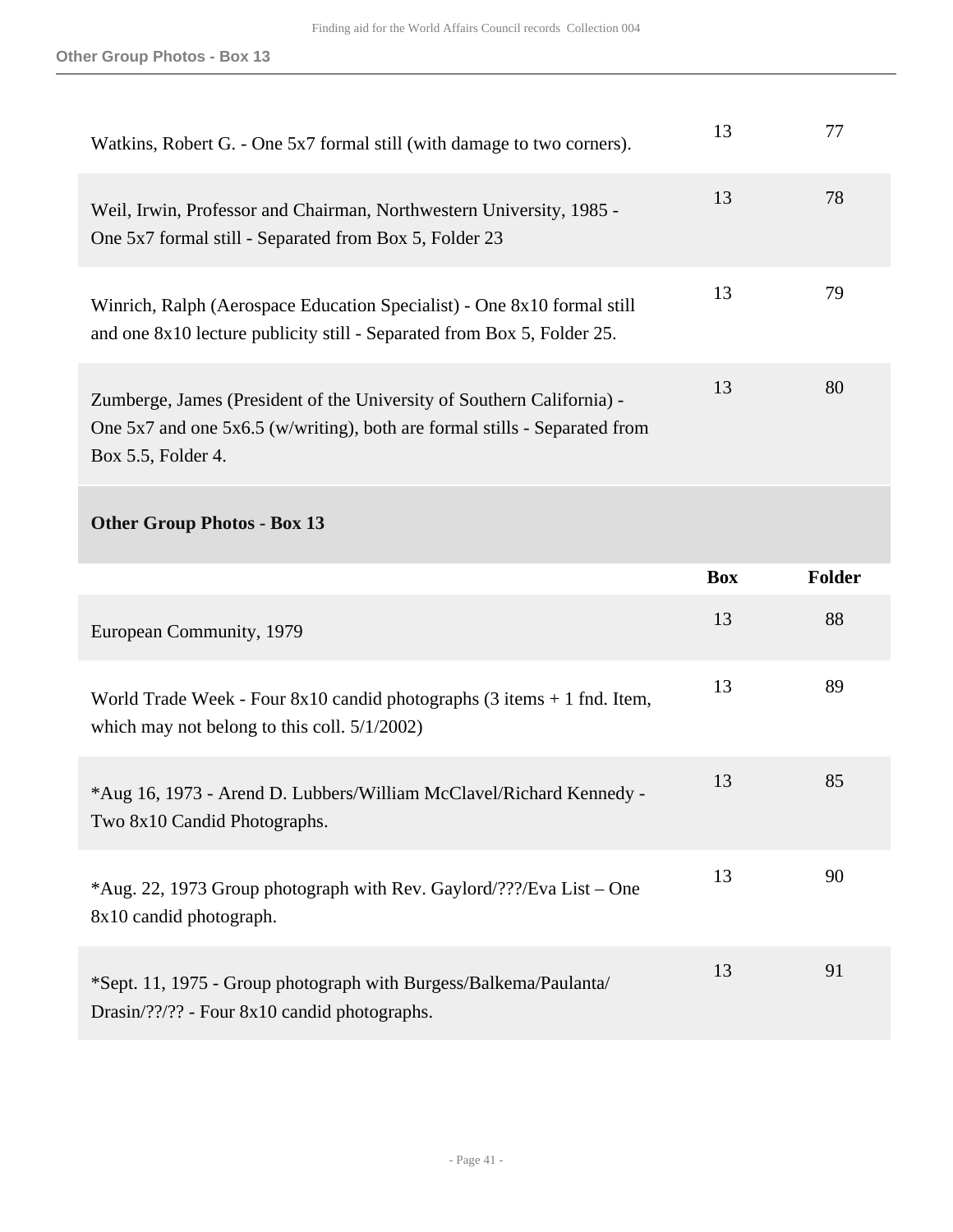| Watkins, Robert G. - One 5x7 formal still (with damage to two corners).                                                                                                        | 13 | 77 |
|--------------------------------------------------------------------------------------------------------------------------------------------------------------------------------|----|----|
| Weil, Irwin, Professor and Chairman, Northwestern University, 1985 -<br>One 5x7 formal still - Separated from Box 5, Folder 23                                                 | 13 | 78 |
| Winrich, Ralph (Aerospace Education Specialist) - One 8x10 formal still<br>and one 8x10 lecture publicity still - Separated from Box 5, Folder 25.                             | 13 | 79 |
| Zumberge, James (President of the University of Southern California) -<br>One $5x7$ and one $5x6.5$ (w/writing), both are formal stills - Separated from<br>Box 5.5, Folder 4. | 13 | 80 |
| <b>Other Group Photos - Box 13</b>                                                                                                                                             |    |    |

|                                                                                                                                                 | <b>Box</b> | <b>Folder</b> |
|-------------------------------------------------------------------------------------------------------------------------------------------------|------------|---------------|
| European Community, 1979                                                                                                                        | 13         | 88            |
| World Trade Week - Four $8x10$ candid photographs $(3 \text{ items} + 1 \text{ find. Item},$<br>which may not belong to this coll. $5/1/2002$ ) | 13         | 89            |
| *Aug 16, 1973 - Arend D. Lubbers/William McClavel/Richard Kennedy -<br>Two 8x10 Candid Photographs.                                             | 13         | 85            |
| *Aug. 22, 1973 Group photograph with Rev. Gaylord/???/Eva List – One<br>8x10 candid photograph.                                                 | 13         | 90            |
| *Sept. 11, 1975 - Group photograph with Burgess/Balkema/Paulanta/<br>$Drasin/????$ - Four 8x10 candid photographs.                              | 13         | 91            |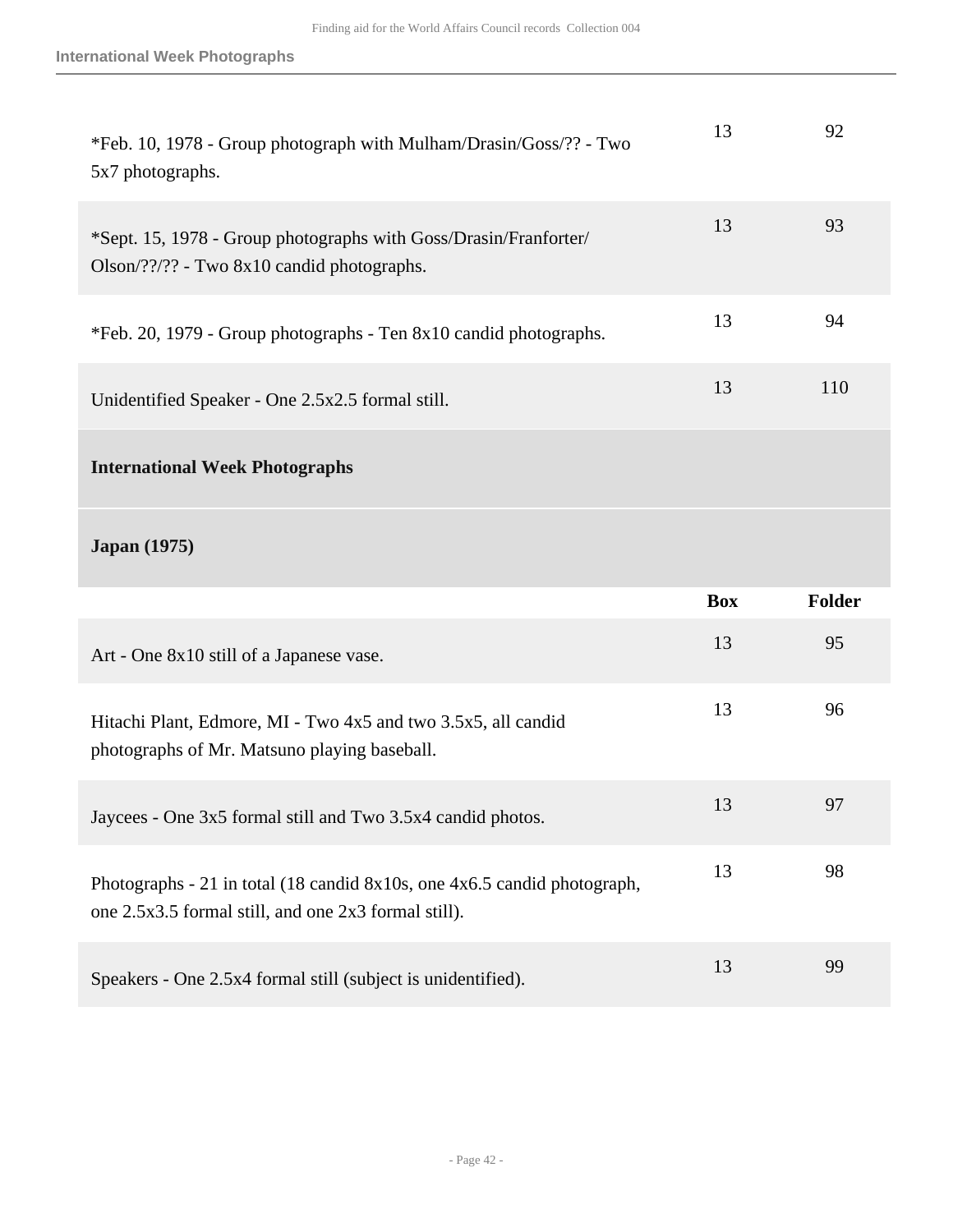| *Feb. 10, 1978 - Group photograph with Mulham/Drasin/Goss/?? - Two<br>5x7 photographs.                                           | 13         | 92            |
|----------------------------------------------------------------------------------------------------------------------------------|------------|---------------|
| *Sept. 15, 1978 - Group photographs with Goss/Drasin/Franforter/<br>Olson/??/?? - Two 8x10 candid photographs.                   | 13         | 93            |
| *Feb. 20, 1979 - Group photographs - Ten 8x10 candid photographs.                                                                | 13         | 94            |
| Unidentified Speaker - One 2.5x2.5 formal still.                                                                                 | 13         | 110           |
| <b>International Week Photographs</b>                                                                                            |            |               |
|                                                                                                                                  |            |               |
| <b>Japan</b> (1975)                                                                                                              |            |               |
|                                                                                                                                  | <b>Box</b> | <b>Folder</b> |
| Art - One 8x10 still of a Japanese vase.                                                                                         | 13         | 95            |
| Hitachi Plant, Edmore, MI - Two 4x5 and two 3.5x5, all candid<br>photographs of Mr. Matsuno playing baseball.                    | 13         | 96            |
| Jaycees - One 3x5 formal still and Two 3.5x4 candid photos.                                                                      | 13         | 97            |
| Photographs - 21 in total (18 candid 8x10s, one 4x6.5 candid photograph,<br>one 2.5x3.5 formal still, and one 2x3 formal still). | 13         | 98            |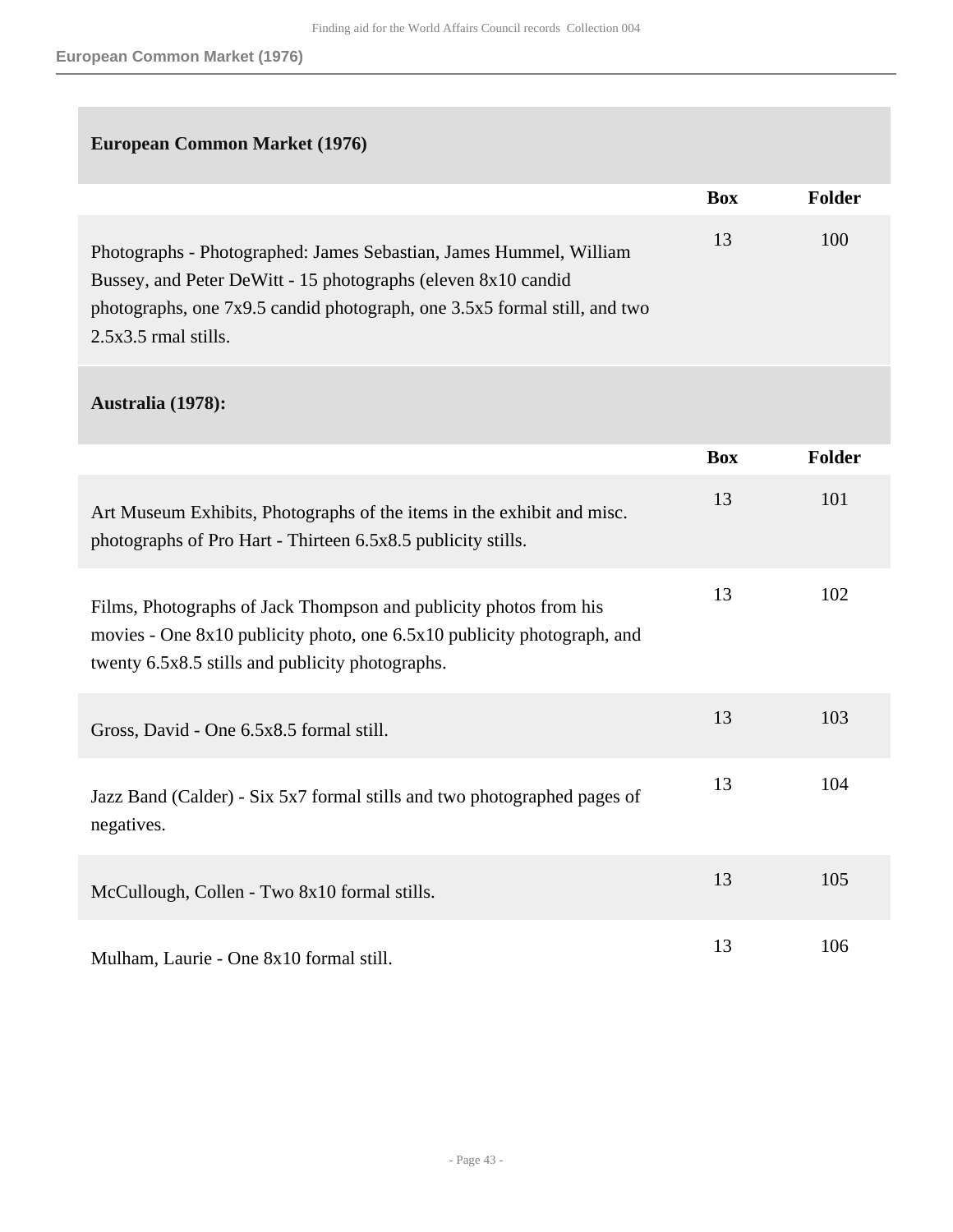## **European Common Market (1976)**

|                                                                                                                                                                                                                                            | <b>Box</b> | <b>Folder</b> |
|--------------------------------------------------------------------------------------------------------------------------------------------------------------------------------------------------------------------------------------------|------------|---------------|
| Photographs - Photographed: James Sebastian, James Hummel, William<br>Bussey, and Peter DeWitt - 15 photographs (eleven 8x10 candid<br>photographs, one 7x9.5 candid photograph, one 3.5x5 formal still, and two<br>$2.5x3.5$ rmal stills. | 13         | 100           |
| Australia (1978):                                                                                                                                                                                                                          |            |               |
|                                                                                                                                                                                                                                            | <b>Box</b> | <b>Folder</b> |
| Art Museum Exhibits, Photographs of the items in the exhibit and misc.<br>photographs of Pro Hart - Thirteen 6.5x8.5 publicity stills.                                                                                                     | 13         | 101           |
| Films, Photographs of Jack Thompson and publicity photos from his<br>movies - One 8x10 publicity photo, one 6.5x10 publicity photograph, and<br>twenty 6.5x8.5 stills and publicity photographs.                                           | 13         | 102           |
| Gross, David - One 6.5x8.5 formal still.                                                                                                                                                                                                   | 13         | 103           |
| Jazz Band (Calder) - Six 5x7 formal stills and two photographed pages of<br>negatives.                                                                                                                                                     | 13         | 104           |
| McCullough, Collen - Two 8x10 formal stills.                                                                                                                                                                                               | 13         | 105           |
| Mulham, Laurie - One 8x10 formal still.                                                                                                                                                                                                    | 13         | 106           |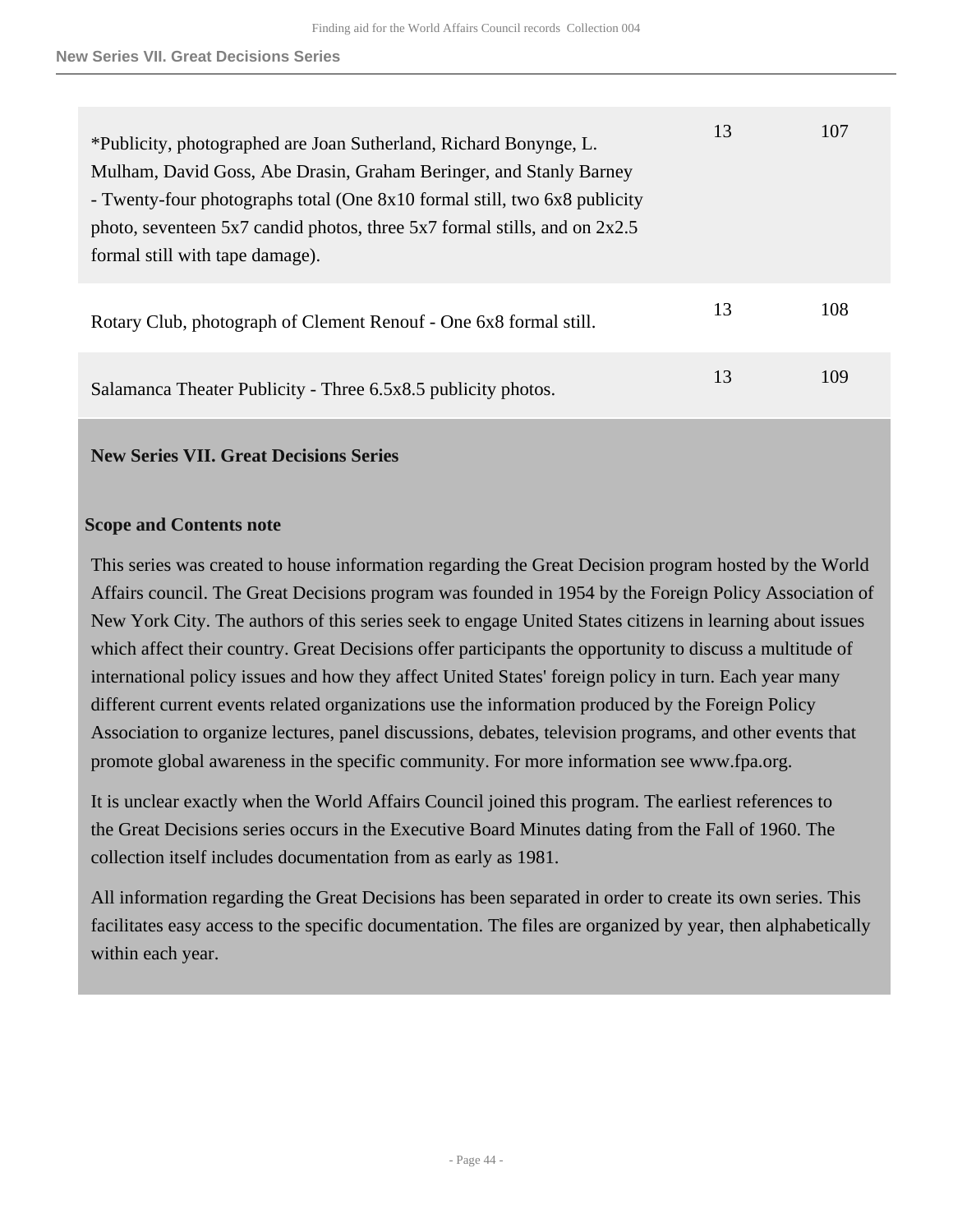| *Publicity, photographed are Joan Sutherland, Richard Bonynge, L.<br>Mulham, David Goss, Abe Drasin, Graham Beringer, and Stanly Barney<br>- Twenty-four photographs total (One 8x10 formal still, two 6x8 publicity<br>photo, seventeen $5x7$ candid photos, three $5x7$ formal stills, and on $2x2.5$<br>formal still with tape damage). | 13 | 107 |
|--------------------------------------------------------------------------------------------------------------------------------------------------------------------------------------------------------------------------------------------------------------------------------------------------------------------------------------------|----|-----|
| Rotary Club, photograph of Clement Renouf - One 6x8 formal still.                                                                                                                                                                                                                                                                          | 13 | 108 |
| Salamanca Theater Publicity - Three 6.5x8.5 publicity photos.                                                                                                                                                                                                                                                                              | 13 | 109 |

## <span id="page-43-0"></span>**New Series VII. Great Decisions Series**

#### **Scope and Contents note**

This series was created to house information regarding the Great Decision program hosted by the World Affairs council. The Great Decisions program was founded in 1954 by the Foreign Policy Association of New York City. The authors of this series seek to engage United States citizens in learning about issues which affect their country. Great Decisions offer participants the opportunity to discuss a multitude of international policy issues and how they affect United States' foreign policy in turn. Each year many different current events related organizations use the information produced by the Foreign Policy Association to organize lectures, panel discussions, debates, television programs, and other events that promote global awareness in the specific community. For more information see www.fpa.org.

It is unclear exactly when the World Affairs Council joined this program. The earliest references to the Great Decisions series occurs in the Executive Board Minutes dating from the Fall of 1960. The collection itself includes documentation from as early as 1981.

All information regarding the Great Decisions has been separated in order to create its own series. This facilitates easy access to the specific documentation. The files are organized by year, then alphabetically within each year.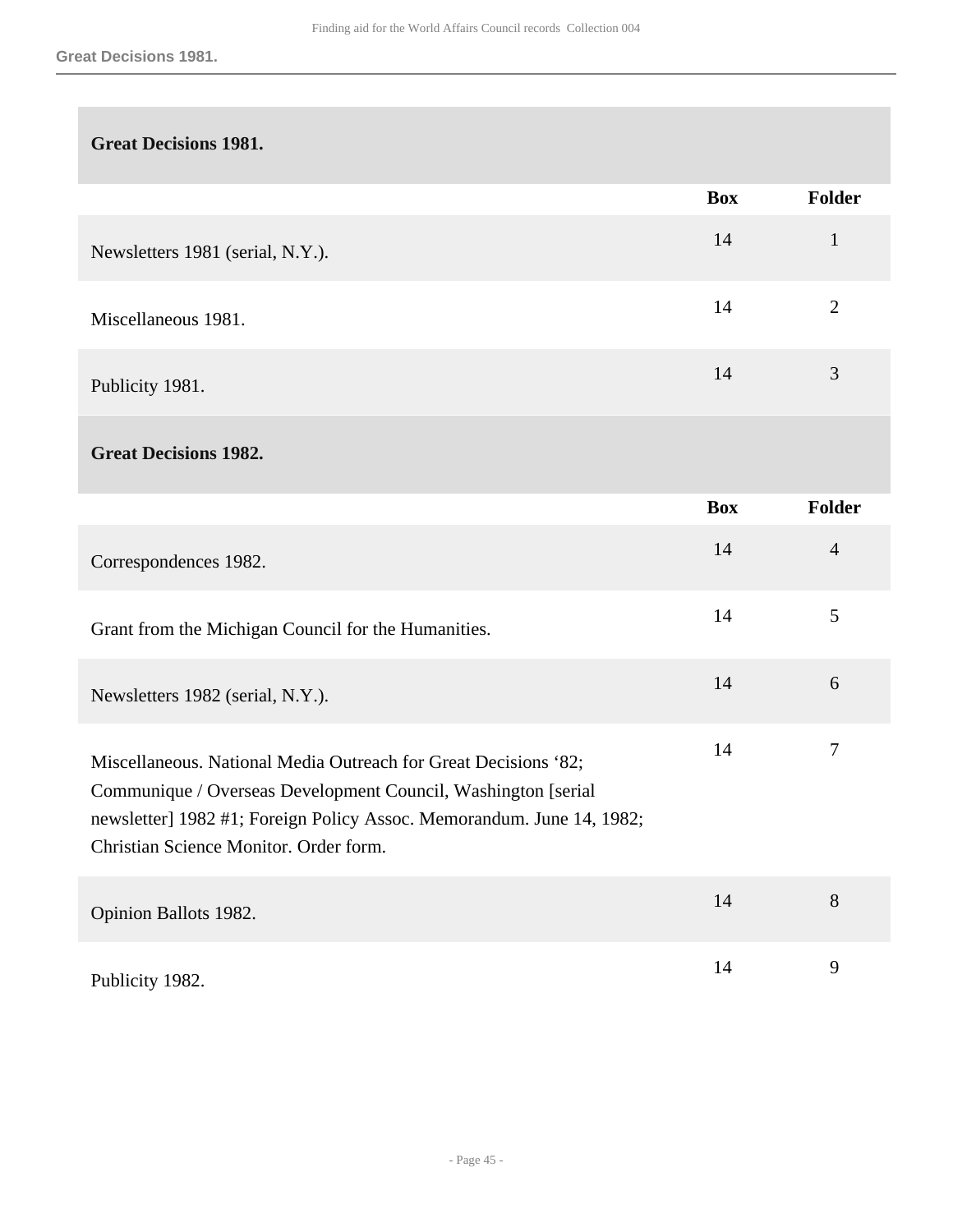| <b>Great Decisions 1981.</b>                                                                                                                                                                                                                         |            |                |
|------------------------------------------------------------------------------------------------------------------------------------------------------------------------------------------------------------------------------------------------------|------------|----------------|
|                                                                                                                                                                                                                                                      | <b>Box</b> | <b>Folder</b>  |
| Newsletters 1981 (serial, N.Y.).                                                                                                                                                                                                                     | 14         | $\mathbf{1}$   |
| Miscellaneous 1981.                                                                                                                                                                                                                                  | 14         | $\overline{2}$ |
| Publicity 1981.                                                                                                                                                                                                                                      | 14         | 3              |
| <b>Great Decisions 1982.</b>                                                                                                                                                                                                                         |            |                |
|                                                                                                                                                                                                                                                      | <b>Box</b> | <b>Folder</b>  |
| Correspondences 1982.                                                                                                                                                                                                                                | 14         | $\overline{4}$ |
| Grant from the Michigan Council for the Humanities.                                                                                                                                                                                                  | 14         | 5              |
| Newsletters 1982 (serial, N.Y.).                                                                                                                                                                                                                     | 14         | 6              |
| Miscellaneous. National Media Outreach for Great Decisions '82;<br>Communique / Overseas Development Council, Washington [serial]<br>newsletter] 1982 #1; Foreign Policy Assoc. Memorandum. June 14, 1982;<br>Christian Science Monitor. Order form. | 14         | $\tau$         |
| Opinion Ballots 1982.                                                                                                                                                                                                                                | $14$       | 8              |
| Publicity 1982.                                                                                                                                                                                                                                      | $14$       | $\mathbf{9}$   |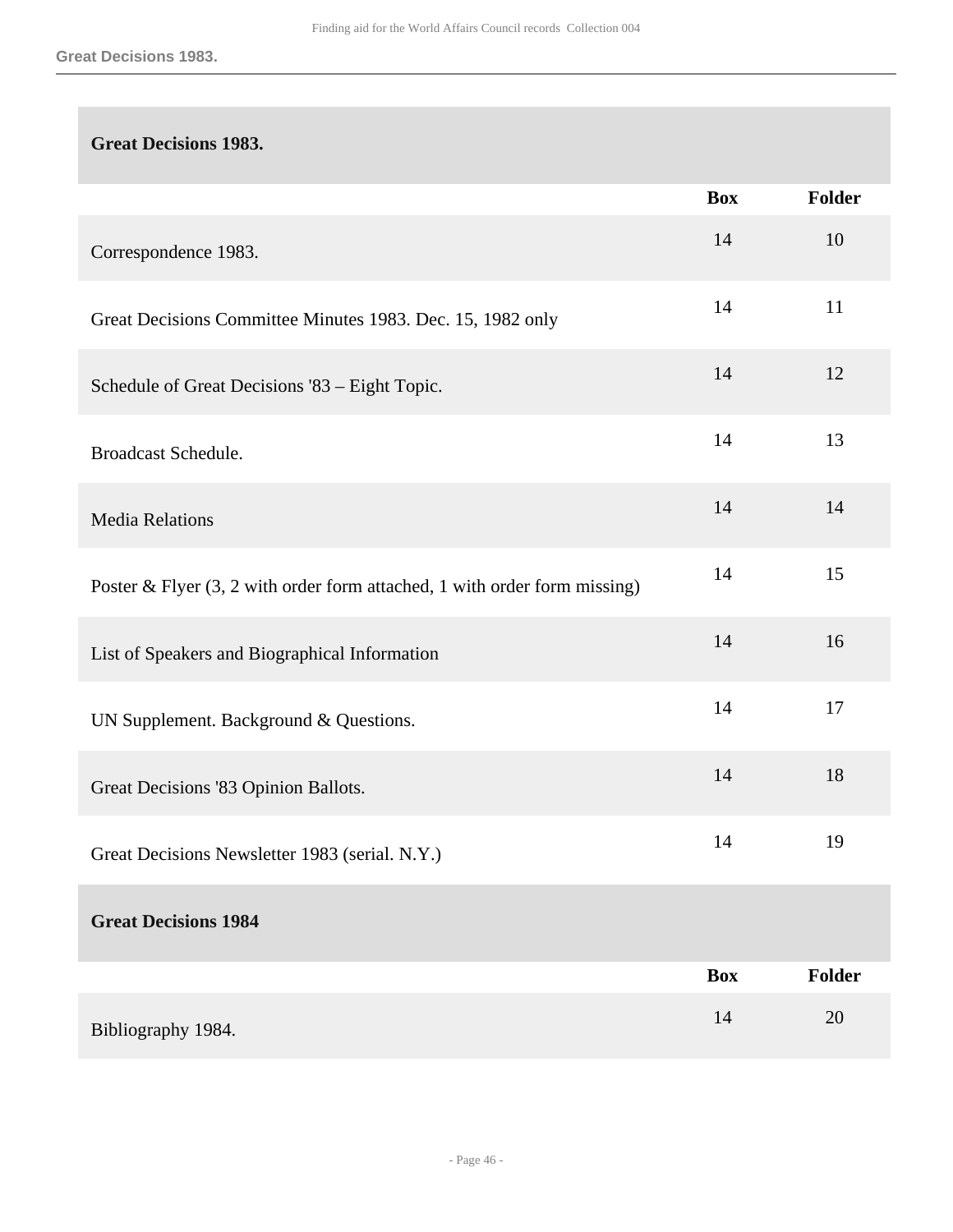## **Great Decisions 1983.**

|                                                                             | <b>Box</b> | Folder |
|-----------------------------------------------------------------------------|------------|--------|
| Correspondence 1983.                                                        | 14         | 10     |
| Great Decisions Committee Minutes 1983. Dec. 15, 1982 only                  | 14         | 11     |
| Schedule of Great Decisions '83 - Eight Topic.                              | 14         | 12     |
| Broadcast Schedule.                                                         | 14         | 13     |
| <b>Media Relations</b>                                                      | 14         | 14     |
| Poster & Flyer $(3, 2$ with order form attached, 1 with order form missing) | 14         | 15     |
| List of Speakers and Biographical Information                               | 14         | 16     |
| UN Supplement. Background & Questions.                                      | 14         | 17     |
| Great Decisions '83 Opinion Ballots.                                        | 14         | 18     |
| Great Decisions Newsletter 1983 (serial. N.Y.)                              | 14         | 19     |
| <b>Great Decisions 1984</b>                                                 |            |        |
|                                                                             | <b>Box</b> | Folder |
| Bibliography 1984.                                                          | 14         | 20     |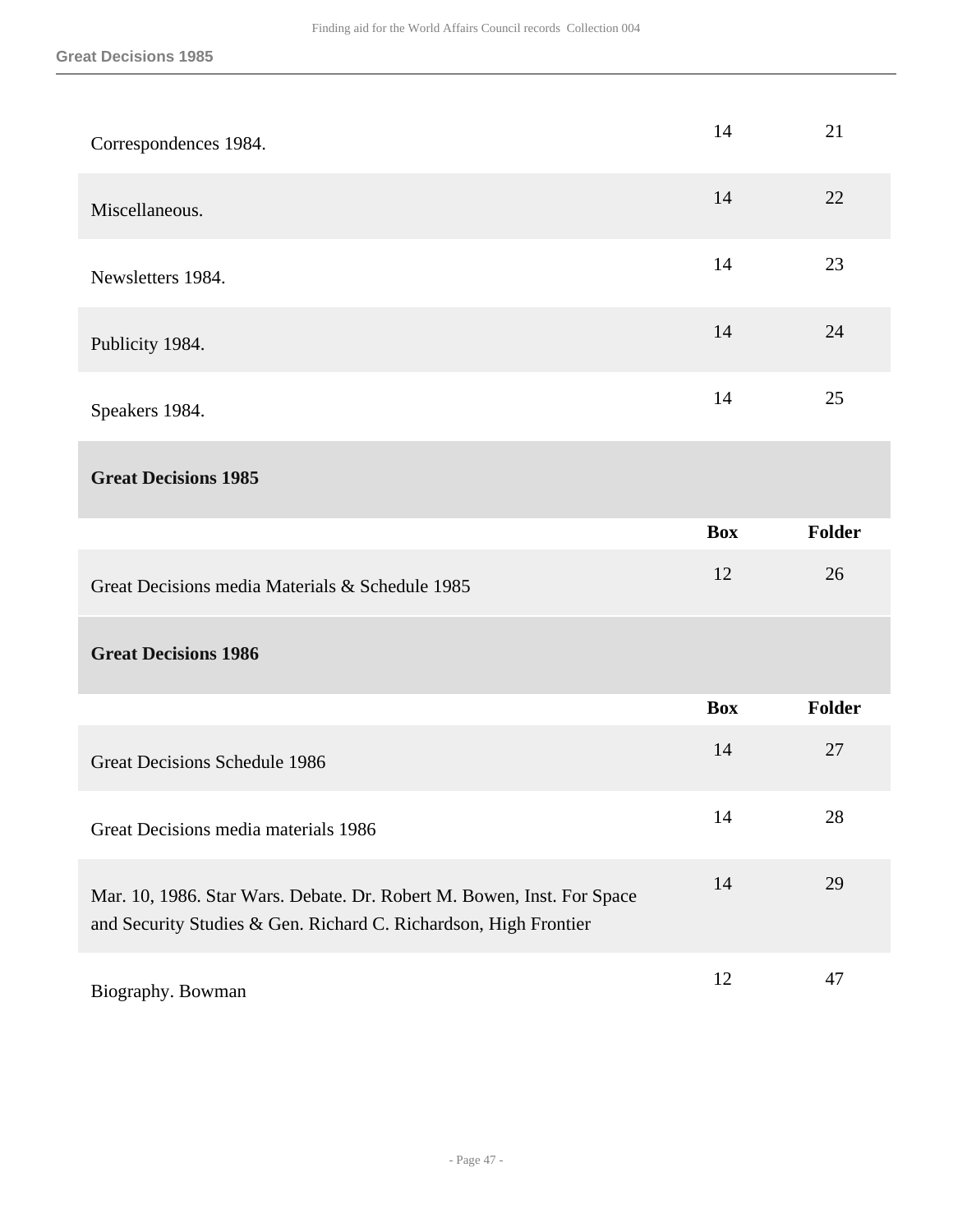| Correspondences 1984.                                                                                                                      | 14         | 21            |
|--------------------------------------------------------------------------------------------------------------------------------------------|------------|---------------|
| Miscellaneous.                                                                                                                             | 14         | 22            |
| Newsletters 1984.                                                                                                                          | 14         | 23            |
| Publicity 1984.                                                                                                                            | 14         | 24            |
| Speakers 1984.                                                                                                                             | 14         | 25            |
| <b>Great Decisions 1985</b>                                                                                                                |            |               |
|                                                                                                                                            | <b>Box</b> | <b>Folder</b> |
|                                                                                                                                            |            |               |
| Great Decisions media Materials & Schedule 1985                                                                                            | 12         | 26            |
| <b>Great Decisions 1986</b>                                                                                                                |            |               |
|                                                                                                                                            | <b>Box</b> | Folder        |
| Great Decisions Schedule 1986                                                                                                              | 14         | 27            |
| Great Decisions media materials 1986                                                                                                       | 14         | 28            |
| Mar. 10, 1986. Star Wars. Debate. Dr. Robert M. Bowen, Inst. For Space<br>and Security Studies & Gen. Richard C. Richardson, High Frontier | 14         | 29            |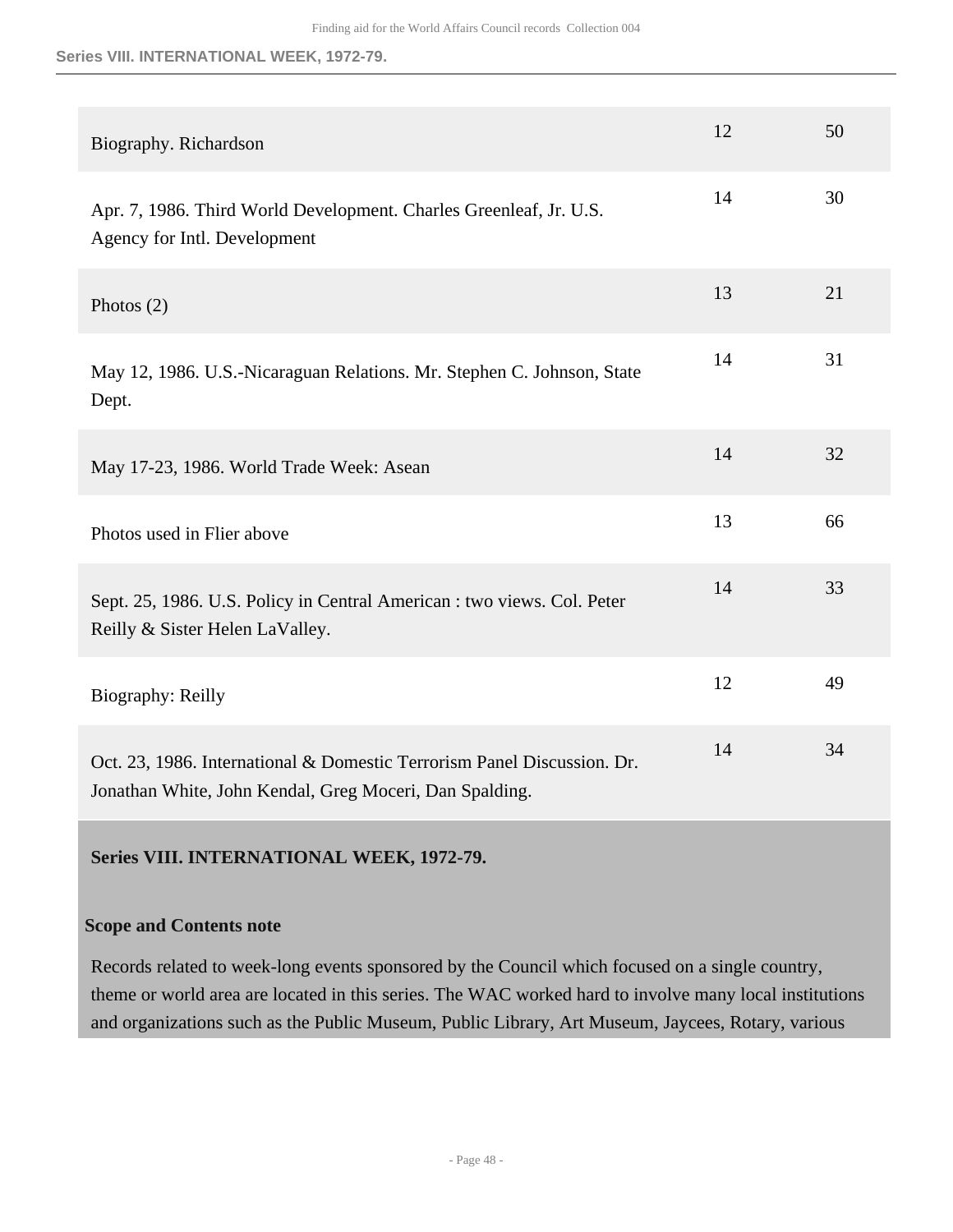#### **Series VIII. INTERNATIONAL WEEK, 1972-79.**

| Biography. Richardson                                                                                                              | 12 | 50 |
|------------------------------------------------------------------------------------------------------------------------------------|----|----|
| Apr. 7, 1986. Third World Development. Charles Greenleaf, Jr. U.S.<br>Agency for Intl. Development                                 | 14 | 30 |
| Photos $(2)$                                                                                                                       | 13 | 21 |
| May 12, 1986. U.S.-Nicaraguan Relations. Mr. Stephen C. Johnson, State<br>Dept.                                                    | 14 | 31 |
| May 17-23, 1986. World Trade Week: Asean                                                                                           | 14 | 32 |
| Photos used in Flier above                                                                                                         | 13 | 66 |
| Sept. 25, 1986. U.S. Policy in Central American : two views. Col. Peter<br>Reilly & Sister Helen LaValley.                         | 14 | 33 |
| Biography: Reilly                                                                                                                  | 12 | 49 |
| Oct. 23, 1986. International & Domestic Terrorism Panel Discussion. Dr.<br>Jonathan White, John Kendal, Greg Moceri, Dan Spalding. | 14 | 34 |

## <span id="page-47-0"></span>**Series VIII. INTERNATIONAL WEEK, 1972-79.**

## **Scope and Contents note**

Records related to week-long events sponsored by the Council which focused on a single country, theme or world area are located in this series. The WAC worked hard to involve many local institutions and organizations such as the Public Museum, Public Library, Art Museum, Jaycees, Rotary, various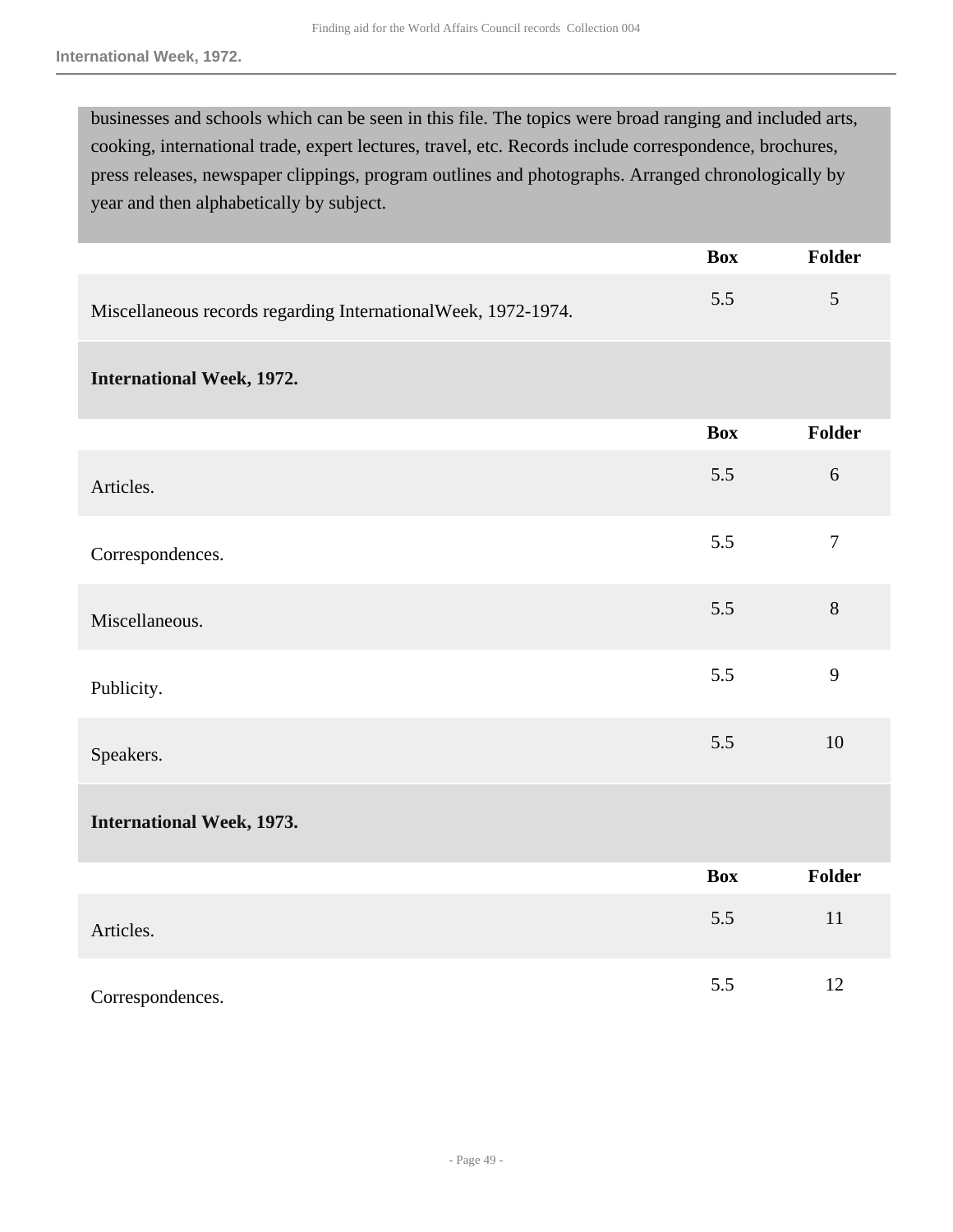businesses and schools which can be seen in this file. The topics were broad ranging and included arts, cooking, international trade, expert lectures, travel, etc. Records include correspondence, brochures, press releases, newspaper clippings, program outlines and photographs. Arranged chronologically by year and then alphabetically by subject.

|                                                               | <b>Box</b> | <b>Folder</b>  |
|---------------------------------------------------------------|------------|----------------|
| Miscellaneous records regarding InternationalWeek, 1972-1974. | 5.5        | 5              |
| <b>International Week, 1972.</b>                              |            |                |
|                                                               | <b>Box</b> | <b>Folder</b>  |
| Articles.                                                     | 5.5        | $6\,$          |
| Correspondences.                                              | 5.5        | $\overline{7}$ |
| Miscellaneous.                                                | 5.5        | 8              |
| Publicity.                                                    | 5.5        | 9              |
| Speakers.                                                     | 5.5        | 10             |
| <b>International Week, 1973.</b>                              |            |                |
|                                                               | <b>Box</b> | <b>Folder</b>  |
| Articles.                                                     | 5.5        | 11             |
| Correspondences.                                              | 5.5        | 12             |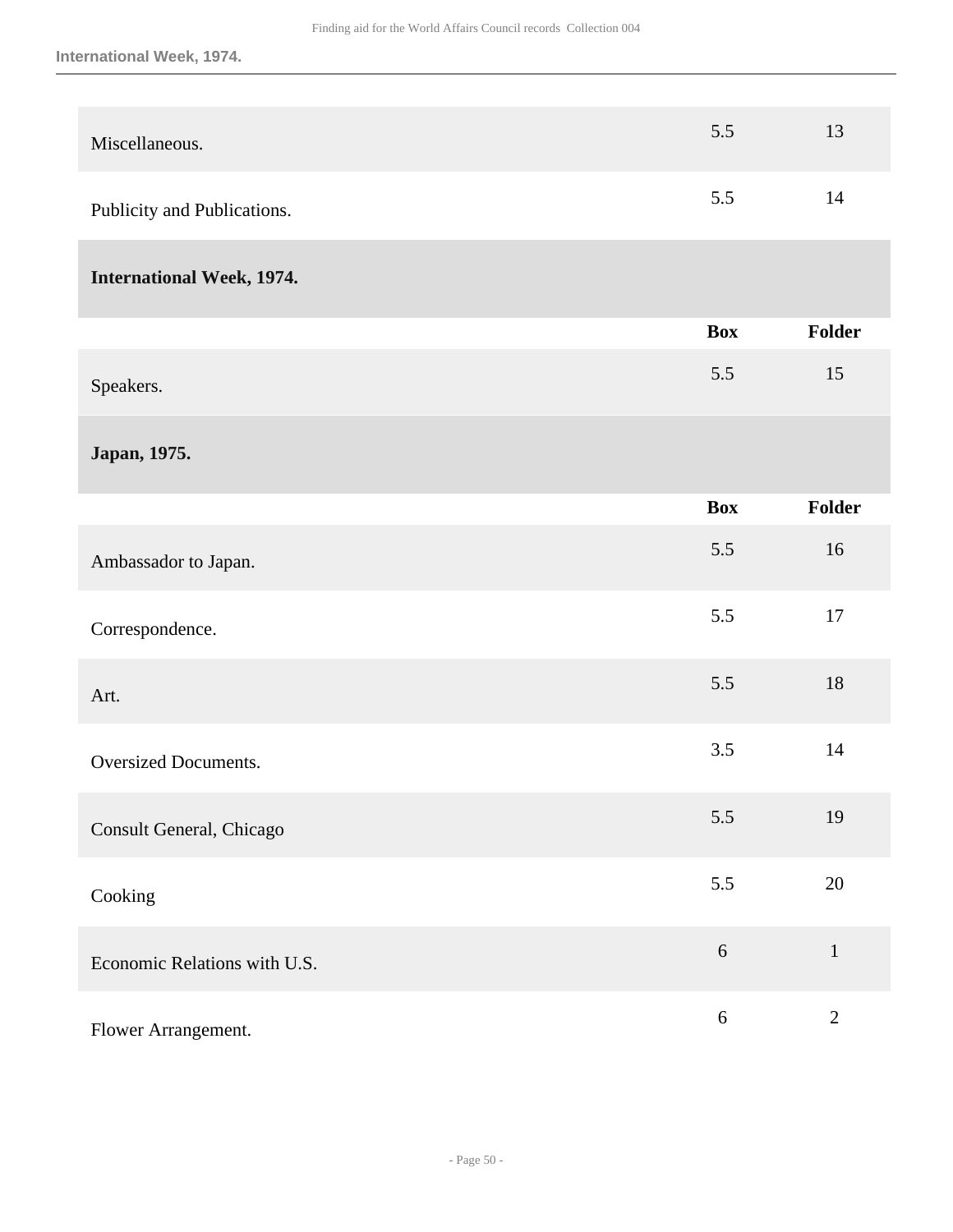| Miscellaneous.                   | 5.5        | 13            |
|----------------------------------|------------|---------------|
| Publicity and Publications.      | 5.5        | 14            |
| <b>International Week, 1974.</b> |            |               |
|                                  | <b>Box</b> | <b>Folder</b> |
| Speakers.                        | 5.5        | 15            |
| Japan, 1975.                     |            |               |
|                                  | <b>Box</b> | <b>Folder</b> |
| Ambassador to Japan.             | 5.5        | 16            |
| Correspondence.                  | 5.5        | $17\,$        |
| Art.                             | 5.5        | 18            |
| <b>Oversized Documents.</b>      | 3.5        | 14            |
| Consult General, Chicago         | 5.5        | 19            |
| Cooking                          | 5.5        | 20            |
| Economic Relations with U.S.     | $\sqrt{6}$ | $\mathbf{1}$  |
| Flower Arrangement.              | $6\,$      | $\mathbf{2}$  |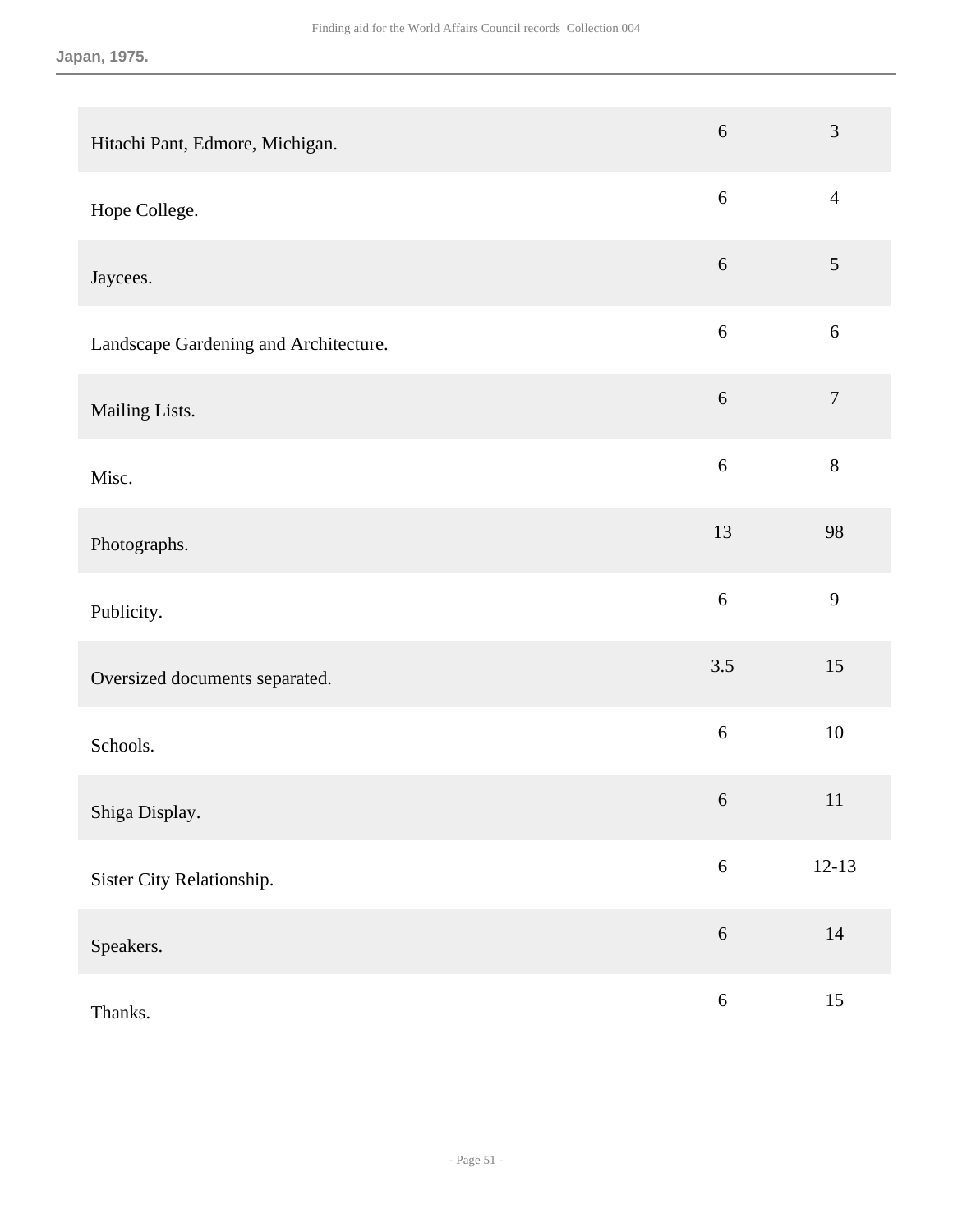| Hitachi Pant, Edmore, Michigan.       | $\sqrt{6}$       | $\mathfrak{Z}$   |
|---------------------------------------|------------------|------------------|
| Hope College.                         | $\boldsymbol{6}$ | $\overline{4}$   |
| Jaycees.                              | $\sqrt{6}$       | $\mathfrak{S}$   |
| Landscape Gardening and Architecture. | $6\,$            | $6\,$            |
| Mailing Lists.                        | $\sqrt{6}$       | $\boldsymbol{7}$ |
| Misc.                                 | $\sqrt{6}$       | $8\,$            |
| Photographs.                          | 13               | 98               |
| Publicity.                            | 6                | 9                |
| Oversized documents separated.        | 3.5              | 15               |
| Schools.                              | $\sqrt{6}$       | 10               |
| Shiga Display.                        | 6                | 11               |
| Sister City Relationship.             | $\sqrt{6}$       | $12-13$          |
| Speakers.                             | $\sqrt{6}$       | $14\,$           |
| Thanks.                               | $\sqrt{6}$       | 15               |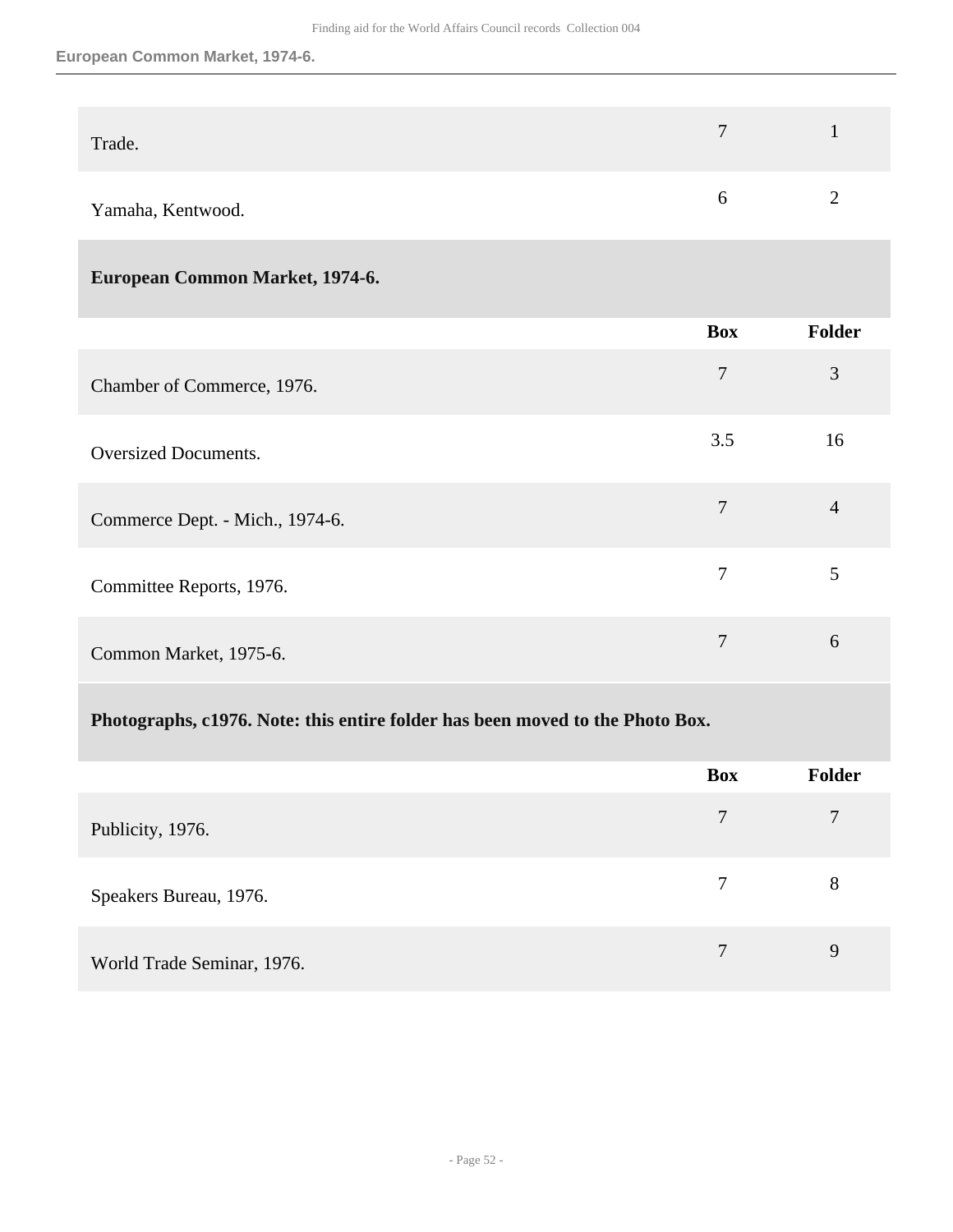#### **European Common Market, 1974-6.**

| Trade.            | $\mathbf{I}$ |
|-------------------|--------------|
| Yamaha, Kentwood. |              |

## **European Common Market, 1974-6.**

|                                 | <b>Box</b>     | Folder         |
|---------------------------------|----------------|----------------|
| Chamber of Commerce, 1976.      | $\overline{7}$ | 3              |
| Oversized Documents.            | 3.5            | 16             |
| Commerce Dept. - Mich., 1974-6. | 7              | $\overline{4}$ |
| Committee Reports, 1976.        | 7              | 5              |
| Common Market, 1975-6.          | 7              | 6              |

## **Photographs, c1976. Note: this entire folder has been moved to the Photo Box.**

|                            | <b>Box</b> | Folder |
|----------------------------|------------|--------|
| Publicity, 1976.           | $\tau$     | 7      |
| Speakers Bureau, 1976.     | 7          | 8      |
| World Trade Seminar, 1976. | 7          | 9      |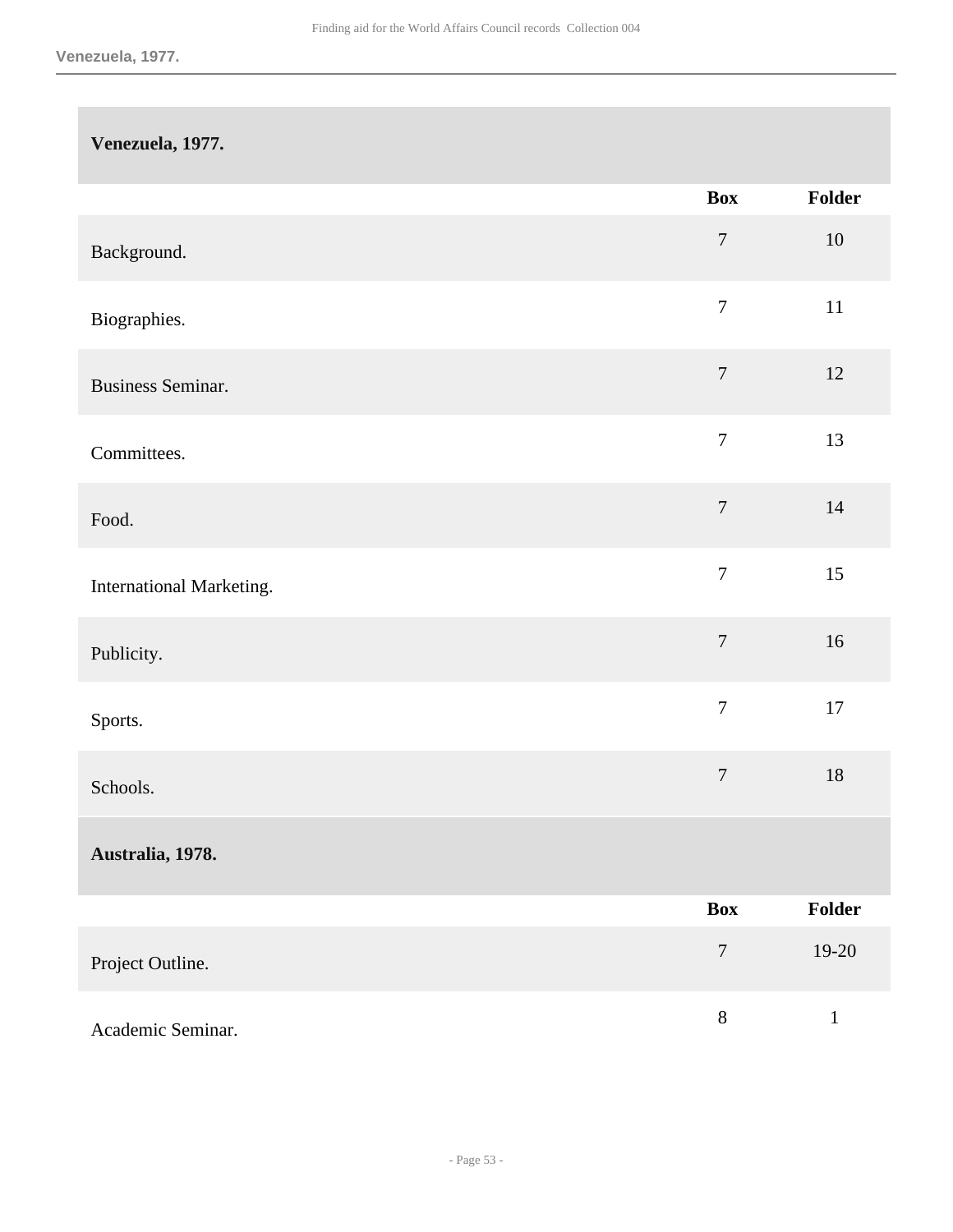## **Venezuela, 1977.**

|                          | <b>Box</b>       | Folder       |
|--------------------------|------------------|--------------|
| Background.              | $\boldsymbol{7}$ | $10\,$       |
| Biographies.             | $\boldsymbol{7}$ | $11\,$       |
| <b>Business Seminar.</b> | $\boldsymbol{7}$ | $12\,$       |
| Committees.              | $\boldsymbol{7}$ | 13           |
| Food.                    | $\boldsymbol{7}$ | $14$         |
| International Marketing. | $\boldsymbol{7}$ | 15           |
| Publicity.               | $\boldsymbol{7}$ | 16           |
| Sports.                  | $\boldsymbol{7}$ | $17\,$       |
| Schools.                 | $\boldsymbol{7}$ | $18\,$       |
| Australia, 1978.         |                  |              |
|                          | <b>Box</b>       | Folder       |
| Project Outline.         | $\boldsymbol{7}$ | $19-20$      |
| Academic Seminar.        | $8\,$            | $\mathbf{1}$ |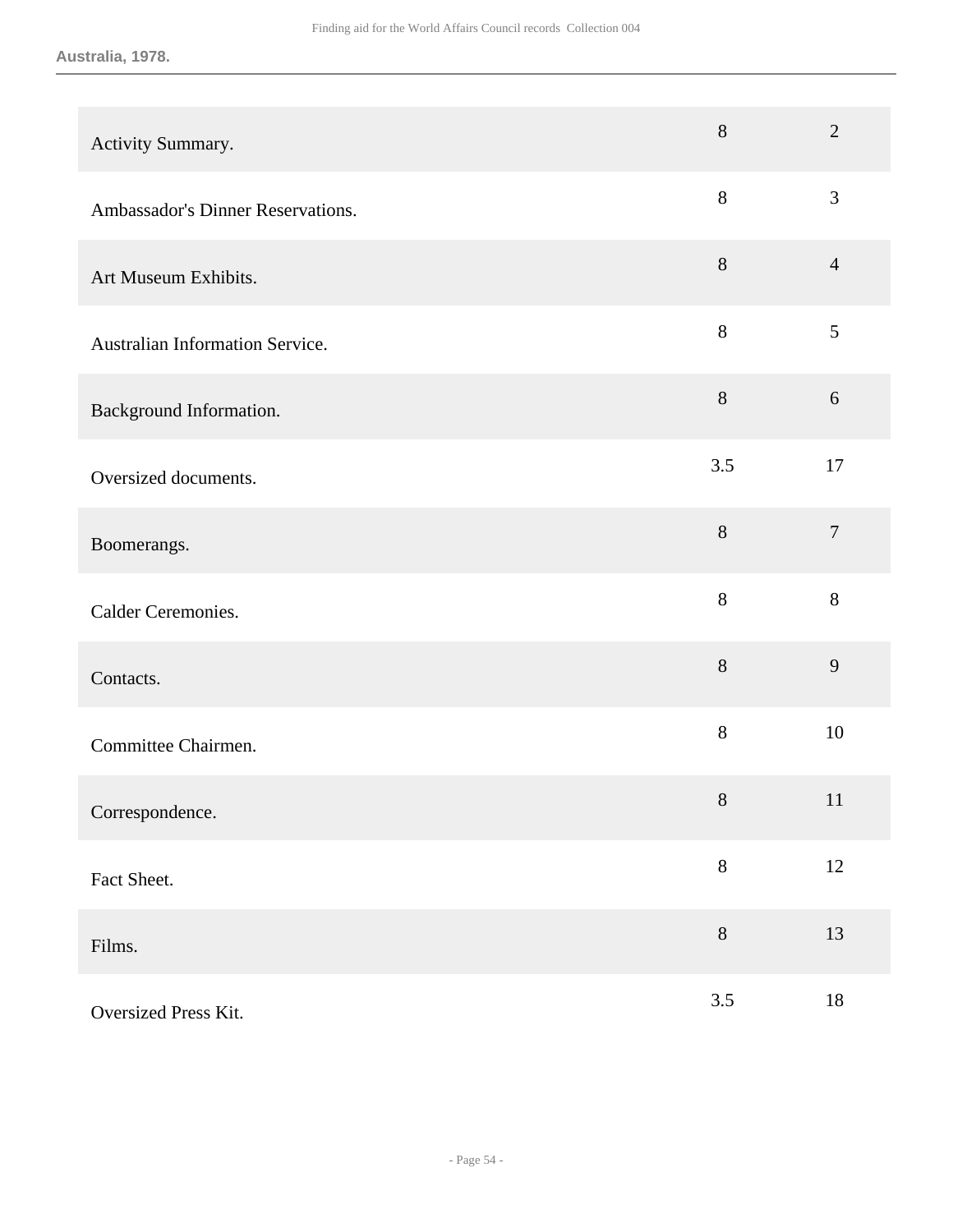**Australia, 1978.**

| Activity Summary.                 | $8\,$  | $\overline{2}$ |
|-----------------------------------|--------|----------------|
| Ambassador's Dinner Reservations. | $8\,$  | 3              |
| Art Museum Exhibits.              | $\, 8$ | $\overline{4}$ |
| Australian Information Service.   | 8      | 5              |
| Background Information.           | $8\,$  | 6              |
| Oversized documents.              | 3.5    | 17             |
| Boomerangs.                       | $8\,$  | $\overline{7}$ |
| Calder Ceremonies.                | 8      | 8              |
| Contacts.                         | 8      | 9              |
| Committee Chairmen.               | $8\,$  | 10             |
| Correspondence.                   | $8\,$  | 11             |
| Fact Sheet.                       | $8\,$  | 12             |
| Films.                            | $8\,$  | 13             |
| Oversized Press Kit.              | 3.5    | $18\,$         |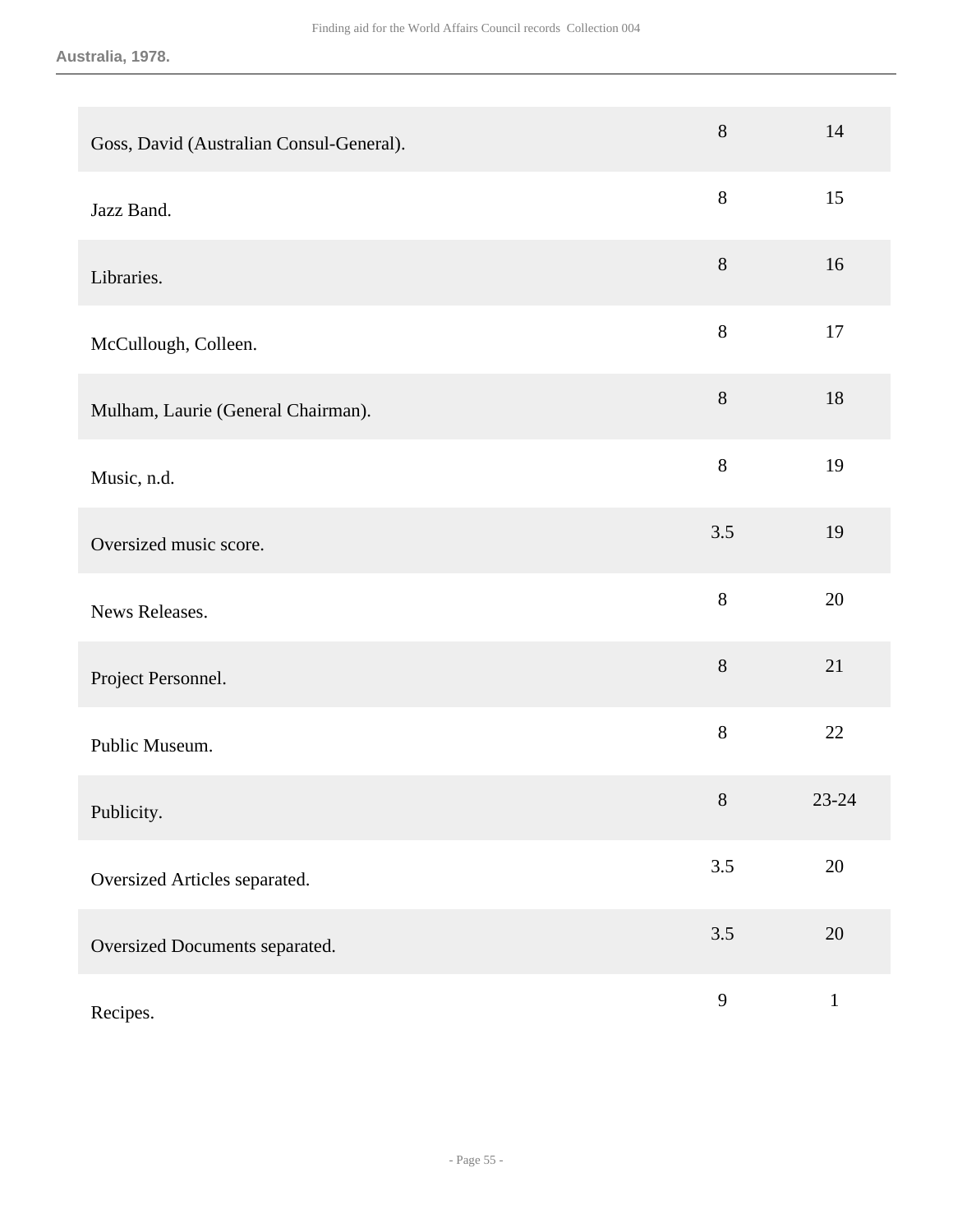#### **Australia, 1978.**

| Goss, David (Australian Consul-General). | 8            | 14           |
|------------------------------------------|--------------|--------------|
| Jazz Band.                               | $8\,$        | 15           |
| Libraries.                               | $8\,$        | 16           |
| McCullough, Colleen.                     | $8\,$        | 17           |
| Mulham, Laurie (General Chairman).       | $8\,$        | 18           |
| Music, n.d.                              | 8            | 19           |
| Oversized music score.                   | 3.5          | 19           |
| News Releases.                           | 8            | 20           |
| Project Personnel.                       | $8\,$        | 21           |
| Public Museum.                           | $8\,$        | 22           |
| Publicity.                               | $8\,$        | $23 - 24$    |
| Oversized Articles separated.            | 3.5          | $20\,$       |
| Oversized Documents separated.           | 3.5          | $20\,$       |
| Recipes.                                 | $\mathbf{9}$ | $\mathbf{1}$ |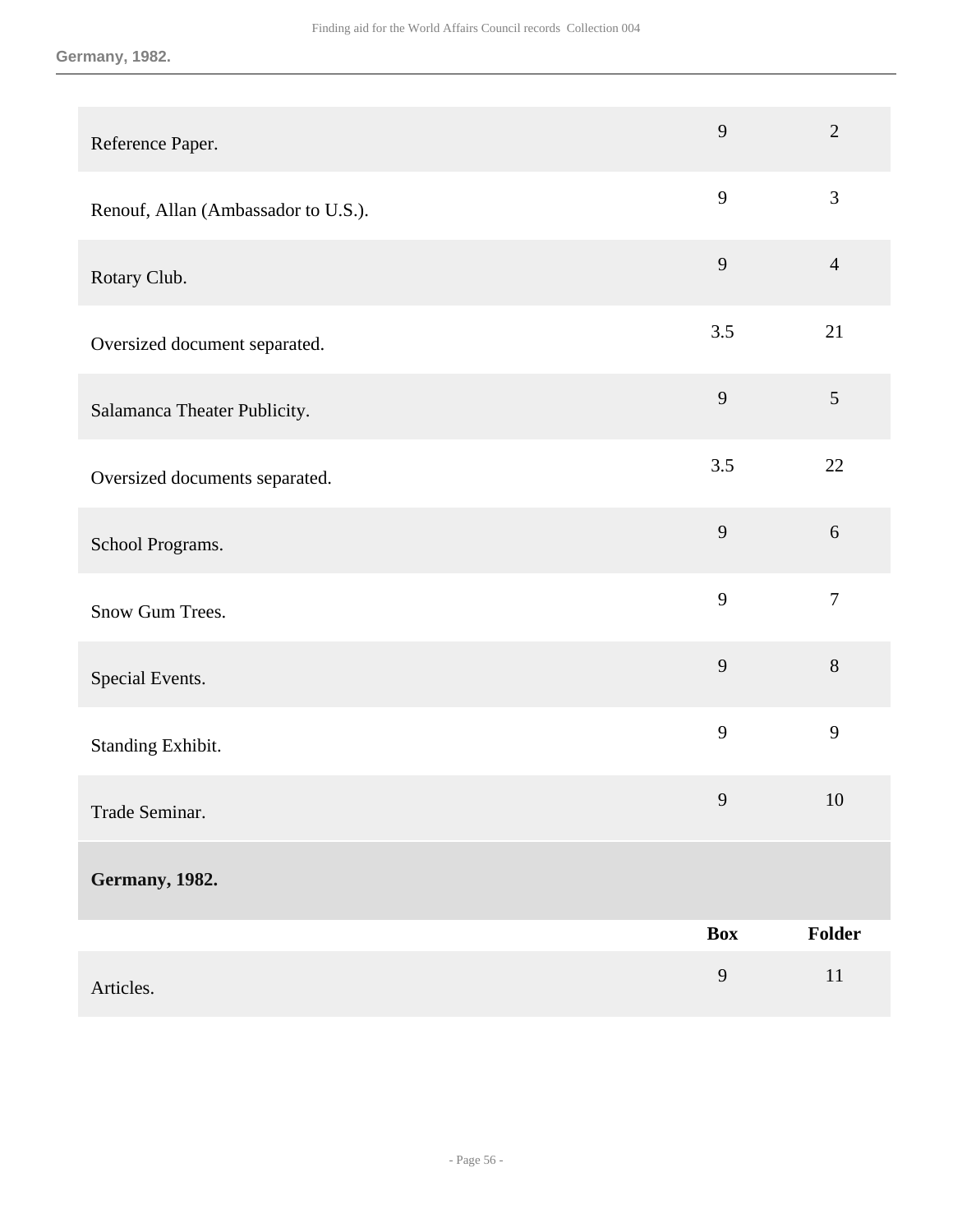#### **Germany, 1982.**

| Reference Paper.                    | 9            | $\overline{2}$ |
|-------------------------------------|--------------|----------------|
| Renouf, Allan (Ambassador to U.S.). | 9            | $\mathfrak{Z}$ |
| Rotary Club.                        | 9            | $\overline{4}$ |
| Oversized document separated.       | 3.5          | 21             |
| Salamanca Theater Publicity.        | 9            | 5              |
| Oversized documents separated.      | 3.5          | 22             |
| School Programs.                    | 9            | $6\,$          |
| Snow Gum Trees.                     | 9            | $\overline{7}$ |
| Special Events.                     | 9            | 8              |
| Standing Exhibit.                   | 9            | 9              |
| Trade Seminar.                      | $\mathbf{9}$ | $10\,$         |
| <b>Germany</b> , 1982.              |              |                |
|                                     | <b>Box</b>   | Folder         |
| Articles.                           | 9            | $11\,$         |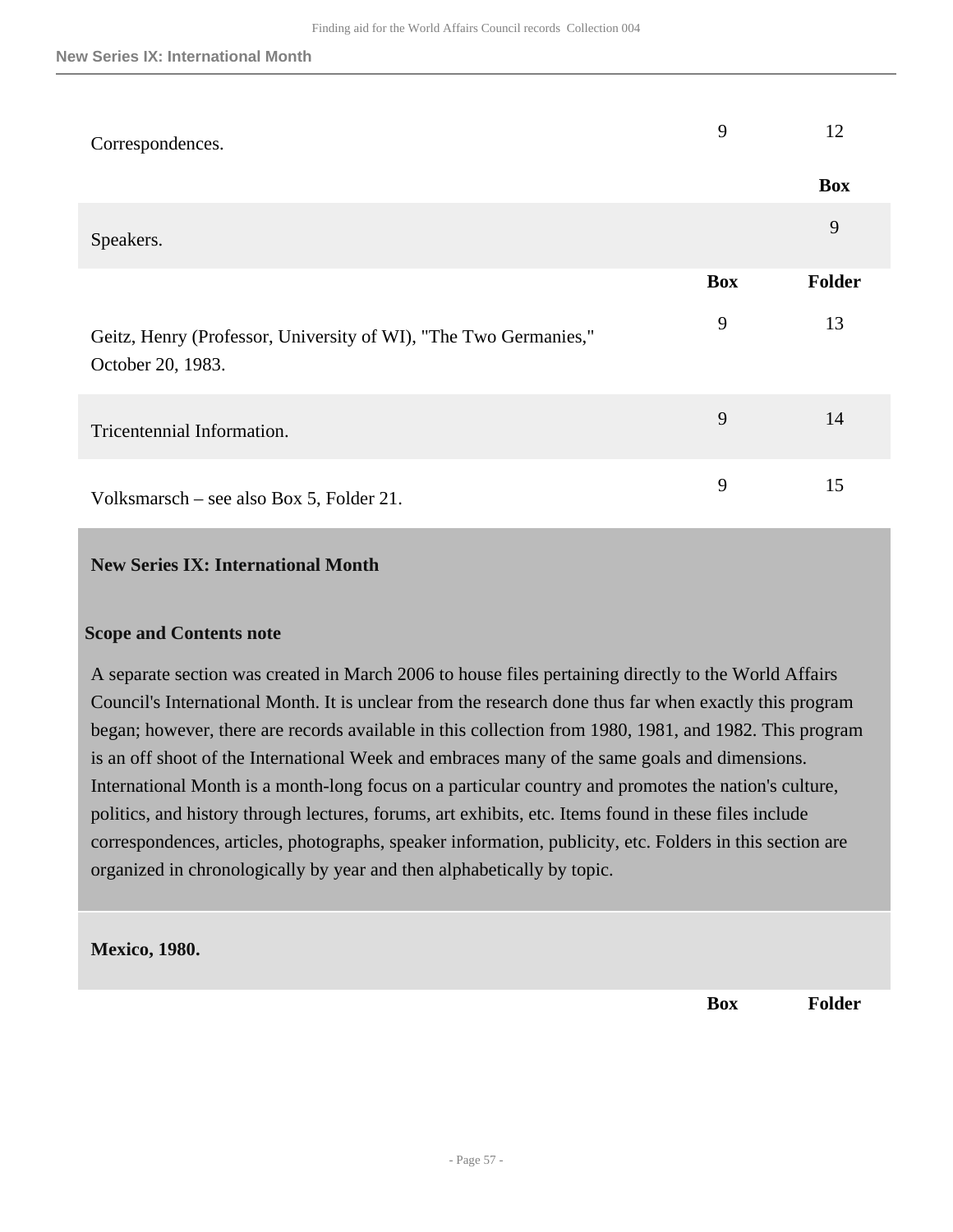| Correspondences.                                                                      | 9          | 12         |
|---------------------------------------------------------------------------------------|------------|------------|
|                                                                                       |            | <b>Box</b> |
| Speakers.                                                                             |            | 9          |
|                                                                                       | <b>Box</b> | Folder     |
| Geitz, Henry (Professor, University of WI), "The Two Germanies,"<br>October 20, 1983. | 9          | 13         |
| Tricentennial Information.                                                            | 9          | 14         |
| Volksmarsch – see also Box 5, Folder 21.                                              | 9          | 15         |

## <span id="page-56-0"></span>**New Series IX: International Month**

## **Scope and Contents note**

A separate section was created in March 2006 to house files pertaining directly to the World Affairs Council's International Month. It is unclear from the research done thus far when exactly this program began; however, there are records available in this collection from 1980, 1981, and 1982. This program is an off shoot of the International Week and embraces many of the same goals and dimensions. International Month is a month-long focus on a particular country and promotes the nation's culture, politics, and history through lectures, forums, art exhibits, etc. Items found in these files include correspondences, articles, photographs, speaker information, publicity, etc. Folders in this section are organized in chronologically by year and then alphabetically by topic.

## **Mexico, 1980.**

**Box Folder**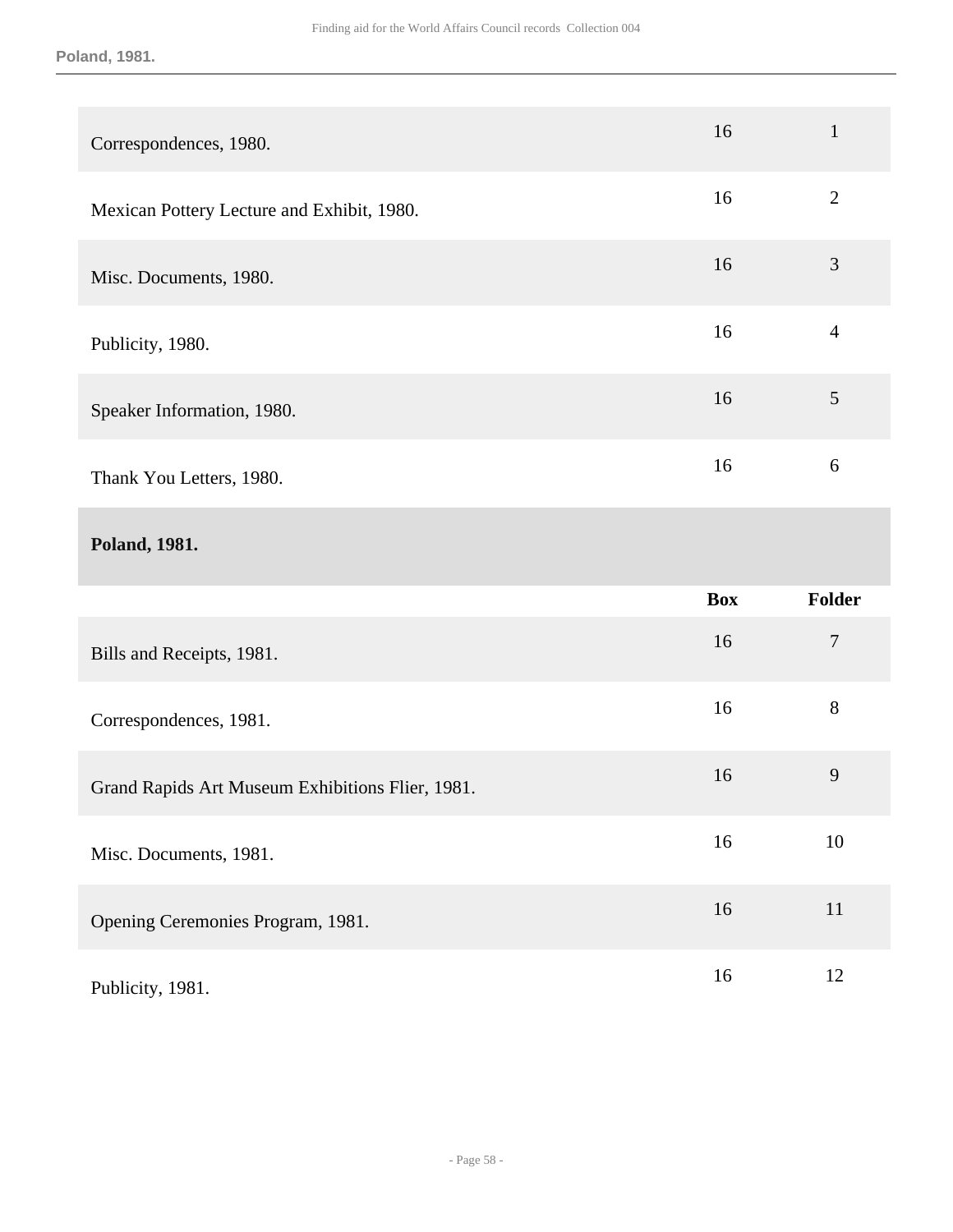#### **Poland, 1981.**

| Correspondences, 1980.                           | 16         | $\mathbf{1}$     |
|--------------------------------------------------|------------|------------------|
| Mexican Pottery Lecture and Exhibit, 1980.       | 16         | $\overline{2}$   |
| Misc. Documents, 1980.                           | 16         | 3                |
| Publicity, 1980.                                 | 16         | $\overline{4}$   |
| Speaker Information, 1980.                       | 16         | 5                |
| Thank You Letters, 1980.                         | 16         | 6                |
|                                                  |            |                  |
| Poland, 1981.                                    |            |                  |
|                                                  | <b>Box</b> | Folder           |
| Bills and Receipts, 1981.                        | 16         | $\boldsymbol{7}$ |
| Correspondences, 1981.                           | 16         | $8\,$            |
| Grand Rapids Art Museum Exhibitions Flier, 1981. | 16         | 9                |
| Misc. Documents, 1981.                           | 16         | 10               |
| Opening Ceremonies Program, 1981.                | 16         | $11\,$           |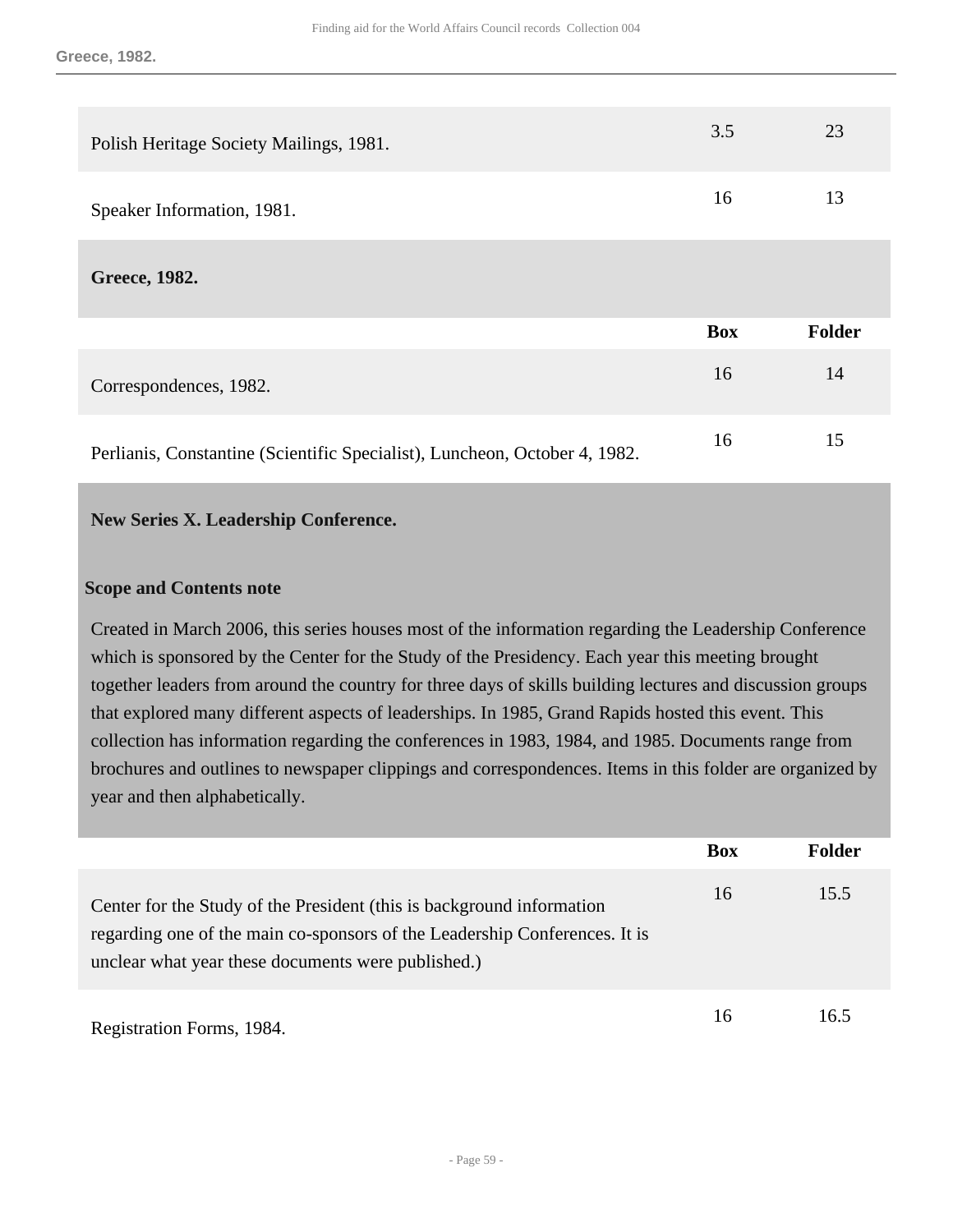| Polish Heritage Society Mailings, 1981.                                    | 3.5        | 23            |
|----------------------------------------------------------------------------|------------|---------------|
| Speaker Information, 1981.                                                 | 16         | 13            |
| Greece, 1982.                                                              |            |               |
|                                                                            | <b>Box</b> | <b>Folder</b> |
| Correspondences, 1982.                                                     | 16         | 14            |
| Perlianis, Constantine (Scientific Specialist), Luncheon, October 4, 1982. | 16         | 15            |

## <span id="page-58-0"></span>**New Series X. Leadership Conference.**

#### **Scope and Contents note**

Created in March 2006, this series houses most of the information regarding the Leadership Conference which is sponsored by the Center for the Study of the Presidency. Each year this meeting brought together leaders from around the country for three days of skills building lectures and discussion groups that explored many different aspects of leaderships. In 1985, Grand Rapids hosted this event. This collection has information regarding the conferences in 1983, 1984, and 1985. Documents range from brochures and outlines to newspaper clippings and correspondences. Items in this folder are organized by year and then alphabetically.

|                                                                                                                                                                                                           | <b>Box</b> | Folder |
|-----------------------------------------------------------------------------------------------------------------------------------------------------------------------------------------------------------|------------|--------|
| Center for the Study of the President (this is background information<br>regarding one of the main co-sponsors of the Leadership Conferences. It is<br>unclear what year these documents were published.) | 16         | 15.5   |
| Registration Forms, 1984.                                                                                                                                                                                 | 16         | 16.5   |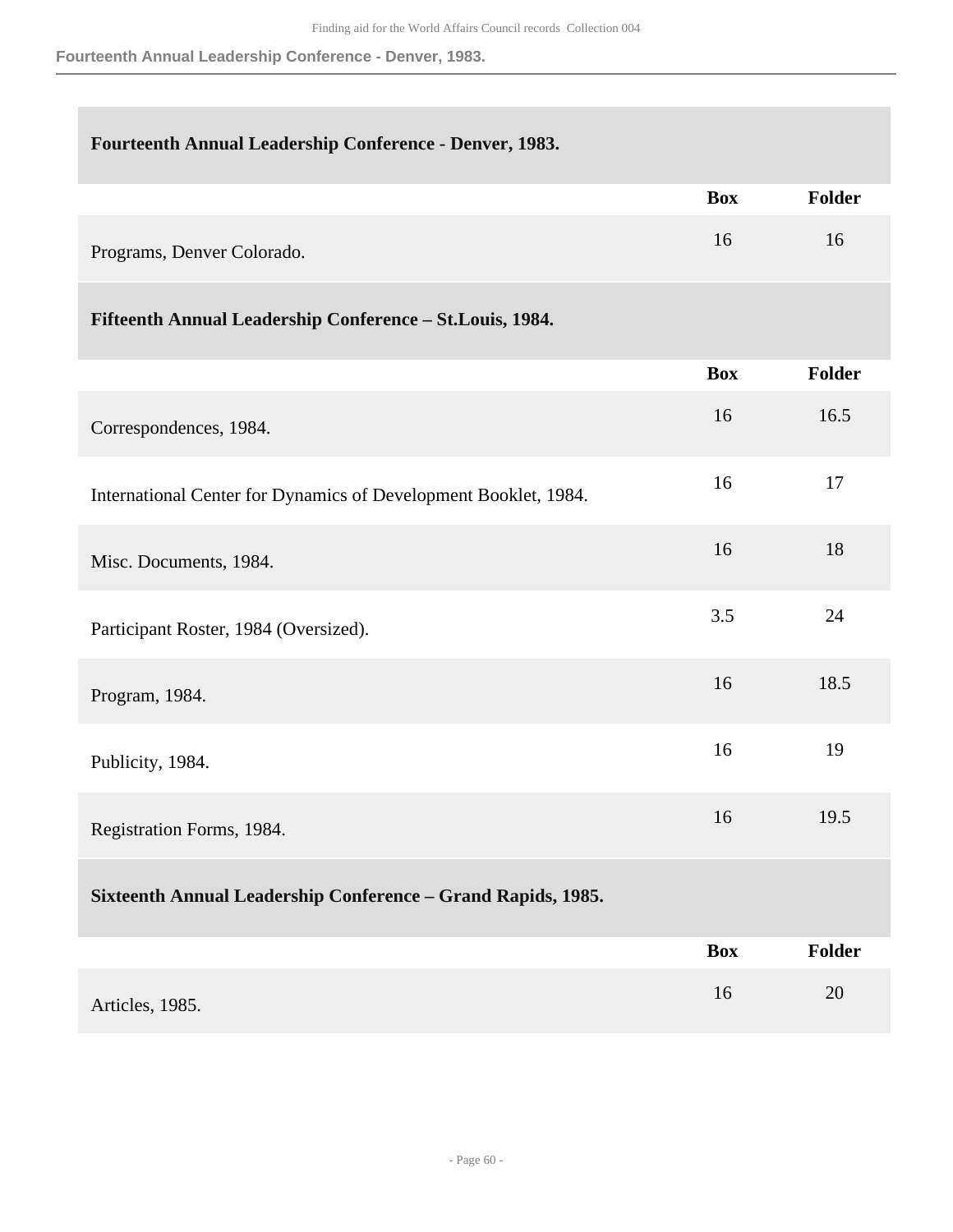**Fourteenth Annual Leadership Conference - Denver, 1983.**

## **Fourteenth Annual Leadership Conference - Denver, 1983.**

|                            | <b>Box</b> | <b>Folder</b> |
|----------------------------|------------|---------------|
| Programs, Denver Colorado. |            | 10            |

## **Fifteenth Annual Leadership Conference – St.Louis, 1984.**

|                                                                 | <b>Box</b> | <b>Folder</b> |
|-----------------------------------------------------------------|------------|---------------|
| Correspondences, 1984.                                          | 16         | 16.5          |
| International Center for Dynamics of Development Booklet, 1984. | 16         | 17            |
| Misc. Documents, 1984.                                          | 16         | 18            |
| Participant Roster, 1984 (Oversized).                           | 3.5        | 24            |
| Program, 1984.                                                  | 16         | 18.5          |
| Publicity, 1984.                                                | 16         | 19            |
| Registration Forms, 1984.                                       | 16         | 19.5          |
| Sixteenth Annual Leadership Conference - Grand Rapids, 1985.    |            |               |
|                                                                 | <b>Box</b> | Folder        |
| Articles, 1985.                                                 | 16         | 20            |